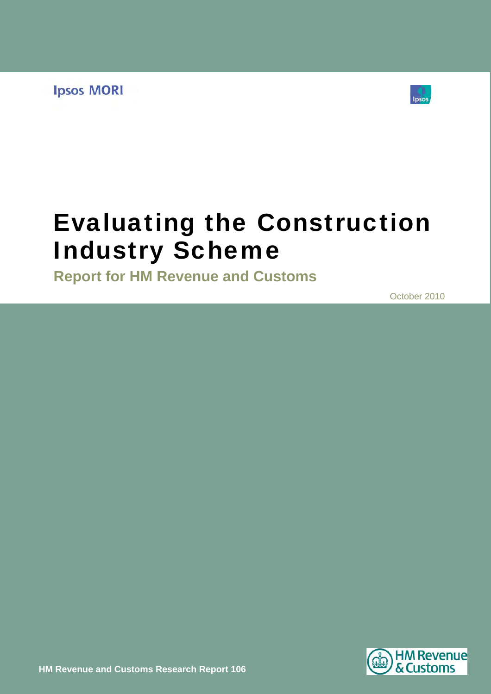**Ipsos MORI** 



# Evaluating the Construction Industry Scheme

**Report for HM Revenue and Customs** 

October 2010

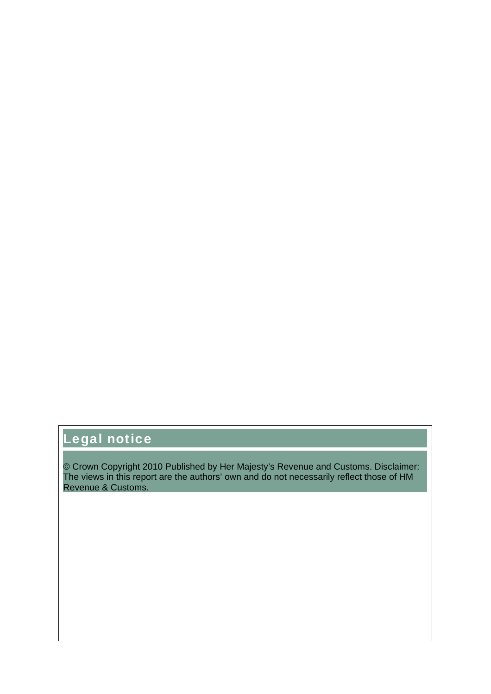## Legal notice

© Crown Copyright 2010 Published by Her Majesty's Revenue and Customs. Disclaimer: The views in this report are the authors' own and do not necessarily reflect those of HM Revenue & Customs.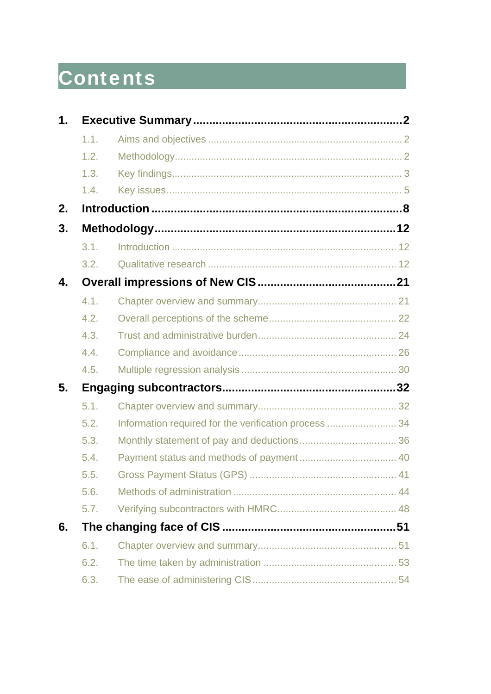# **Contents**

| $\mathbf 1$ . |      |                                                       |  |  |  |  |  |  |  |
|---------------|------|-------------------------------------------------------|--|--|--|--|--|--|--|
|               | 1.1. |                                                       |  |  |  |  |  |  |  |
|               | 1.2. |                                                       |  |  |  |  |  |  |  |
|               | 1.3. |                                                       |  |  |  |  |  |  |  |
|               | 1.4. |                                                       |  |  |  |  |  |  |  |
| 2.            |      |                                                       |  |  |  |  |  |  |  |
| 3.            |      |                                                       |  |  |  |  |  |  |  |
|               | 3.1. |                                                       |  |  |  |  |  |  |  |
|               | 3.2. |                                                       |  |  |  |  |  |  |  |
| 4.            |      |                                                       |  |  |  |  |  |  |  |
|               | 4.1. |                                                       |  |  |  |  |  |  |  |
|               | 4.2. |                                                       |  |  |  |  |  |  |  |
|               | 4.3. |                                                       |  |  |  |  |  |  |  |
|               | 4.4. |                                                       |  |  |  |  |  |  |  |
|               | 4.5. |                                                       |  |  |  |  |  |  |  |
| 5.            |      |                                                       |  |  |  |  |  |  |  |
|               | 5.1. |                                                       |  |  |  |  |  |  |  |
|               | 5.2. | Information required for the verification process  34 |  |  |  |  |  |  |  |
|               | 5.3. |                                                       |  |  |  |  |  |  |  |
|               | 5.4. |                                                       |  |  |  |  |  |  |  |
|               | 5.5. |                                                       |  |  |  |  |  |  |  |
|               | 5.6. |                                                       |  |  |  |  |  |  |  |
|               | 5.7. |                                                       |  |  |  |  |  |  |  |
| 6.            |      |                                                       |  |  |  |  |  |  |  |
|               | 6.1. |                                                       |  |  |  |  |  |  |  |
|               | 6.2. |                                                       |  |  |  |  |  |  |  |
|               | 6.3. |                                                       |  |  |  |  |  |  |  |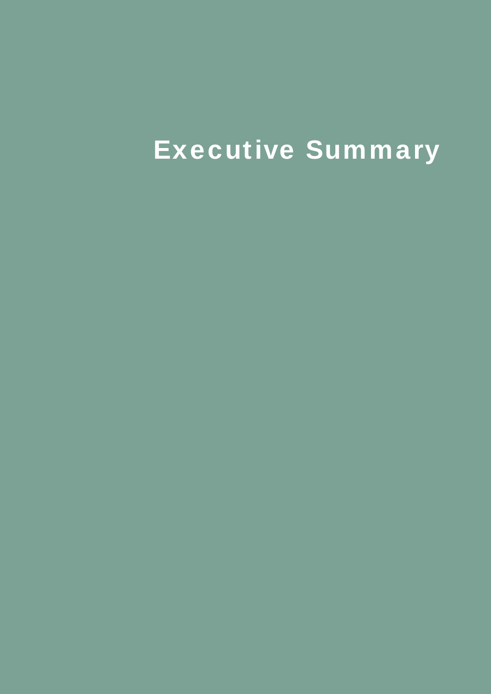# Executive Summary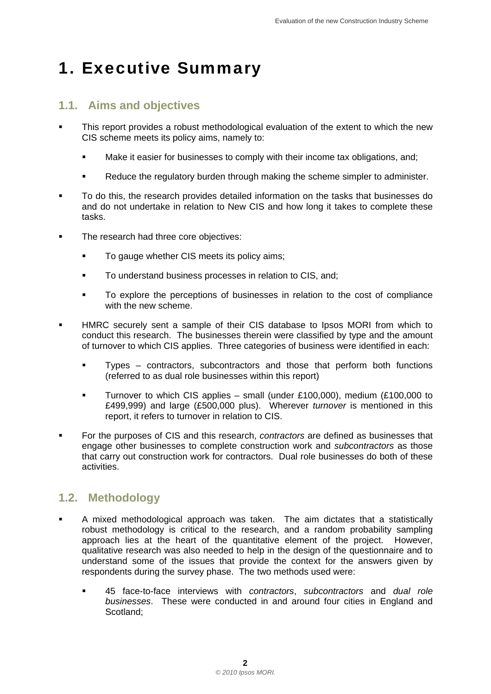## <span id="page-5-0"></span>1. Executive Summary

#### **1.1. Aims and objectives**

- This report provides a robust methodological evaluation of the extent to which the new CIS scheme meets its policy aims, namely to:
	- Make it easier for businesses to comply with their income tax obligations, and;
	- Reduce the regulatory burden through making the scheme simpler to administer.
- To do this, the research provides detailed information on the tasks that businesses do and do not undertake in relation to New CIS and how long it takes to complete these tasks.
- The research had three core objectives:
	- To gauge whether CIS meets its policy aims;
	- To understand business processes in relation to CIS, and;
	- To explore the perceptions of businesses in relation to the cost of compliance with the new scheme.
- HMRC securely sent a sample of their CIS database to Ipsos MORI from which to conduct this research. The businesses therein were classified by type and the amount of turnover to which CIS applies. Three categories of business were identified in each:
	- Types contractors, subcontractors and those that perform both functions (referred to as dual role businesses within this report)
	- Turnover to which CIS applies small (under £100,000), medium (£100,000 to £499,999) and large (£500,000 plus). Wherever *turnover* is mentioned in this report, it refers to turnover in relation to CIS.
- For the purposes of CIS and this research, *contractors* are defined as businesses that engage other businesses to complete construction work and *subcontractors* as those that carry out construction work for contractors. Dual role businesses do both of these activities.

#### **1.2. Methodology**

- A mixed methodological approach was taken. The aim dictates that a statistically robust methodology is critical to the research, and a random probability sampling approach lies at the heart of the quantitative element of the project. However, qualitative research was also needed to help in the design of the questionnaire and to understand some of the issues that provide the context for the answers given by respondents during the survey phase. The two methods used were:
	- 45 face-to-face interviews with *contractors*, *subcontractors* and *dual role businesses*. These were conducted in and around four cities in England and Scotland;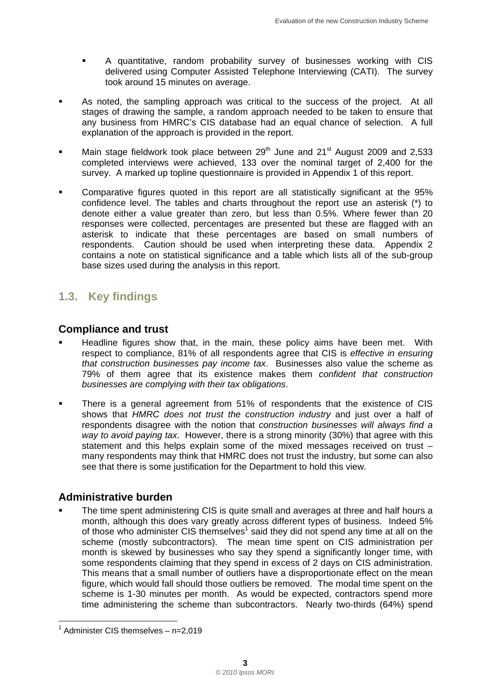- <span id="page-6-0"></span> A quantitative, random probability survey of businesses working with CIS delivered using Computer Assisted Telephone Interviewing (CATI). The survey took around 15 minutes on average.
- As noted, the sampling approach was critical to the success of the project. At all stages of drawing the sample, a random approach needed to be taken to ensure that any business from HMRC's CIS database had an equal chance of selection. A full explanation of the approach is provided in the report.
- Main stage fieldwork took place between  $29^{th}$  June and  $21^{st}$  August 2009 and 2,533 completed interviews were achieved, 133 over the nominal target of 2,400 for the survey. A marked up topline questionnaire is provided in Appendix 1 of this report.
- Comparative figures quoted in this report are all statistically significant at the 95% confidence level. The tables and charts throughout the report use an asterisk (\*) to denote either a value greater than zero, but less than 0.5%. Where fewer than 20 responses were collected, percentages are presented but these are flagged with an asterisk to indicate that these percentages are based on small numbers of respondents. Caution should be used when interpreting these data. Appendix 2 contains a note on statistical significance and a table which lists all of the sub-group base sizes used during the analysis in this report.

### **1.3. Key findings**

#### **Compliance and trust**

- **Headline figures show that, in the main, these policy aims have been met.** With respect to compliance, 81% of all respondents agree that CIS is *effective in ensuring that construction businesses pay income tax*. Businesses also value the scheme as 79% of them agree that its existence makes them *confident that construction businesses are complying with their tax obligations*.
- There is a general agreement from 51% of respondents that the existence of CIS shows that *HMRC does not trust the construction industry* and just over a half of respondents disagree with the notion that *construction businesses will always find a way to avoid paying tax*. However, there is a strong minority (30%) that agree with this statement and this helps explain some of the mixed messages received on trust – many respondents may think that HMRC does not trust the industry, but some can also see that there is some justification for the Department to hold this view.

#### **Administrative burden**

of those who administer CIS themselves<sup>1</sup> said they did not spend any time at all on the The time spent administering CIS is quite small and averages at three and half hours a month, although this does vary greatly across different types of business. Indeed 5% scheme (mostly subcontractors). The mean time spent on CIS administration per month is skewed by businesses who say they spend a significantly longer time, with some respondents claiming that they spend in excess of 2 days on CIS administration. This means that a small number of outliers have a disproportionate effect on the mean figure, which would fall should those outliers be removed. The modal time spent on the scheme is 1-30 minutes per month. As would be expected, contractors spend more time administering the scheme than subcontractors. Nearly two-thirds (64%) spend

l

<sup>&</sup>lt;sup>1</sup> Administer CIS themselves - n=2,019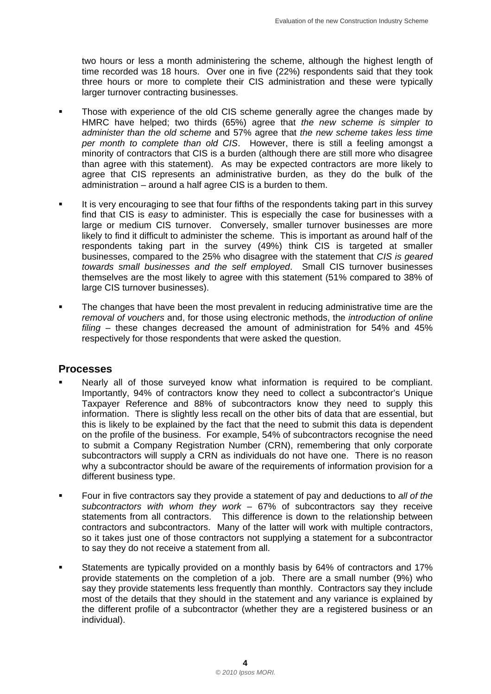two hours or less a month administering the scheme, although the highest length of time recorded was 18 hours. Over one in five (22%) respondents said that they took three hours or more to complete their CIS administration and these were typically larger turnover contracting businesses.

- Those with experience of the old CIS scheme generally agree the changes made by HMRC have helped; two thirds (65%) agree that *the new scheme is simpler to administer than the old scheme* and 57% agree that *the new scheme takes less time per month to complete than old CIS*. However, there is still a feeling amongst a minority of contractors that CIS is a burden (although there are still more who disagree than agree with this statement). As may be expected contractors are more likely to agree that CIS represents an administrative burden, as they do the bulk of the administration – around a half agree CIS is a burden to them.
- likely to find it difficult to administer the scheme. This is important as around half of the It is very encouraging to see that four fifths of the respondents taking part in this survey find that CIS is *easy* to administer. This is especially the case for businesses with a large or medium CIS turnover. Conversely, smaller turnover businesses are more respondents taking part in the survey (49%) think CIS is targeted at smaller businesses, compared to the 25% who disagree with the statement that *CIS is geared towards small businesses and the self employed*. Small CIS turnover businesses themselves are the most likely to agree with this statement (51% compared to 38% of large CIS turnover businesses).
- The changes that have been the most prevalent in reducing administrative time are the *removal of vouchers* and, for those using electronic methods, the *introduction of online filing* – these changes decreased the amount of administration for 54% and 45% respectively for those respondents that were asked the question.

#### **Processes**

- Nearly all of those surveyed know what information is required to be compliant. Importantly, 94% of contractors know they need to collect a subcontractor's Unique Taxpayer Reference and 88% of subcontractors know they need to supply this information. There is slightly less recall on the other bits of data that are essential, but this is likely to be explained by the fact that the need to submit this data is dependent on the profile of the business. For example, 54% of subcontractors recognise the need to submit a Company Registration Number (CRN), remembering that only corporate subcontractors will supply a CRN as individuals do not have one. There is no reason why a subcontractor should be aware of the requirements of information provision for a different business type.
- Four in five contractors say they provide a statement of pay and deductions to *all of the subcontractors with whom they work* – 67% of subcontractors say they receive statements from all contractors. This difference is down to the relationship between contractors and subcontractors. Many of the latter will work with multiple contractors, so it takes just one of those contractors not supplying a statement for a subcontractor to say they do not receive a statement from all.
- Statements are typically provided on a monthly basis by 64% of contractors and 17% provide statements on the completion of a job. There are a small number (9%) who say they provide statements less frequently than monthly. Contractors say they include most of the details that they should in the statement and any variance is explained by the different profile of a subcontractor (whether they are a registered business or an individual).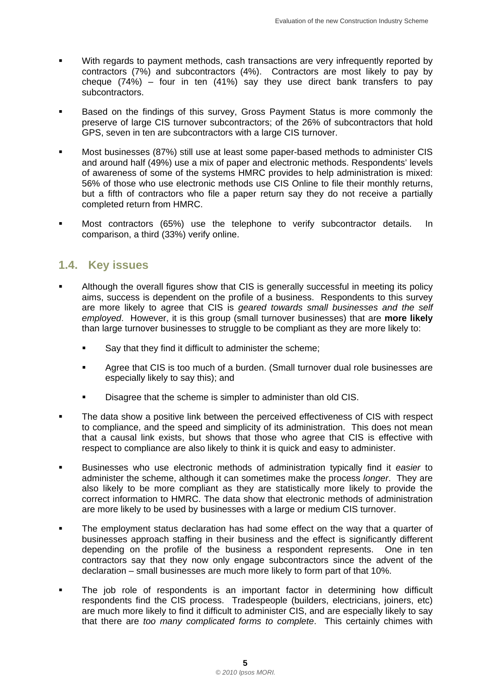- <span id="page-8-0"></span> With regards to payment methods, cash transactions are very infrequently reported by contractors (7%) and subcontractors (4%). Contractors are most likely to pay by cheque (74%) – four in ten (41%) say they use direct bank transfers to pay subcontractors.
- Based on the findings of this survey, Gross Payment Status is more commonly the preserve of large CIS turnover subcontractors; of the 26% of subcontractors that hold GPS, seven in ten are subcontractors with a large CIS turnover.
- Most businesses (87%) still use at least some paper-based methods to administer CIS and around half (49%) use a mix of paper and electronic methods. Respondents' levels of awareness of some of the systems HMRC provides to help administration is mixed: 56% of those who use electronic methods use CIS Online to file their monthly returns, but a fifth of contractors who file a paper return say they do not receive a partially completed return from HMRC.
- Most contractors (65%) use the telephone to verify subcontractor details. In comparison, a third (33%) verify online.

#### **1.4. Key issues**

- than large turnover businesses to struggle to be compliant as they are more likely to: Although the overall figures show that CIS is generally successful in meeting its policy aims, success is dependent on the profile of a business. Respondents to this survey are more likely to agree that CIS is *geared towards small businesses and the self employed*. However, it is this group (small turnover businesses) that are **more likely** 
	- Say that they find it difficult to administer the scheme;
	- Agree that CIS is too much of a burden. (Small turnover dual role businesses are especially likely to say this); and
	- Disagree that the scheme is simpler to administer than old CIS.
- The data show a positive link between the perceived effectiveness of CIS with respect to compliance, and the speed and simplicity of its administration. This does not mean that a causal link exists, but shows that those who agree that CIS is effective with respect to compliance are also likely to think it is quick and easy to administer.
- Businesses who use electronic methods of administration typically find it *easier* to administer the scheme, although it can sometimes make the process *longer*. They are also likely to be more compliant as they are statistically more likely to provide the correct information to HMRC. The data show that electronic methods of administration are more likely to be used by businesses with a large or medium CIS turnover.
- The employment status declaration has had some effect on the way that a quarter of businesses approach staffing in their business and the effect is significantly different depending on the profile of the business a respondent represents. One in ten contractors say that they now only engage subcontractors since the advent of the declaration – small businesses are much more likely to form part of that 10%.
- The job role of respondents is an important factor in determining how difficult respondents find the CIS process. Tradespeople (builders, electricians, joiners, etc) are much more likely to find it difficult to administer CIS, and are especially likely to say that there are *too many complicated forms to complete*. This certainly chimes with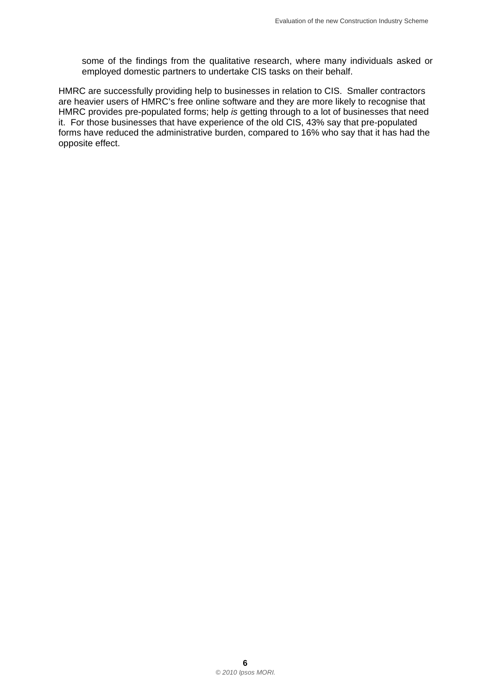some of the findings from the qualitative research, where many individuals asked or employed domestic partners to undertake CIS tasks on their behalf.

HMRC are successfully providing help to businesses in relation to CIS. Smaller contractors are heavier users of HMRC's free online software and they are more likely to recognise that HMRC provides pre-populated forms; help *is* getting through to a lot of businesses that need it. For those businesses that have experience of the old CIS, 43% say that pre-populated forms have reduced the administrative burden, compared to 16% who say that it has had the opposite effect.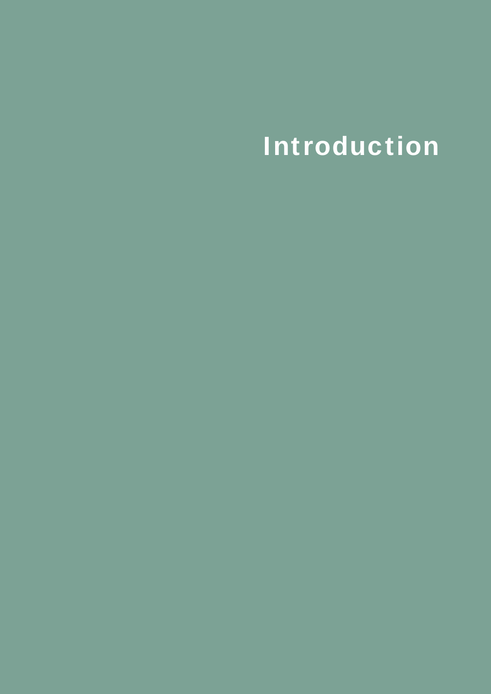# Introduction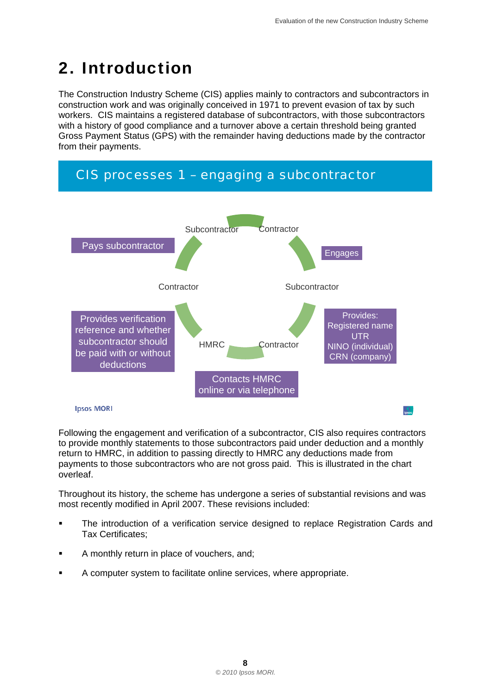## <span id="page-11-0"></span>2. Introduction

The Construction Industry Scheme (CIS) applies mainly to contractors and subcontractors in construction work and was originally conceived in 1971 to prevent evasion of tax by such workers. CIS maintains a registered database of subcontractors, with those subcontractors with a history of good compliance and a turnover above a certain threshold being granted Gross Payment Status (GPS) with the remainder having deductions made by the contractor from their payments.



Following the engagement and verification of a subcontractor, CIS also requires contractors to provide monthly statements to those subcontractors paid under deduction and a monthly return to HMRC, in addition to passing directly to HMRC any deductions made from payments to those subcontractors who are not gross paid. This is illustrated in the chart overleaf.

Throughout its history, the scheme has undergone a series of substantial revisions and was most recently modified in April 2007. These revisions included:

- The introduction of a verification service designed to replace Registration Cards and Tax Certificates;
- **A** monthly return in place of vouchers, and;
- A computer system to facilitate online services, where appropriate.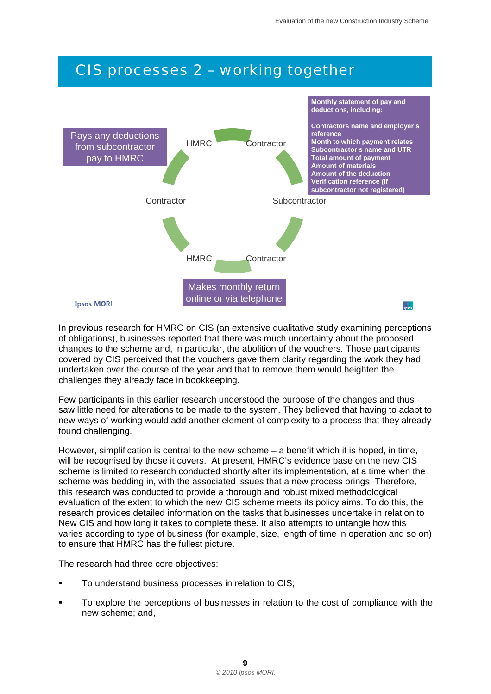## *CIS processes 2 – working together*



In previous research for HMRC on CIS (an extensive qualitative study examining perceptions of obligations), businesses reported that there was much uncertainty about the proposed changes to the scheme and, in particular, the abolition of the vouchers. Those participants covered by CIS perceived that the vouchers gave them clarity regarding the work they had undertaken over the course of the year and that to remove them would heighten the challenges they already face in bookkeeping.

Few participants in this earlier research understood the purpose of the changes and thus saw little need for alterations to be made to the system. They believed that having to adapt to new ways of working would add another element of complexity to a process that they already found challenging.

However, simplification is central to the new scheme – a benefit which it is hoped, in time, will be recognised by those it covers. At present, HMRC's evidence base on the new CIS scheme is limited to research conducted shortly after its implementation, at a time when the scheme was bedding in, with the associated issues that a new process brings. Therefore, this research was conducted to provide a thorough and robust mixed methodological evaluation of the extent to which the new CIS scheme meets its policy aims. To do this, the research provides detailed information on the tasks that businesses undertake in relation to New CIS and how long it takes to complete these. It also attempts to untangle how this varies according to type of business (for example, size, length of time in operation and so on) to ensure that HMRC has the fullest picture.

The research had three core objectives:

- To understand business processes in relation to CIS;
- To explore the perceptions of businesses in relation to the cost of compliance with the new scheme; and,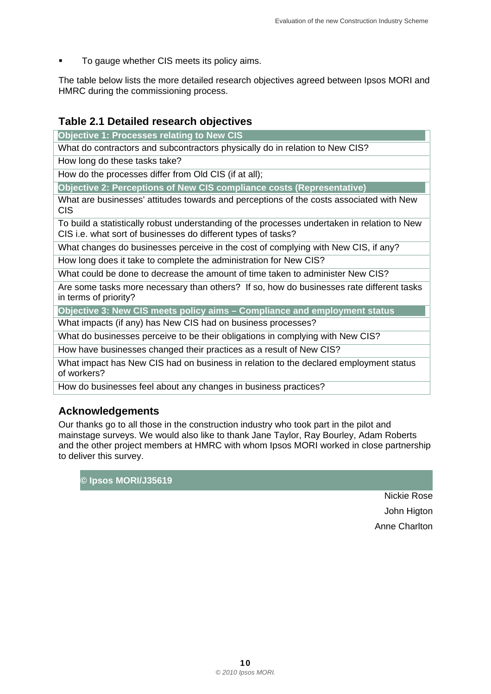To gauge whether CIS meets its policy aims.

The table below lists the more detailed research objectives agreed between Ipsos MORI and HMRC during the commissioning process.

#### **Table 2.1 Detailed research objectives**

**Objective 1: Processes relating to New CIS** 

What do contractors and subcontractors physically do in relation to New CIS?

How long do these tasks take?

How do the processes differ from Old CIS (if at all);

**Objective 2: Perceptions of New CIS compliance costs (Representative)** 

What are businesses' attitudes towards and perceptions of the costs associated with New CIS

To build a statistically robust understanding of the processes undertaken in relation to New CIS i.e. what sort of businesses do different types of tasks?

What changes do businesses perceive in the cost of complying with New CIS, if any?

How long does it take to complete the administration for New CIS?

What could be done to decrease the amount of time taken to administer New CIS?

Are some tasks more necessary than others? If so, how do businesses rate different tasks in terms of priority?

**Objective 3: New CIS meets policy aims – Compliance and employment status** 

What impacts (if any) has New CIS had on business processes?

What do businesses perceive to be their obligations in complying with New CIS?

How have businesses changed their practices as a result of New CIS?

What impact has New CIS had on business in relation to the declared employment status of workers?

How do businesses feel about any changes in business practices?

#### **Acknowledgements**

Our thanks go to all those in the construction industry who took part in the pilot and mainstage surveys. We would also like to thank Jane Taylor, Ray Bourley, Adam Roberts and the other project members at HMRC with whom Ipsos MORI worked in close partnership to deliver this survey.

**© Ipsos MORI/J35619** 

Nickie Rose John Higton Anne Charlton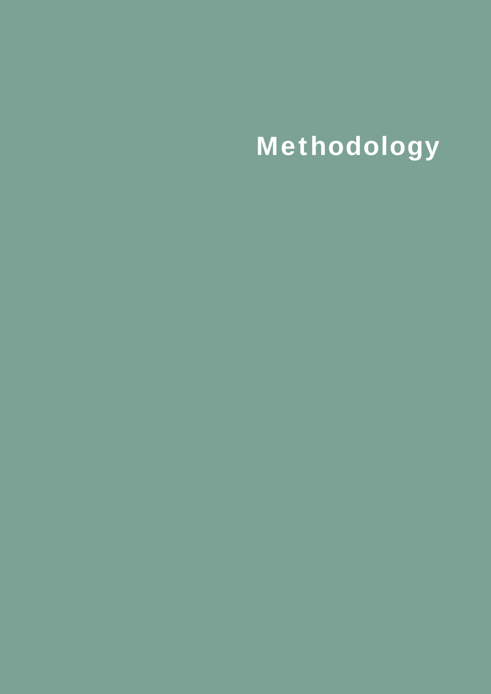# **Methodology**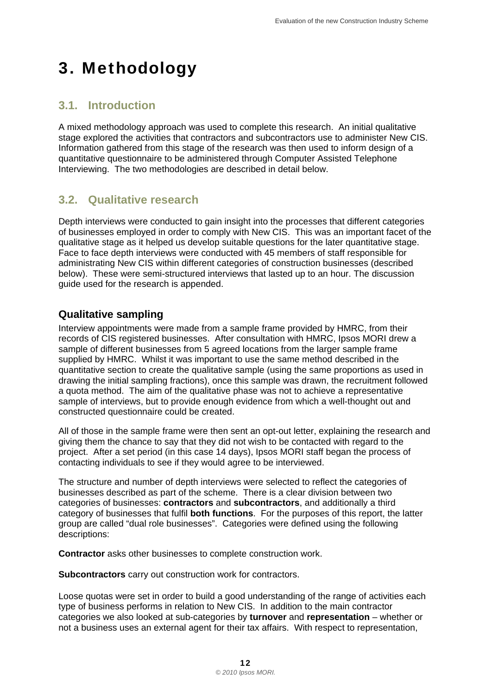## <span id="page-15-0"></span>3. Methodology

### **3.1. Introduction**

A mixed methodology approach was used to complete this research. An initial qualitative stage explored the activities that contractors and subcontractors use to administer New CIS. Information gathered from this stage of the research was then used to inform design of a quantitative questionnaire to be administered through Computer Assisted Telephone Interviewing. The two methodologies are described in detail below.

#### **3.2. Qualitative research**

Depth interviews were conducted to gain insight into the processes that different categories of businesses employed in order to comply with New CIS. This was an important facet of the qualitative stage as it helped us develop suitable questions for the later quantitative stage. Face to face depth interviews were conducted with 45 members of staff responsible for administrating New CIS within different categories of construction businesses (described below). These were semi-structured interviews that lasted up to an hour. The discussion guide used for the research is appended.

#### **Qualitative sampling**

Interview appointments were made from a sample frame provided by HMRC, from their records of CIS registered businesses. After consultation with HMRC, Ipsos MORI drew a sample of different businesses from 5 agreed locations from the larger sample frame supplied by HMRC. Whilst it was important to use the same method described in the quantitative section to create the qualitative sample (using the same proportions as used in drawing the initial sampling fractions), once this sample was drawn, the recruitment followed a quota method. The aim of the qualitative phase was not to achieve a representative sample of interviews, but to provide enough evidence from which a well-thought out and constructed questionnaire could be created.

All of those in the sample frame were then sent an opt-out letter, explaining the research and giving them the chance to say that they did not wish to be contacted with regard to the project. After a set period (in this case 14 days), Ipsos MORI staff began the process of contacting individuals to see if they would agree to be interviewed.

The structure and number of depth interviews were selected to reflect the categories of businesses described as part of the scheme. There is a clear division between two categories of businesses: **contractors** and **subcontractors**, and additionally a third category of businesses that fulfil **both functions**. For the purposes of this report, the latter group are called "dual role businesses". Categories were defined using the following descriptions:

**Contractor** asks other businesses to complete construction work.

**Subcontractors** carry out construction work for contractors.

Loose quotas were set in order to build a good understanding of the range of activities each type of business performs in relation to New CIS. In addition to the main contractor categories we also looked at sub-categories by **turnover** and **representation** – whether or not a business uses an external agent for their tax affairs. With respect to representation,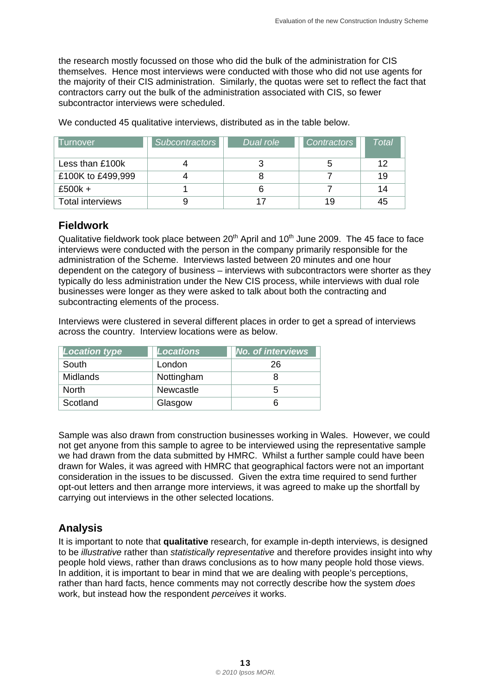the research mostly focussed on those who did the bulk of the administration for CIS themselves. Hence most interviews were conducted with those who did not use agents for the majority of their CIS administration. Similarly, the quotas were set to reflect the fact that contractors carry out the bulk of the administration associated with CIS, so fewer subcontractor interviews were scheduled.

We conducted 45 qualitative interviews, distributed as in the table below.

| I urnover         | <b>Subcontractors</b> | Dual role | <b>Contractors</b> | Total |
|-------------------|-----------------------|-----------|--------------------|-------|
| Less than £100k   |                       |           |                    | 12    |
| £100K to £499,999 |                       |           |                    | 19    |
| £500 $k +$        |                       |           |                    | 14    |
| Total interviews  |                       |           | 19                 | 45    |

#### **Fieldwork**

Qualitative fieldwork took place between  $20<sup>th</sup>$  April and 10<sup>th</sup> June 2009. The 45 face to face interviews were conducted with the person in the company primarily responsible for the administration of the Scheme. Interviews lasted between 20 minutes and one hour dependent on the category of business – interviews with subcontractors were shorter as they typically do less administration under the New CIS process, while interviews with dual role businesses were longer as they were asked to talk about both the contracting and subcontracting elements of the process.

Interviews were clustered in several different places in order to get a spread of interviews across the country. Interview locations were as below.

| <b>Location type</b> | <b>Locations</b> | <b>No. of interviews</b> |
|----------------------|------------------|--------------------------|
| South                | London           | 26                       |
| <b>Midlands</b>      | Nottingham       |                          |
| North                | Newcastle        |                          |
| Scotland             | Glasgow          |                          |

Sample was also drawn from construction businesses working in Wales. However, we could not get anyone from this sample to agree to be interviewed using the representative sample we had drawn from the data submitted by HMRC. Whilst a further sample could have been drawn for Wales, it was agreed with HMRC that geographical factors were not an important consideration in the issues to be discussed. Given the extra time required to send further opt-out letters and then arrange more interviews, it was agreed to make up the shortfall by carrying out interviews in the other selected locations.

#### **Analysis**

It is important to note that **qualitative** research, for example in-depth interviews, is designed to be *illustrative* rather than *statistically representative* and therefore provides insight into why people hold views, rather than draws conclusions as to how many people hold those views. In addition, it is important to bear in mind that we are dealing with people's perceptions, rather than hard facts, hence comments may not correctly describe how the system *does*  work, but instead how the respondent *perceives* it works.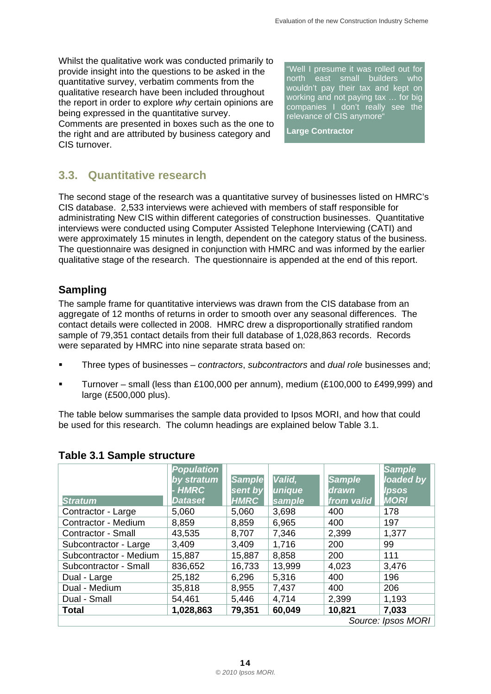Whilst the qualitative work was conducted primarily to provide insight into the questions to be asked in the quantitative survey, verbatim comments from the qualitative research have been included throughout the report in order to explore *why* certain opinions are being expressed in the quantitative survey. Comments are presented in boxes such as the one to the right and are attributed by business category and CIS turnover.

"Well I presume it was rolled out for north east small builders who wouldn't pay their tax and kept on working and not paying tax … for big companies I don't really see the relevance of CIS anymore"

**Large Contractor** 

### **3.3. Quantitative research**

were approximately 15 minutes in length, dependent on the category status of the business. The second stage of the research was a quantitative survey of businesses listed on HMRC's CIS database. 2,533 interviews were achieved with members of staff responsible for administrating New CIS within different categories of construction businesses. Quantitative interviews were conducted using Computer Assisted Telephone Interviewing (CATI) and The questionnaire was designed in conjunction with HMRC and was informed by the earlier qualitative stage of the research. The questionnaire is appended at the end of this report.

#### **Sampling**

 were separated by HMRC into nine separate strata based on: The sample frame for quantitative interviews was drawn from the CIS database from an aggregate of 12 months of returns in order to smooth over any seasonal differences. The contact details were collected in 2008. HMRC drew a disproportionally stratified random sample of 79,351 contact details from their full database of 1,028,863 records. Records

- Three types of businesses *contractors*, *subcontractors* and *dual role* businesses and;
- Turnover small (less than £100,000 per annum), medium (£100,000 to £499,999) and large (£500,000 plus).

The table below summarises the sample data provided to Ipsos MORI, and how that could be used for this research. The column headings are explained below Table 3.1.

|                        | <b>Population</b> |               |                |               | <b>Sample</b> |  |  |
|------------------------|-------------------|---------------|----------------|---------------|---------------|--|--|
|                        | by stratum        | <b>Sample</b> | Valid,         | <b>Sample</b> | loaded by     |  |  |
|                        | <b>HMRC</b>       | sent by       | unique         | <b>drawn</b>  | Ipsos         |  |  |
| <b>Stratum</b>         | <b>Dataset</b>    | <b>HMRC</b>   | sample         | from valid    | <b>MORI</b>   |  |  |
| Contractor - Large     | 5,060             | 5,060         | 3,698          | 400           | 178           |  |  |
| Contractor - Medium    | 8,859             | 8,859         | 6,965          | 400           | 197           |  |  |
| Contractor - Small     | 43,535            | 8,707         | 7,346          | 2,399         | 1,377         |  |  |
| Subcontractor - Large  | 3,409             | 3,409         | 1,716          | 200           | 99            |  |  |
| Subcontractor - Medium | 15,887            | 15,887        | 8,858          | 200           | 111           |  |  |
| Subcontractor - Small  | 836,652           | 16,733        | 13,999         | 4,023         | 3,476         |  |  |
| Dual - Large           | 25,182            | 6,296         | 5,316          | 400           | 196           |  |  |
| Dual - Medium          | 35,818            | 8,955         | 7,437          | 400           | 206           |  |  |
| Dual - Small           | 54,461            | 5,446         | 2,399<br>4,714 |               | 1,193         |  |  |
| <b>Total</b>           | 1,028,863         | 79,351        | 60,049         | 10,821        | 7,033         |  |  |
| Source: Ipsos MORI     |                   |               |                |               |               |  |  |

#### **Table 3.1 Sample structure**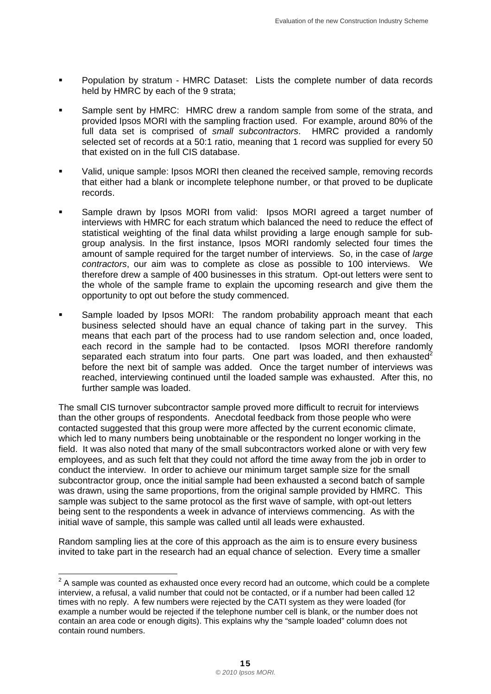- Population by stratum HMRC Dataset: Lists the complete number of data records held by HMRC by each of the 9 strata;
- Sample sent by HMRC: HMRC drew a random sample from some of the strata, and provided Ipsos MORI with the sampling fraction used. For example, around 80% of the full data set is comprised of *small subcontractors*. HMRC provided a randomly selected set of records at a 50:1 ratio, meaning that 1 record was supplied for every 50 that existed on in the full CIS database.
- Valid, unique sample: Ipsos MORI then cleaned the received sample, removing records that either had a blank or incomplete telephone number, or that proved to be duplicate records.
- Sample drawn by Ipsos MORI from valid: Ipsos MORI agreed a target number of interviews with HMRC for each stratum which balanced the need to reduce the effect of statistical weighting of the final data whilst providing a large enough sample for subgroup analysis. In the first instance, Ipsos MORI randomly selected four times the amount of sample required for the target number of interviews. So, in the case of *large contractors*, our aim was to complete as close as possible to 100 interviews. We therefore drew a sample of 400 businesses in this stratum. Opt-out letters were sent to the whole of the sample frame to explain the upcoming research and give them the opportunity to opt out before the study commenced.
- Sample loaded by Ipsos MORI: The random probability approach meant that each business selected should have an equal chance of taking part in the survey. This means that each part of the process had to use random selection and, once loaded, each record in the sample had to be contacted. Ipsos MORI therefore randomly separated each stratum into four parts. One part was loaded, and then exhausted<sup>2</sup> before the next bit of sample was added. Once the target number of interviews was reached, interviewing continued until the loaded sample was exhausted. After this, no further sample was loaded.

The small CIS turnover subcontractor sample proved more difficult to recruit for interviews than the other groups of respondents. Anecdotal feedback from those people who were contacted suggested that this group were more affected by the current economic climate, which led to many numbers being unobtainable or the respondent no longer working in the field. It was also noted that many of the small subcontractors worked alone or with very few employees, and as such felt that they could not afford the time away from the job in order to conduct the interview. In order to achieve our minimum target sample size for the small subcontractor group, once the initial sample had been exhausted a second batch of sample was drawn, using the same proportions, from the original sample provided by HMRC. This sample was subject to the same protocol as the first wave of sample, with opt-out letters being sent to the respondents a week in advance of interviews commencing. As with the initial wave of sample, this sample was called until all leads were exhausted.

Random sampling lies at the core of this approach as the aim is to ensure every business invited to take part in the research had an equal chance of selection. Every time a smaller

l  $2$  A sample was counted as exhausted once every record had an outcome, which could be a complete interview, a refusal, a valid number that could not be contacted, or if a number had been called 12 times with no reply. A few numbers were rejected by the CATI system as they were loaded (for example a number would be rejected if the telephone number cell is blank, or the number does not contain an area code or enough digits). This explains why the "sample loaded" column does not contain round numbers.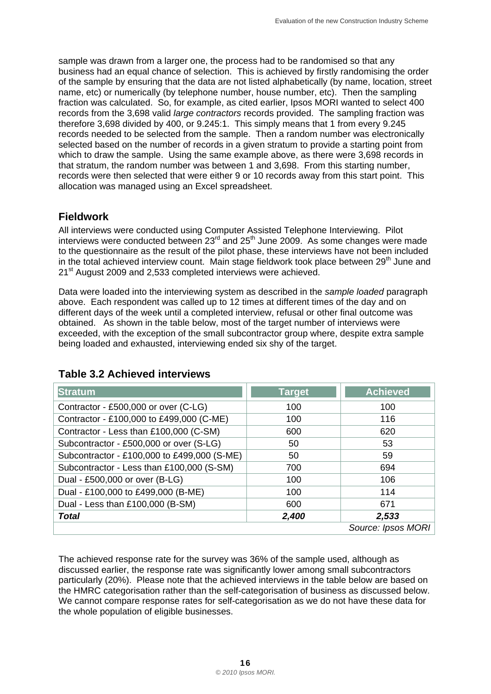sample was drawn from a larger one, the process had to be randomised so that any business had an equal chance of selection. This is achieved by firstly randomising the order of the sample by ensuring that the data are not listed alphabetically (by name, location, street name, etc) or numerically (by telephone number, house number, etc). Then the sampling fraction was calculated. So, for example, as cited earlier, Ipsos MORI wanted to select 400 records from the 3,698 valid *large contractors* records provided. The sampling fraction was therefore 3,698 divided by 400, or 9.245:1. This simply means that 1 from every 9.245 records needed to be selected from the sample. Then a random number was electronically selected based on the number of records in a given stratum to provide a starting point from which to draw the sample. Using the same example above, as there were 3,698 records in that stratum, the random number was between 1 and 3,698. From this starting number, records were then selected that were either 9 or 10 records away from this start point. This allocation was managed using an Excel spreadsheet.

#### **Fieldwork**

All interviews were conducted using Computer Assisted Telephone Interviewing. Pilot interviews were conducted between 23rd and 25th June 2009. As some changes were made to the questionnaire as the result of the pilot phase, these interviews have not been included in the total achieved interview count. Main stage fieldwork took place between  $29<sup>th</sup>$  June and 21<sup>st</sup> August 2009 and 2,533 completed interviews were achieved.

Data were loaded into the interviewing system as described in the *sample loaded* paragraph above. Each respondent was called up to 12 times at different times of the day and on different days of the week until a completed interview, refusal or other final outcome was obtained. As shown in the table below, most of the target number of interviews were exceeded, with the exception of the small subcontractor group where, despite extra sample being loaded and exhausted, interviewing ended six shy of the target.

| <b>Stratum</b>                              | <b>Target</b> | <b>Achieved</b>    |
|---------------------------------------------|---------------|--------------------|
| Contractor - £500,000 or over (C-LG)        | 100           | 100                |
| Contractor - £100,000 to £499,000 (C-ME)    | 100           | 116                |
| Contractor - Less than £100,000 (C-SM)      | 600           | 620                |
| Subcontractor - £500,000 or over (S-LG)     | 50            | 53                 |
| Subcontractor - £100,000 to £499,000 (S-ME) | 50            | 59                 |
| Subcontractor - Less than £100,000 (S-SM)   | 700           | 694                |
| Dual - £500,000 or over (B-LG)              | 100           | 106                |
| Dual - £100,000 to £499,000 (B-ME)          | 100           | 114                |
| Dual - Less than £100,000 (B-SM)            | 600           | 671                |
| <b>Total</b>                                | 2,400         | 2,533              |
|                                             |               | Source: Ipsos MORI |

#### **Table 3.2 Achieved interviews**

The achieved response rate for the survey was 36% of the sample used, although as discussed earlier, the response rate was significantly lower among small subcontractors particularly (20%). Please note that the achieved interviews in the table below are based on the HMRC categorisation rather than the self-categorisation of business as discussed below. We cannot compare response rates for self-categorisation as we do not have these data for the whole population of eligible businesses.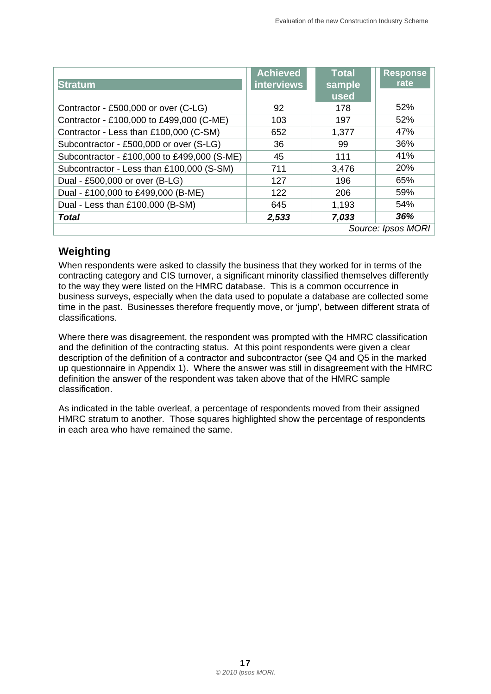|                                             | <b>Achieved</b>   | <b>Total</b> | <b>Response</b>    |
|---------------------------------------------|-------------------|--------------|--------------------|
| <b>Stratum</b>                              | <b>interviews</b> | sample       | rate               |
|                                             |                   | used         |                    |
| Contractor - £500,000 or over (C-LG)        | 92                | 178          | 52%                |
| Contractor - £100,000 to £499,000 (C-ME)    | 103               | 197          | 52%                |
| Contractor - Less than £100,000 (C-SM)      | 652               | 1,377        | 47%                |
| Subcontractor - £500,000 or over (S-LG)     | 36                | 99           | 36%                |
| Subcontractor - £100,000 to £499,000 (S-ME) | 45                | 111          | 41%                |
| Subcontractor - Less than £100,000 (S-SM)   | 711               | 3,476        | 20%                |
| Dual - £500,000 or over (B-LG)              | 127               | 196          | 65%                |
| Dual - £100,000 to £499,000 (B-ME)          | 122               | 206          | 59%                |
| Dual - Less than £100,000 (B-SM)            | 645               | 1,193        | 54%                |
| <b>Total</b>                                | 2,533             | 7,033        | 36%                |
|                                             |                   |              | Source: Ipsos MORI |

#### **Weighting**

When respondents were asked to classify the business that they worked for in terms of the contracting category and CIS turnover, a significant minority classified themselves differently to the way they were listed on the HMRC database. This is a common occurrence in business surveys, especially when the data used to populate a database are collected some time in the past. Businesses therefore frequently move, or 'jump', between different strata of classifications.

Where there was disagreement, the respondent was prompted with the HMRC classification and the definition of the contracting status. At this point respondents were given a clear description of the definition of a contractor and subcontractor (see Q4 and Q5 in the marked up questionnaire in Appendix 1). Where the answer was still in disagreement with the HMRC definition the answer of the respondent was taken above that of the HMRC sample classification.

As indicated in the table overleaf, a percentage of respondents moved from their assigned HMRC stratum to another. Those squares highlighted show the percentage of respondents in each area who have remained the same.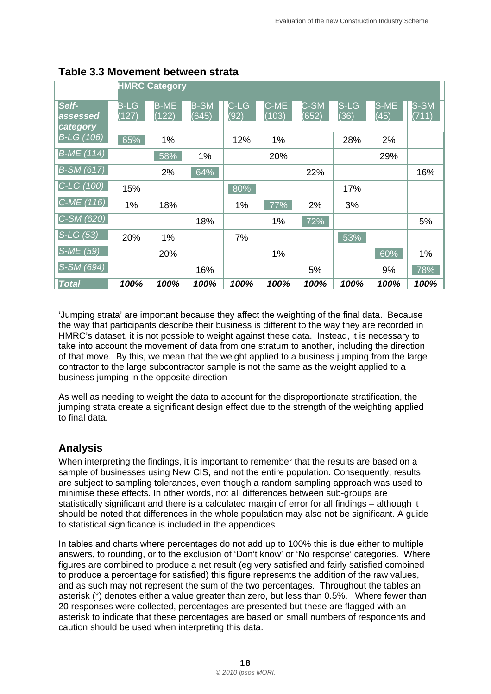|                               | <b>HMRC Category</b> |                      |                      |              |               |               |              |              |               |
|-------------------------------|----------------------|----------------------|----------------------|--------------|---------------|---------------|--------------|--------------|---------------|
| Self-<br>assessed<br>category | <b>B-LG</b><br>(127) | <b>B-ME</b><br>(122) | <b>B-SM</b><br>(645) | C-LG<br>(92) | C-ME<br>(103) | C-SM<br>(652) | S-LG<br>(36) | S-ME<br>(45) | S-SM<br>(711) |
| $B-LG(106)$                   | 65%                  | 1%                   |                      | 12%          | 1%            |               | 28%          | 2%           |               |
| $B-ME(114)$                   |                      | 58%                  | 1%                   |              | 20%           |               |              | 29%          |               |
| $B-SM(617)$                   |                      | 2%                   | 64%                  |              |               | 22%           |              |              | 16%           |
| $C-LG(100)$                   | 15%                  |                      |                      | 80%          |               |               | 17%          |              |               |
| $ C-ME(116) $                 | 1%                   | 18%                  |                      | 1%           | 77%           | 2%            | 3%           |              |               |
| $C-SM (620)$                  |                      |                      | 18%                  |              | 1%            | 72%           |              |              | 5%            |
| $S-LG(53)$                    | 20%                  | 1%                   |                      | 7%           |               |               | 53%          |              |               |
| $S-ME(59)$                    |                      | 20%                  |                      |              | 1%            |               |              | 60%          | 1%            |
| $S-SM(694)$                   |                      |                      | 16%                  |              |               | 5%            |              | 9%           | 78%           |
| <b>Total</b>                  | 100%                 | 100%                 | 100%                 | 100%         | 100%          | 100%          | 100%         | 100%         | 100%          |

#### **Table 3.3 Movement between strata**

'Jumping strata' are important because they affect the weighting of the final data. Because the way that participants describe their business is different to the way they are recorded in HMRC's dataset, it is not possible to weight against these data. Instead, it is necessary to take into account the movement of data from one stratum to another, including the direction of that move. By this, we mean that the weight applied to a business jumping from the large contractor to the large subcontractor sample is not the same as the weight applied to a business jumping in the opposite direction

 to final data. As well as needing to weight the data to account for the disproportionate stratification, the jumping strata create a significant design effect due to the strength of the weighting applied

#### **Analysis**

When interpreting the findings, it is important to remember that the results are based on a sample of businesses using New CIS, and not the entire population. Consequently, results are subject to sampling tolerances, even though a random sampling approach was used to minimise these effects. In other words, not all differences between sub-groups are statistically significant and there is a calculated margin of error for all findings – although it should be noted that differences in the whole population may also not be significant. A guide to statistical significance is included in the appendices

In tables and charts where percentages do not add up to 100% this is due either to multiple answers, to rounding, or to the exclusion of 'Don't know' or 'No response' categories. Where figures are combined to produce a net result (eg very satisfied and fairly satisfied combined to produce a percentage for satisfied) this figure represents the addition of the raw values, and as such may not represent the sum of the two percentages. Throughout the tables an asterisk (\*) denotes either a value greater than zero, but less than 0.5%. Where fewer than 20 responses were collected, percentages are presented but these are flagged with an asterisk to indicate that these percentages are based on small numbers of respondents and caution should be used when interpreting this data.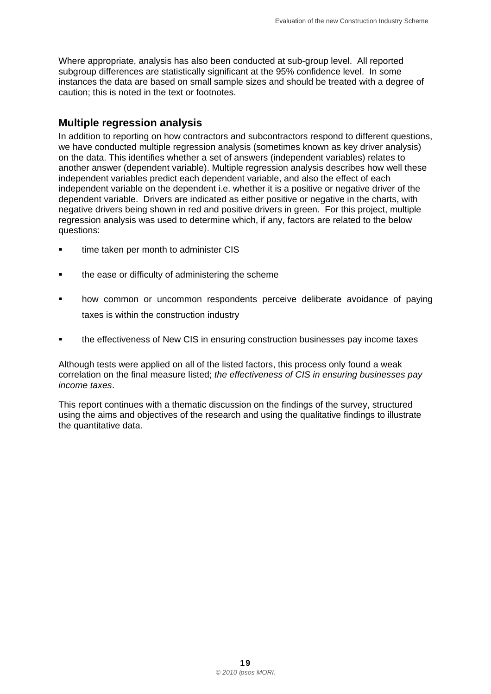Where appropriate, analysis has also been conducted at sub-group level. All reported subgroup differences are statistically significant at the 95% confidence level. In some instances the data are based on small sample sizes and should be treated with a degree of caution; this is noted in the text or footnotes.

#### **Multiple regression analysis**

In addition to reporting on how contractors and subcontractors respond to different questions, we have conducted multiple regression analysis (sometimes known as key driver analysis) on the data. This identifies whether a set of answers (independent variables) relates to another answer (dependent variable). Multiple regression analysis describes how well these independent variables predict each dependent variable, and also the effect of each independent variable on the dependent i.e. whether it is a positive or negative driver of the dependent variable. Drivers are indicated as either positive or negative in the charts, with negative drivers being shown in red and positive drivers in green. For this project, multiple regression analysis was used to determine which, if any, factors are related to the below questions:

- time taken per month to administer CIS
- **the ease or difficulty of administering the scheme**
- how common or uncommon respondents perceive deliberate avoidance of paying taxes is within the construction industry
- the effectiveness of New CIS in ensuring construction businesses pay income taxes

Although tests were applied on all of the listed factors, this process only found a weak correlation on the final measure listed; *the effectiveness of CIS in ensuring businesses pay income taxes*.

This report continues with a thematic discussion on the findings of the survey, structured using the aims and objectives of the research and using the qualitative findings to illustrate the quantitative data.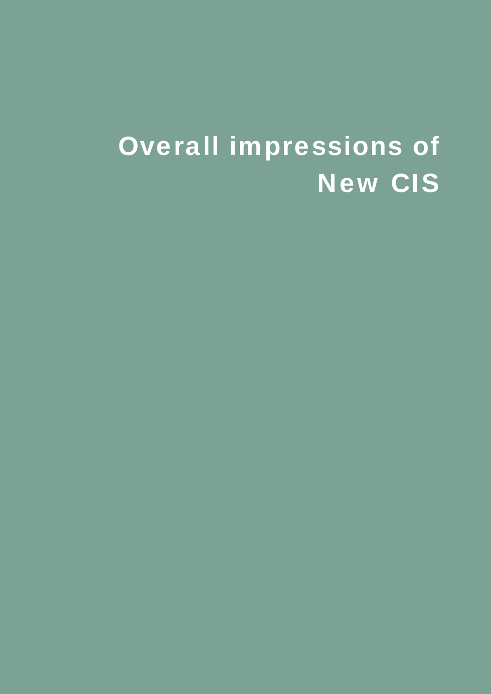# Overall impressions of New CIS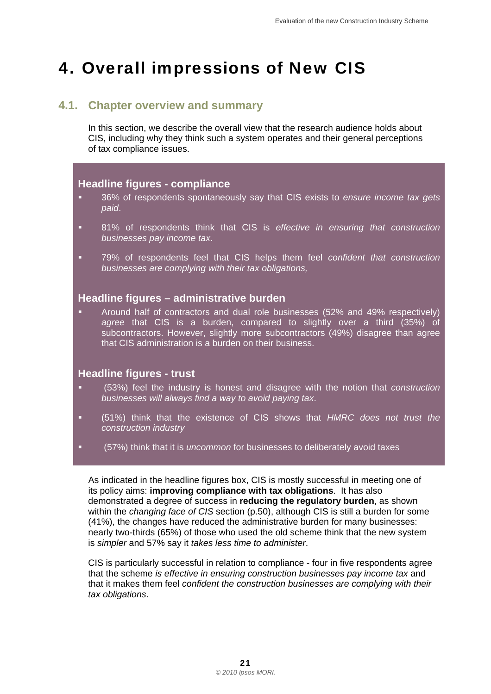## <span id="page-24-0"></span>4. Overall impressions of New CIS

#### **4.1. Chapter overview and summary**

In this section, we describe the overall view that the research audience holds about CIS, including why they think such a system operates and their general perceptions of tax compliance issues.

#### **Headline figures - compliance**

- 36% of respondents spontaneously say that CIS exists to *ensure income tax gets paid*.
- 81% of respondents think that CIS is *effective in ensuring that construction businesses pay income tax*.
- *businesses are complying with their tax obligations,* 79% of respondents feel that CIS helps them feel *confident that construction*

#### **Headline figures – administrative burden**

 Around half of contractors and dual role businesses (52% and 49% respectively) *agree* that CIS is a burden, compared to slightly over a third (35%) of subcontractors. However, slightly more subcontractors (49%) disagree than agree that CIS administration is a burden on their business.

#### **Headline figures - trust**

- (53%) feel the industry is honest and disagree with the notion that *construction businesses will always find a way to avoid paying tax*.
- (51%) think that the existence of CIS shows that *HMRC does not trust the construction industry*
- (57%) think that it is *uncommon* for businesses to deliberately avoid taxes

As indicated in the headline figures box, CIS is mostly successful in meeting one of its policy aims: **improving compliance with tax obligations**. It has also demonstrated a degree of success in **reducing the regulatory burden**, as shown within the *changing face of CIS* section (p.50), although CIS is still a burden for some (41%), the changes have reduced the administrative burden for many businesses: nearly two-thirds (65%) of those who used the old scheme think that the new system is *simpler* and 57% say it *takes less time to administer*.

CIS is particularly successful in relation to compliance - four in five respondents agree that the scheme *is effective in ensuring construction businesses pay income tax* and that it makes them feel *confident the construction businesses are complying with their tax obligations*.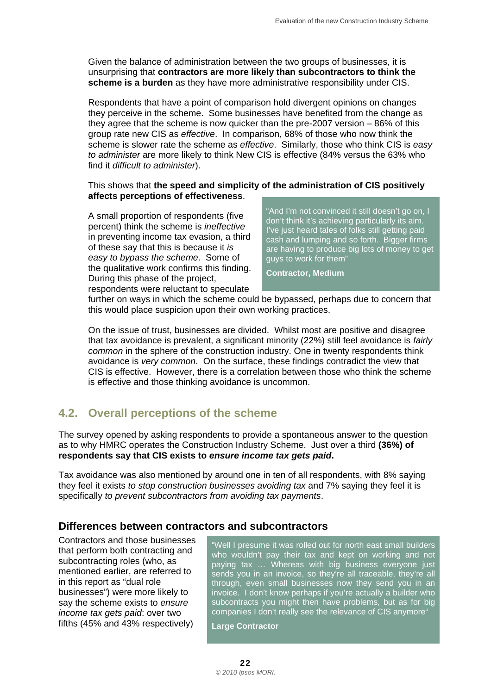<span id="page-25-0"></span>Given the balance of administration between the two groups of businesses, it is unsurprising that **contractors are more likely than subcontractors to think the scheme is a burden** as they have more administrative responsibility under CIS.

Respondents that have a point of comparison hold divergent opinions on changes they perceive in the scheme. Some businesses have benefited from the change as they agree that the scheme is now quicker than the pre-2007 version – 86% of this group rate new CIS as *effective*. In comparison, 68% of those who now think the scheme is slower rate the scheme as *effective*. Similarly, those who think CIS is *easy to administer* are more likely to think New CIS is effective (84% versus the 63% who find it *difficult to administer*).

#### This shows that **the speed and simplicity of the administration of CIS positively affects perceptions of effectiveness**.

easy to bypass the scheme. Some of guys to work for them<sup>"</sup> the qualitative work confirms this finding. **Contractor, Medium** During this phase of the project, respondents were reluctant to speculate

A small proportion of respondents (five "And I'm not convinced it still doesn't go on, I<br>percent) think the scheme is *ineffective*<br>in preventing income tax evasion, a third<br>of these say that this is because it *is*<br>are ha

further on ways in which the scheme could be bypassed, perhaps due to concern that this would place suspicion upon their own working practices.

On the issue of trust, businesses are divided. Whilst most are positive and disagree that tax avoidance is prevalent, a significant minority (22%) still feel avoidance is *fairly common* in the sphere of the construction industry. One in twenty respondents think avoidance is *very common*. On the surface, these findings contradict the view that CIS is effective. However, there is a correlation between those who think the scheme is effective and those thinking avoidance is uncommon.

#### **4.2. Overall perceptions of the scheme**

 **respondents say that CIS exists to** *ensure income tax gets paid***.** The survey opened by asking respondents to provide a spontaneous answer to the question as to why HMRC operates the Construction Industry Scheme. Just over a third **(36%) of** 

Tax avoidance was also mentioned by around one in ten of all respondents, with 8% saying they feel it exists *to stop construction businesses avoiding tax* and 7% saying they feel it is specifically *to prevent subcontractors from avoiding tax payments*.

#### **Differences between contractors and subcontractors**

fifths (45% and 43% respectively) **Large Contractor** 

Contractors and those businesses<br>that perform both contracting and<br>subcontracting roles (who, as<br>mentioned earlier, are referred to<br>in this report as "dual role<br>businesses") were more likely to<br>businesses") were more likel invoice. I don't know perhaps if you're actually a builder who say the scheme exists to ensure subcontracts you might then have problems, but as for big *income tax gets paid:* over two companies I don't really see the relevance of CIS anymore"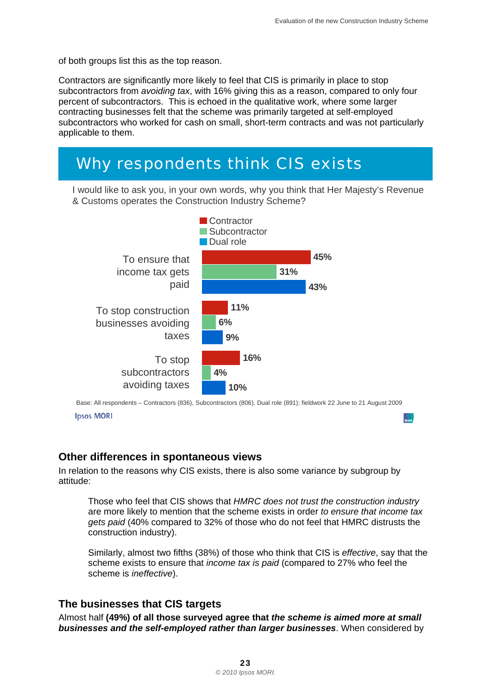of both groups list this as the top reason.

Contractors are significantly more likely to feel that CIS is primarily in place to stop subcontractors from *avoiding tax*, with 16% giving this as a reason, compared to only four percent of subcontractors. This is echoed in the qualitative work, where some larger contracting businesses felt that the scheme was primarily targeted at self-employed subcontractors who worked for cash on small, short-term contracts and was not particularly applicable to them.

## *Why respondents think CIS exists*

 I would like to ask you, in your own words, why you think that Her Majesty's Revenue & Customs operates the Construction Industry Scheme?



 Base: All respondents – Contractors (836), Subcontractors (806), Dual role (891); fieldwork 22 June to 21 August 2009 **Ipsos MORI** 

#### **Other differences in spontaneous views**

In relation to the reasons why CIS exists, there is also some variance by subgroup by attitude:

Those who feel that CIS shows that *HMRC does not trust the construction industry*  are more likely to mention that the scheme exists in order *to ensure that income tax gets paid* (40% compared to 32% of those who do not feel that HMRC distrusts the construction industry).

Similarly, almost two fifths (38%) of those who think that CIS is *effective*, say that the scheme exists to ensure that *income tax is paid* (compared to 27% who feel the scheme is *ineffective*).

#### **The businesses that CIS targets**

Almost half **(49%) of all those surveyed agree that** *the scheme is aimed more at small businesses and the self-employed rather than larger businesses*. When considered by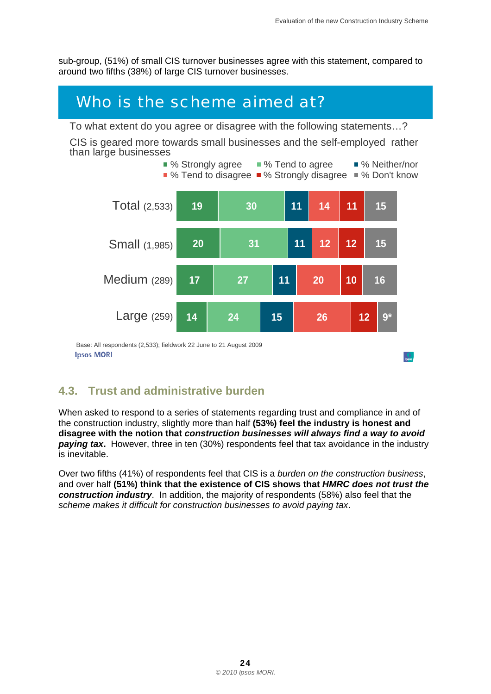sub-group, (51%) of small CIS turnover businesses agree with this statement, compared to around two fifths (38%) of large CIS turnover businesses.

## *Who is the scheme aimed at?*

To what extent do you agree or disagree with the following statements…?

CIS is geared more towards small businesses and the self-employed rather than large businesses



#### **4.3. Trust and administrative burden**

When asked to respond to a series of statements regarding trust and compliance in and of the construction industry, slightly more than half **(53%) feel the industry is honest and disagree with the notion that** *construction businesses will always find a way to avoid paying tax.* However, three in ten (30%) respondents feel that tax avoidance in the industry is inevitable.

Over two fifths (41%) of respondents feel that CIS is a *burden on the construction business*, and over half **(51%) think that the existence of CIS shows that** *HMRC does not trust the construction industry*. In addition, the majority of respondents (58%) also feel that the *scheme makes it difficult for construction businesses to avoid paying tax*.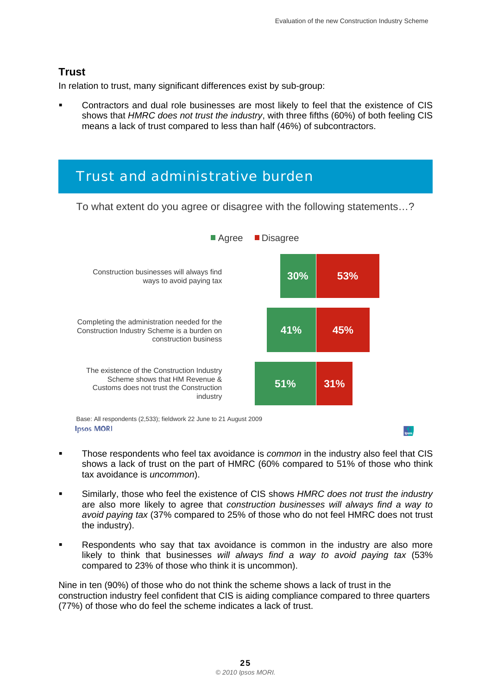#### **Trust**

In relation to trust, many significant differences exist by sub-group:

 Contractors and dual role businesses are most likely to feel that the existence of CIS shows that *HMRC does not trust the industry*, with three fifths (60%) of both feeling CIS means a lack of trust compared to less than half (46%) of subcontractors.

### *Trust and administrative burden*

To what extent do you agree or disagree with the following statements…?



- Those respondents who feel tax avoidance is *common* in the industry also feel that CIS shows a lack of trust on the part of HMRC (60% compared to 51% of those who think tax avoidance is *uncommon*).
- Similarly, those who feel the existence of CIS shows *HMRC does not trust the industry*  are also more likely to agree that *construction businesses will always find a way to avoid paying tax* (37% compared to 25% of those who do not feel HMRC does not trust the industry).
- Respondents who say that tax avoidance is common in the industry are also more likely to think that businesses *will always find a way to avoid paying tax* (53% compared to 23% of those who think it is uncommon).

Nine in ten (90%) of those who do not think the scheme shows a lack of trust in the construction industry feel confident that CIS is aiding compliance compared to three quarters (77%) of those who do feel the scheme indicates a lack of trust.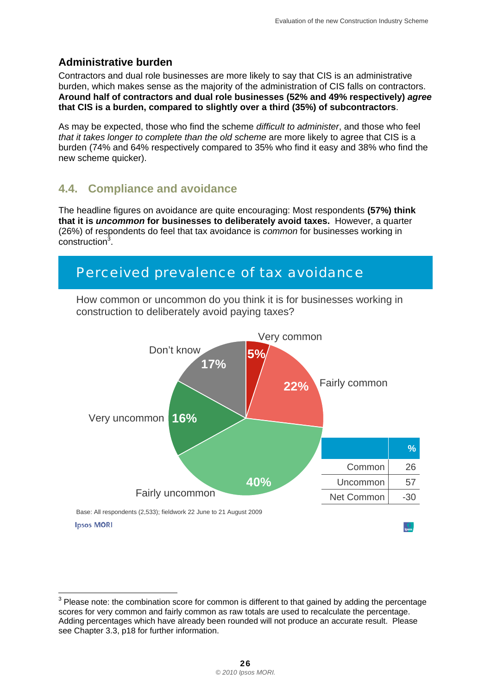#### <span id="page-29-0"></span>**Administrative burden**

 **Around half of contractors and dual role businesses (52% and 49% respectively)** *agree*  Contractors and dual role businesses are more likely to say that CIS is an administrative burden, which makes sense as the majority of the administration of CIS falls on contractors. **that CIS is a burden, compared to slightly over a third (35%) of subcontractors**.

As may be expected, those who find the scheme *difficult to administer*, and those who feel *that it takes longer to complete than the old scheme* are more likely to agree that CIS is a burden (74% and 64% respectively compared to 35% who find it easy and 38% who find the new scheme quicker).

#### **4.4. Compliance and avoidance**

The headline figures on avoidance are quite encouraging: Most respondents **(57%) think that it is** *uncommon* **for businesses to deliberately avoid taxes.** However, a quarter (26%) of respondents do feel that tax avoidance is *common* for businesses working in construction<sup>3</sup>.

### *Perceived prevalence of tax avoidance*



How common or uncommon do you think it is for businesses working in construction to deliberately avoid paying taxes?

 3 Please note: the combination score for common is different to that gained by adding the percentage scores for very common and fairly common as raw totals are used to recalculate the percentage. Adding percentages which have already been rounded will not produce an accurate result. Please see Chapter 3.3, p18 for further information.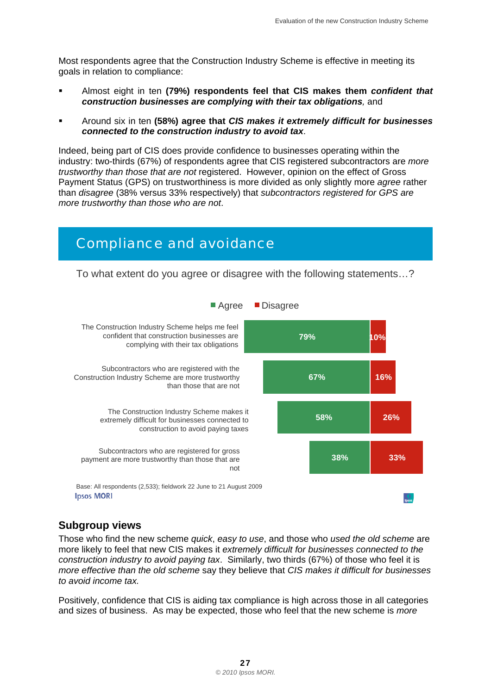Most respondents agree that the Construction Industry Scheme is effective in meeting its goals in relation to compliance:

- Almost eight in ten **(79%) respondents feel that CIS makes them** *confident that construction businesses are complying with their tax obligations,* and
- Around six in ten **(58%) agree that** *CIS makes it extremely difficult for businesses connected to the construction industry to avoid tax*.

Indeed, being part of CIS does provide confidence to businesses operating within the industry: two-thirds (67%) of respondents agree that CIS registered subcontractors are *more trustworthy than those that are not* registered. However, opinion on the effect of Gross Payment Status (GPS) on trustworthiness is more divided as only slightly more *agree* rather than *disagree* (38% versus 33% respectively) that *subcontractors registered for GPS are more trustworthy than those who are not*.

### *Compliance and avoidance*

To what extent do you agree or disagree with the following statements…?



#### **Subgroup views**

Those who find the new scheme *quick*, *easy to use*, and those who *used the old scheme* are more likely to feel that new CIS makes it *extremely difficult for businesses connected to the construction industry to avoid paying tax*. Similarly, two thirds (67%) of those who feel it is *more effective than the old scheme* say they believe that *CIS makes it difficult for businesses to avoid income tax.* 

Positively, confidence that CIS is aiding tax compliance is high across those in all categories and sizes of business. As may be expected, those who feel that the new scheme is *more*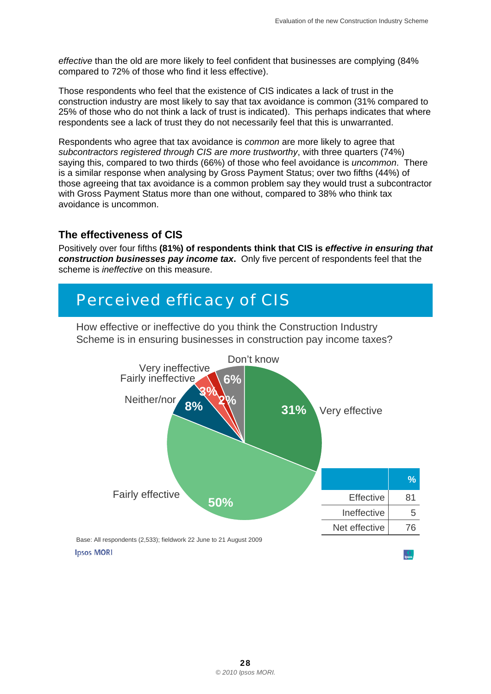*effective* than the old are more likely to feel confident that businesses are complying (84% compared to 72% of those who find it less effective).

Those respondents who feel that the existence of CIS indicates a lack of trust in the construction industry are most likely to say that tax avoidance is common (31% compared to 25% of those who do not think a lack of trust is indicated). This perhaps indicates that where respondents see a lack of trust they do not necessarily feel that this is unwarranted.

Respondents who agree that tax avoidance is *common* are more likely to agree that *subcontractors registered through CIS are more trustworthy*, with three quarters (74%) saying this, compared to two thirds (66%) of those who feel avoidance is *uncommon*. There is a similar response when analysing by Gross Payment Status; over two fifths (44%) of those agreeing that tax avoidance is a common problem say they would trust a subcontractor with Gross Payment Status more than one without, compared to 38% who think tax avoidance is uncommon.

#### **The effectiveness of CIS**

Positively over four fifths **(81%) of respondents think that CIS is** *effective in ensuring that construction businesses pay income tax***.** Only five percent of respondents feel that the scheme is *ineffective* on this measure.

## *Perceived efficacy of CIS*

How effective or ineffective do you think the Construction Industry Scheme is in ensuring businesses in construction pay income taxes?

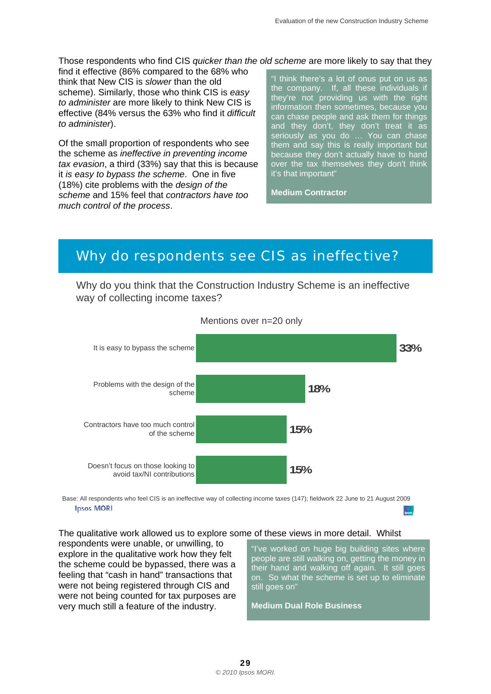Those respondents who find CIS *quicker than the old scheme* are more likely to say that they

find it effective (86% compared to the 68% who think that New CIS is *slower* than the old scheme). Similarly, those who think CIS is *easy to administer* are more likely to think New CIS is effective (84% versus the 63% who find it *difficult to administer*).

Of the small proportion of respondents who see the scheme as *ineffective in preventing income tax evasion*, a third (33%) say that this is because it *is easy to bypass the scheme*. One in five (18%) cite problems with the *design of the scheme* and 15% feel that *contractors have too much control of the process*.

'I think there's a lot of onus put on us as the company. If, all these individuals if they're not providing us with the right information then sometimes, because you can chase people and ask them for things and they don't, they don't treat it as seriously as you do … You can chase them and say this is really important but because they don't actually have to hand over the tax themselves they don't think it's that important"

**Medium Contractor** 

### *Why do respondents see CIS as ineffective?*

Why do you think that the Construction Industry Scheme is an ineffective way of collecting income taxes?



Mentions over n=20 only

 Base: All respondents who feel CIS is an ineffective way of collecting income taxes (147); fieldwork 22 June to 21 August 2009 **Ipsos MORI** 

#### The qualitative work allowed us to explore some of these views in more detail. Whilst

respondents were unable, or unwilling, to explore in the qualitative work how they felt the scheme could be bypassed, there was a feeling that "cash in hand" transactions that were not being registered through CIS and were not being counted for tax purposes are very much still a feature of the industry.

"I've worked on huge big building sites where people are still walking on, getting the money in their hand and walking off again. It still goes on. So what the scheme is set up to eliminate still goes on"

**Medium Dual Role Business**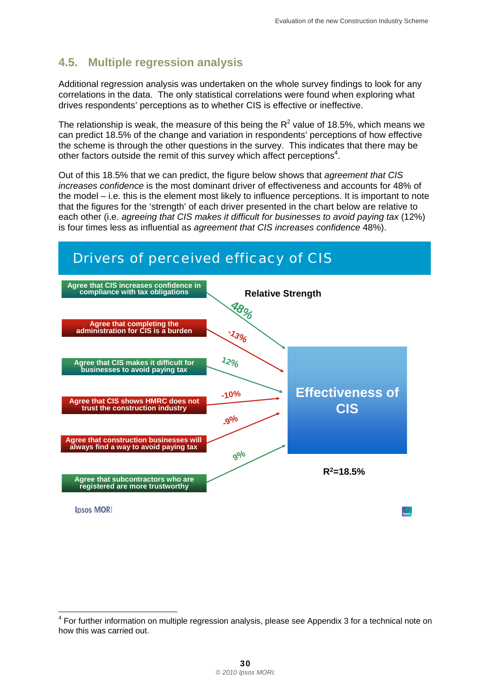#### <span id="page-33-0"></span>**4.5. Multiple regression analysis**

Additional regression analysis was undertaken on the whole survey findings to look for any correlations in the data. The only statistical correlations were found when exploring what drives respondents' perceptions as to whether CIS is effective or ineffective.

The relationship is weak, the measure of this being the  $R^2$  value of 18.5%, which means we can predict 18.5% of the change and variation in respondents' perceptions of how effective the scheme is through the other questions in the survey. This indicates that there may be other factors outside the remit of this survey which affect perceptions<sup>4</sup>.

Out of this 18.5% that we can predict, the figure below shows that *agreement that CIS increases confidence* is the most dominant driver of effectiveness and accounts for 48% of the model – i.e. this is the element most likely to influence perceptions. It is important to note that the figures for the 'strength' of each driver presented in the chart below are relative to each other (i.e. *agreeing that CIS makes it difficult for businesses to avoid paying tax* (12%) is four times less as influential as *agreement that CIS increases confidence* 48%).



l

<sup>&</sup>lt;sup>4</sup> For further information on multiple regression analysis, please see Appendix 3 for a technical note on how this was carried out.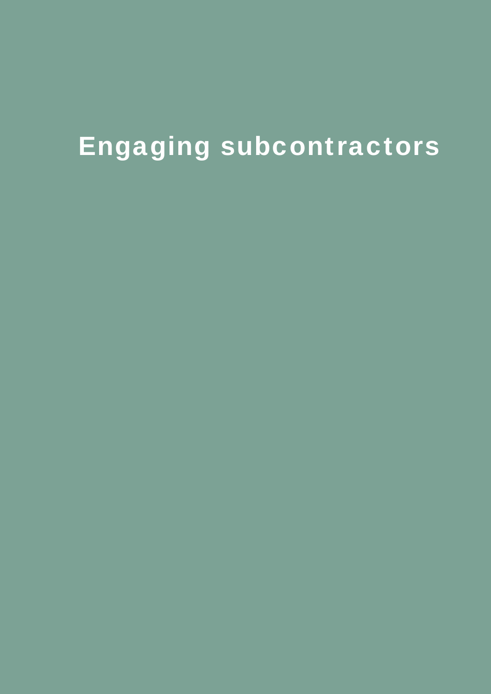# Engaging subcontractors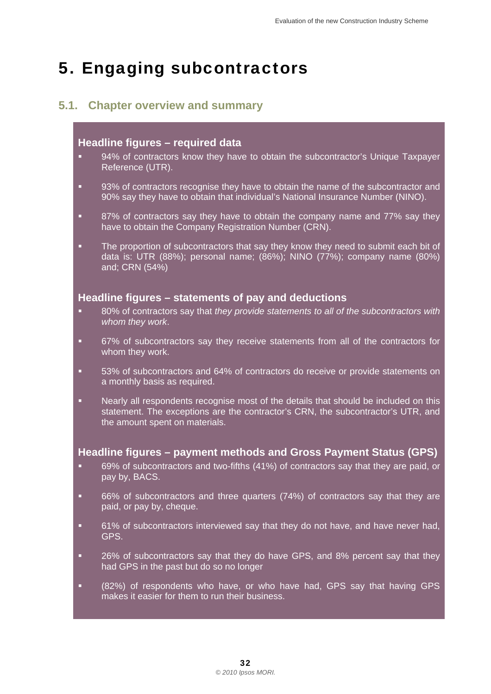## <span id="page-35-0"></span>5. Engaging subcontractors

#### **5.1. Chapter overview and summary**

#### **Headline figures – required data**

- 94% of contractors know they have to obtain the subcontractor's Unique Taxpayer Reference (UTR).
- 93% of contractors recognise they have to obtain the name of the subcontractor and 90% say they have to obtain that individual's National Insurance Number (NINO).
- 87% of contractors say they have to obtain the company name and 77% say they have to obtain the Company Registration Number (CRN).
- **The proportion of subcontractors that say they know they need to submit each bit of** data is: UTR (88%); personal name; (86%); NINO (77%); company name (80%) and; CRN (54%)

#### **Headline figures – statements of pay and deductions**

- 80% of contractors say that *they provide statements to all of the subcontractors with whom they work*.
- 67% of subcontractors say they receive statements from all of the contractors for whom they work.
- 53% of subcontractors and 64% of contractors do receive or provide statements on a monthly basis as required.
- Nearly all respondents recognise most of the details that should be included on this statement. The exceptions are the contractor's CRN, the subcontractor's UTR, and the amount spent on materials.

#### **Headline figures – payment methods and Gross Payment Status (GPS)**

- 69% of subcontractors and two-fifths (41%) of contractors say that they are paid, or pay by, BACS.
- 66% of subcontractors and three quarters (74%) of contractors say that they are paid, or pay by, cheque.
- **61%** of subcontractors interviewed say that they do not have, and have never had, GPS.
- **26% of subcontractors say that they do have GPS, and 8% percent say that they** had GPS in the past but do so no longer
- (82%) of respondents who have, or who have had, GPS say that having GPS makes it easier for them to run their business.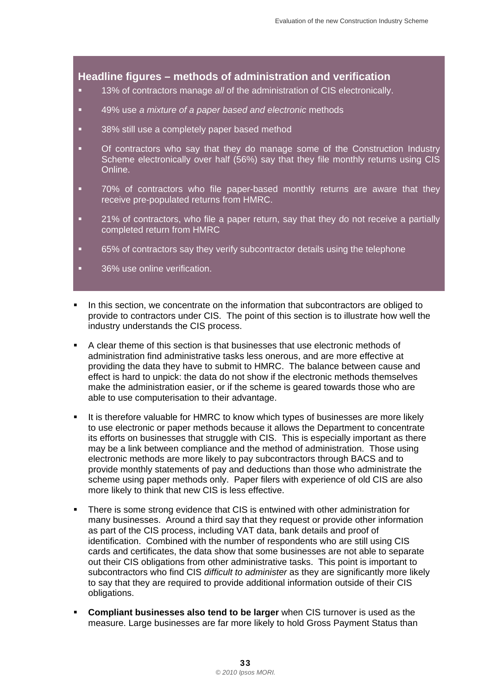#### **Headline figures – methods of administration and verification**

- 13% of contractors manage *all* of the administration of CIS electronically.
- 49% use *a mixture of a paper based and electronic* methods
- **38% still use a completely paper based method**
- **•** Of contractors who say that they do manage some of the Construction Industry Scheme electronically over half (56%) say that they file monthly returns using CIS Online.
- 70% of contractors who file paper-based monthly returns are aware that they receive pre-populated returns from HMRC.
- 21% of contractors, who file a paper return, say that they do not receive a partially completed return from HMRC
- 65% of contractors say they verify subcontractor details using the telephone
- 36% use online verification.
- In this section, we concentrate on the information that subcontractors are obliged to provide to contractors under CIS. The point of this section is to illustrate how well the industry understands the CIS process.
- A clear theme of this section is that businesses that use electronic methods of administration find administrative tasks less onerous, and are more effective at providing the data they have to submit to HMRC. The balance between cause and effect is hard to unpick: the data do not show if the electronic methods themselves make the administration easier, or if the scheme is geared towards those who are able to use computerisation to their advantage.
- It is therefore valuable for HMRC to know which types of businesses are more likely to use electronic or paper methods because it allows the Department to concentrate its efforts on businesses that struggle with CIS. This is especially important as there may be a link between compliance and the method of administration. Those using electronic methods are more likely to pay subcontractors through BACS and to provide monthly statements of pay and deductions than those who administrate the scheme using paper methods only. Paper filers with experience of old CIS are also more likely to think that new CIS is less effective.
- There is some strong evidence that CIS is entwined with other administration for many businesses. Around a third say that they request or provide other information as part of the CIS process, including VAT data, bank details and proof of identification. Combined with the number of respondents who are still using CIS cards and certificates, the data show that some businesses are not able to separate out their CIS obligations from other administrative tasks. This point is important to subcontractors who find CIS *difficult to administer* as they are significantly more likely to say that they are required to provide additional information outside of their CIS obligations.
- **Compliant businesses also tend to be larger** when CIS turnover is used as the measure. Large businesses are far more likely to hold Gross Payment Status than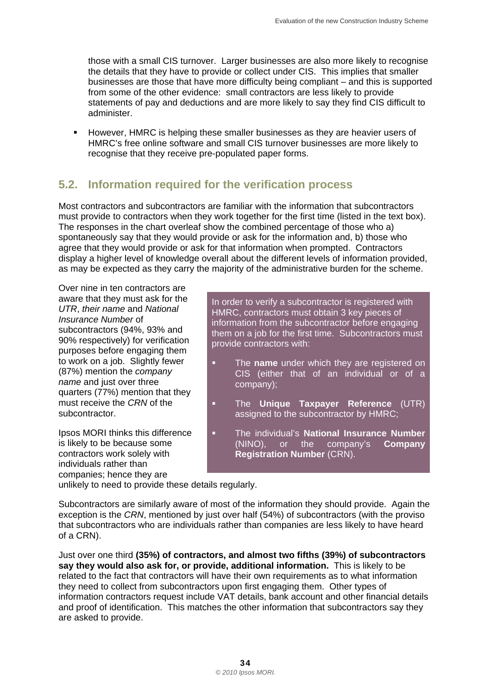those with a small CIS turnover. Larger businesses are also more likely to recognise the details that they have to provide or collect under CIS. This implies that smaller businesses are those that have more difficulty being compliant – and this is supported from some of the other evidence: small contractors are less likely to provide statements of pay and deductions and are more likely to say they find CIS difficult to administer.

**However, HMRC is helping these smaller businesses as they are heavier users of** HMRC's free online software and small CIS turnover businesses are more likely to recognise that they receive pre-populated paper forms.

#### **5.2. Information required for the verification process**

Most contractors and subcontractors are familiar with the information that subcontractors must provide to contractors when they work together for the first time (listed in the text box). The responses in the chart overleaf show the combined percentage of those who a) spontaneously say that they would provide or ask for the information and, b) those who agree that they would provide or ask for that information when prompted. Contractors display a higher level of knowledge overall about the different levels of information provided, as may be expected as they carry the majority of the administrative burden for the scheme.

Over nine in ten contractors are

individuals rather than companies; hence they are

aware that they must ask for the<br>
UTR, their name and National<br>
In order to verify a subcontractor is registered with<br>
In order to verify a subcontractor is registered with<br>
IMRC, contractors must obtain 3 key pieces of<br>
I

- to work on a job. Slightly fewer **The name** under which they are registered on (87%) mention the *company* CIS (either that of an individual or of a (87%) mention the *company* and company company);<br>*name* and just over three company); determines (77%) mention that they
- must receive the *CRN* of the **The Unique Taxpayer Reference** (UTR) subcontractor. The subcontractor assigned to the subcontractor by HMRC;
- Ipsos MORI thinks this difference **The individual's National Insurance Number** is likely to be because some (NINO), or the company's **Company** contractors work solely with **Registration Number** (CRN).

unlikely to need to provide these details regularly.

Subcontractors are similarly aware of most of the information they should provide. Again the exception is the *CRN*, mentioned by just over half (54%) of subcontractors (with the proviso that subcontractors who are individuals rather than companies are less likely to have heard of a CRN).

Just over one third **(35%) of contractors, and almost two fifths (39%) of subcontractors say they would also ask for, or provide, additional information.** This is likely to be related to the fact that contractors will have their own requirements as to what information they need to collect from subcontractors upon first engaging them. Other types of information contractors request include VAT details, bank account and other financial details and proof of identification. This matches the other information that subcontractors say they are asked to provide.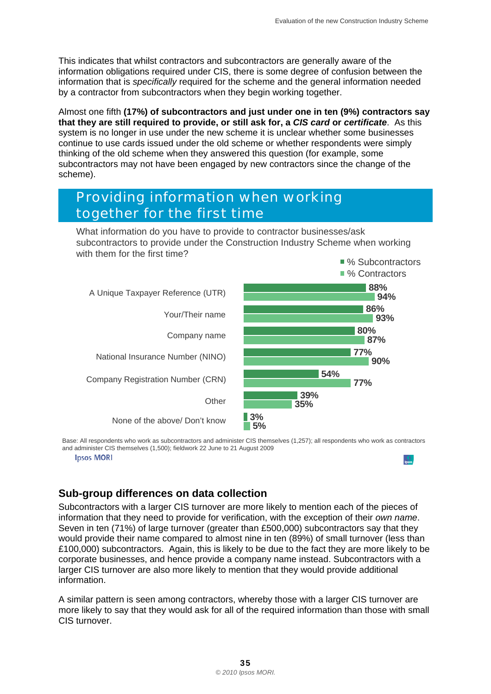This indicates that whilst contractors and subcontractors are generally aware of the information obligations required under CIS, there is some degree of confusion between the information that is *specifically* required for the scheme and the general information needed by a contractor from subcontractors when they begin working together.

Almost one fifth **(17%) of subcontractors and just under one in ten (9%) contractors say that they are still required to provide, or still ask for, a** *CIS card* **or** *certificate*. As this system is no longer in use under the new scheme it is unclear whether some businesses continue to use cards issued under the old scheme or whether respondents were simply thinking of the old scheme when they answered this question (for example, some subcontractors may not have been engaged by new contractors since the change of the scheme).

### *Providing information when working together for the first time*

What information do you have to provide to contractor businesses/ask subcontractors to provide under the Construction Industry Scheme when working with them for the first time?



 and administer CIS themselves (1,500); fieldwork 22 June to 21 August 2009 Base: All respondents who work as subcontractors and administer CIS themselves (1,257); all respondents who work as contractors

**Ipsos MORI** 

#### **Sub-group differences on data collection**

Subcontractors with a larger CIS turnover are more likely to mention each of the pieces of information that they need to provide for verification, with the exception of their *own name*. Seven in ten (71%) of large turnover (greater than £500,000) subcontractors say that they would provide their name compared to almost nine in ten (89%) of small turnover (less than £100,000) subcontractors. Again, this is likely to be due to the fact they are more likely to be corporate businesses, and hence provide a company name instead. Subcontractors with a larger CIS turnover are also more likely to mention that they would provide additional information.

A similar pattern is seen among contractors, whereby those with a larger CIS turnover are more likely to say that they would ask for all of the required information than those with small CIS turnover.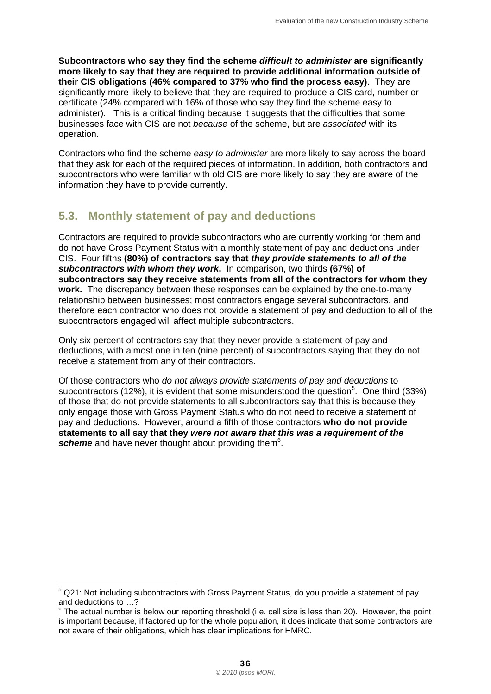**Subcontractors who say they find the scheme** *difficult to administer* **are significantly more likely to say that they are required to provide additional information outside of their CIS obligations (46% compared to 37% who find the process easy)**. They are significantly more likely to believe that they are required to produce a CIS card, number or certificate (24% compared with 16% of those who say they find the scheme easy to administer). This is a critical finding because it suggests that the difficulties that some businesses face with CIS are not *because* of the scheme, but are *associated* with its operation.

Contractors who find the scheme *easy to administer* are more likely to say across the board that they ask for each of the required pieces of information. In addition, both contractors and subcontractors who were familiar with old CIS are more likely to say they are aware of the information they have to provide currently.

#### **5.3. Monthly statement of pay and deductions**

Contractors are required to provide subcontractors who are currently working for them and do not have Gross Payment Status with a monthly statement of pay and deductions under CIS. Four fifths **(80%) of contractors say that** *they provide statements to all of the subcontractors with whom they work***.** In comparison, two thirds **(67%) of subcontractors say they receive statements from all of the contractors for whom they work.** The discrepancy between these responses can be explained by the one-to-many relationship between businesses; most contractors engage several subcontractors, and therefore each contractor who does not provide a statement of pay and deduction to all of the subcontractors engaged will affect multiple subcontractors.

Only six percent of contractors say that they never provide a statement of pay and deductions, with almost one in ten (nine percent) of subcontractors saying that they do not receive a statement from any of their contractors.

Of those contractors who *do not always provide statements of pay and deductions* to subcontractors (12%), it is evident that some misunderstood the question<sup>5</sup>. One third (33%) of those that do not provide statements to all subcontractors say that this is because they only engage those with Gross Payment Status who do not need to receive a statement of pay and deductions. However, around a fifth of those contractors **who do not provide statements to all say that they** *were not aware that this was a requirement of the*  scheme and have never thought about providing them<sup>6</sup>.

 5 Q21: Not including subcontractors with Gross Payment Status, do you provide a statement of pay and deductions to …?

 $6$  The actual number is below our reporting threshold (i.e. cell size is less than 20). However, the point is important because, if factored up for the whole population, it does indicate that some contractors are not aware of their obligations, which has clear implications for HMRC.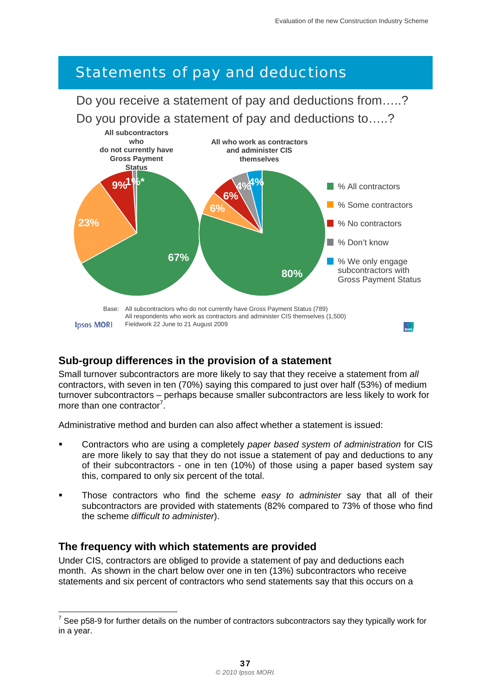# *Statements of pay and deductions*

Do you receive a statement of pay and deductions from…..? Do you provide a statement of pay and deductions to…..?



#### **Sub-group differences in the provision of a statement**

Small turnover subcontractors are more likely to say that they receive a statement from *all*  contractors, with seven in ten (70%) saying this compared to just over half (53%) of medium turnover subcontractors – perhaps because smaller subcontractors are less likely to work for more than one contractor<sup>7</sup>.

Administrative method and burden can also affect whether a statement is issued:

- Contractors who are using a completely *paper based system of administration* for CIS are more likely to say that they do not issue a statement of pay and deductions to any of their subcontractors - one in ten (10%) of those using a paper based system say this, compared to only six percent of the total.
- Those contractors who find the scheme *easy to administer* say that all of their subcontractors are provided with statements (82% compared to 73% of those who find the scheme *difficult to administer*).

#### **The frequency with which statements are provided**

l

Under CIS, contractors are obliged to provide a statement of pay and deductions each month. As shown in the chart below over one in ten (13%) subcontractors who receive statements and six percent of contractors who send statements say that this occurs on a

 $7$  See p58-9 for further details on the number of contractors subcontractors say they typically work for in a year.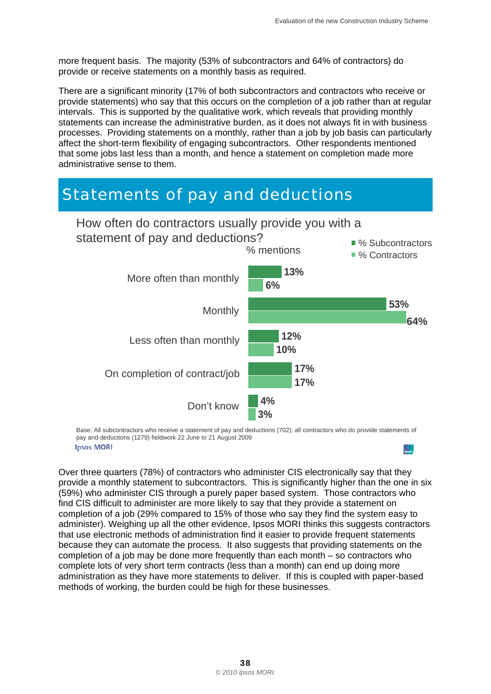more frequent basis. The majority (53% of subcontractors and 64% of contractors) do provide or receive statements on a monthly basis as required.

There are a significant minority (17% of both subcontractors and contractors who receive or provide statements) who say that this occurs on the completion of a job rather than at regular intervals. This is supported by the qualitative work, which reveals that providing monthly statements can increase the administrative burden, as it does not always fit in with business processes. Providing statements on a monthly, rather than a job by job basis can particularly affect the short-term flexibility of engaging subcontractors. Other respondents mentioned that some jobs last less than a month, and hence a statement on completion made more administrative sense to them.

# *Statements of pay and deductions*  How often do contractors usually provide you with a



 Base: All subcontractors who receive a statement of pay and deductions (702); all contractors who do provide statements of pay and deductions (1279) fieldwork 22 June to 21 August 2009 **Ipsos MORI**  $\int$ <sub>lpsos</sub>

Over three quarters (78%) of contractors who administer CIS electronically say that they provide a monthly statement to subcontractors. This is significantly higher than the one in six (59%) who administer CIS through a purely paper based system. Those contractors who find CIS difficult to administer are more likely to say that they provide a statement on completion of a job (29% compared to 15% of those who say they find the system easy to administer). Weighing up all the other evidence, Ipsos MORI thinks this suggests contractors that use electronic methods of administration find it easier to provide frequent statements because they can automate the process. It also suggests that providing statements on the completion of a job may be done more frequently than each month – so contractors who complete lots of very short term contracts (less than a month) can end up doing more administration as they have more statements to deliver. If this is coupled with paper-based methods of working, the burden could be high for these businesses.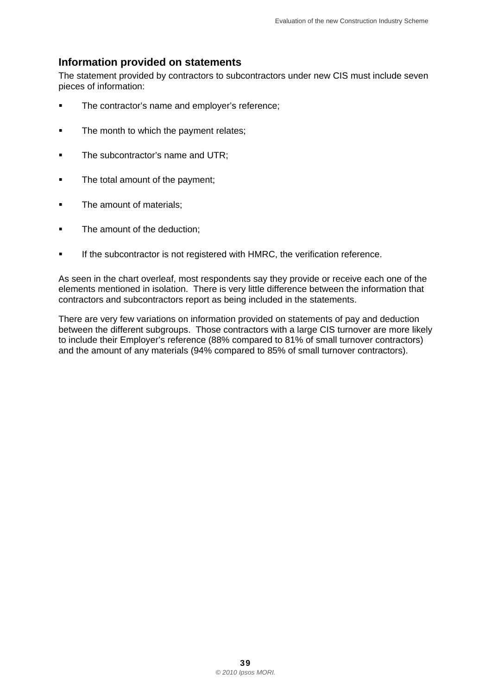#### **Information provided on statements**

The statement provided by contractors to subcontractors under new CIS must include seven pieces of information:

- The contractor's name and employer's reference;
- The month to which the payment relates;
- **The subcontractor's name and UTR:**
- The total amount of the payment:
- The amount of materials;
- The amount of the deduction:
- **If the subcontractor is not registered with HMRC, the verification reference.**

As seen in the chart overleaf, most respondents say they provide or receive each one of the elements mentioned in isolation. There is very little difference between the information that contractors and subcontractors report as being included in the statements.

There are very few variations on information provided on statements of pay and deduction between the different subgroups. Those contractors with a large CIS turnover are more likely to include their Employer's reference (88% compared to 81% of small turnover contractors) and the amount of any materials (94% compared to 85% of small turnover contractors).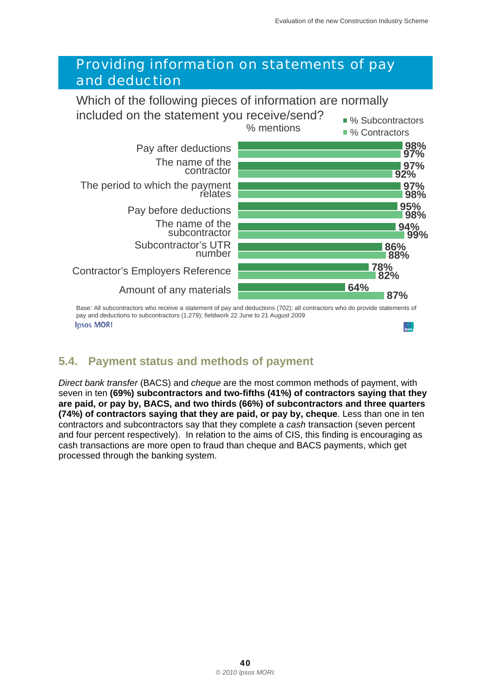

 Base: All subcontractors who receive a statement of pay and deductions (702); all contractors who do provide statements of pay and deductions to subcontractors (1,279); fieldwork 22 June to 21 August 2009 **Ipsos MORI** 

#### **5.4. Payment status and methods of payment**

*Direct bank transfer* (BACS) and *cheque* are the most common methods of payment, with seven in ten **(69%) subcontractors and two-fifths (41%) of contractors saying that they are paid, or pay by, BACS, and two thirds (66%) of subcontractors and three quarters (74%) of contractors saying that they are paid, or pay by, cheque**. Less than one in ten contractors and subcontractors say that they complete a *cash* transaction (seven percent and four percent respectively). In relation to the aims of CIS, this finding is encouraging as cash transactions are more open to fraud than cheque and BACS payments, which get processed through the banking system.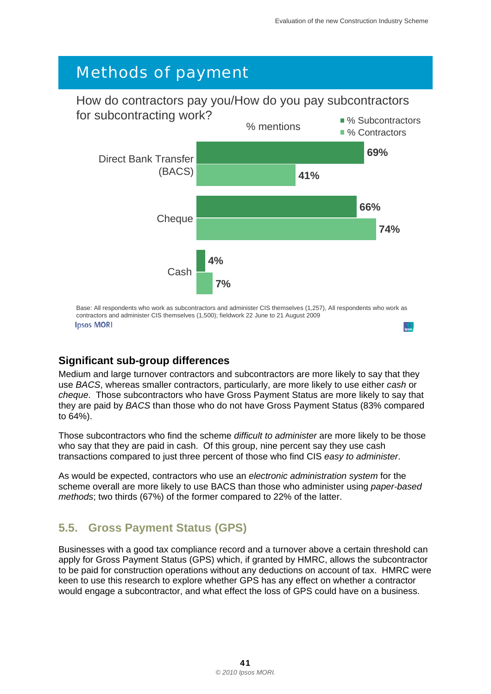# *Methods of payment*

# How do contractors pay you/How do you pay subcontractors



**Ipsos MORI** 

#### **Significant sub-group differences**

Medium and large turnover contractors and subcontractors are more likely to say that they use *BACS*, whereas smaller contractors, particularly, are more likely to use either *cash* or *cheque*. Those subcontractors who have Gross Payment Status are more likely to say that they are paid by *BACS* than those who do not have Gross Payment Status (83% compared to 64%).

Those subcontractors who find the scheme *difficult to administer* are more likely to be those who say that they are paid in cash. Of this group, nine percent say they use cash transactions compared to just three percent of those who find CIS *easy to administer*.

As would be expected, contractors who use an *electronic administration system* for the scheme overall are more likely to use BACS than those who administer using *paper-based methods*; two thirds (67%) of the former compared to 22% of the latter.

#### **5.5. Gross Payment Status (GPS)**

Businesses with a good tax compliance record and a turnover above a certain threshold can apply for Gross Payment Status (GPS) which, if granted by HMRC, allows the subcontractor to be paid for construction operations without any deductions on account of tax. HMRC were keen to use this research to explore whether GPS has any effect on whether a contractor would engage a subcontractor, and what effect the loss of GPS could have on a business.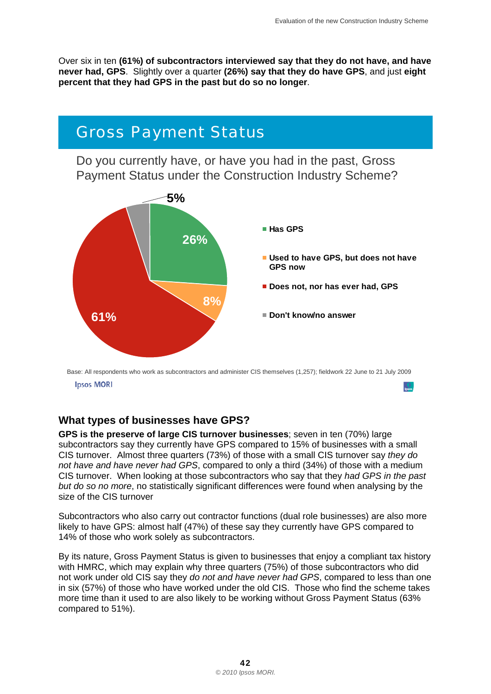Over six in ten **(61%) of subcontractors interviewed say that they do not have, and have never had, GPS**. Slightly over a quarter **(26%) say that they do have GPS**, and just **eight percent that they had GPS in the past but do so no longer**.



**Ipsos MORI** 

#### **What types of businesses have GPS?**

**GPS is the preserve of large CIS turnover businesses**; seven in ten (70%) large subcontractors say they currently have GPS compared to 15% of businesses with a small CIS turnover. Almost three quarters (73%) of those with a small CIS turnover say *they do not have and have never had GPS*, compared to only a third (34%) of those with a medium CIS turnover. When looking at those subcontractors who say that they *had GPS in the past but do so no more*, no statistically significant differences were found when analysing by the size of the CIS turnover

Subcontractors who also carry out contractor functions (dual role businesses) are also more likely to have GPS: almost half (47%) of these say they currently have GPS compared to 14% of those who work solely as subcontractors.

By its nature, Gross Payment Status is given to businesses that enjoy a compliant tax history with HMRC, which may explain why three quarters (75%) of those subcontractors who did not work under old CIS say they *do not and have never had GPS*, compared to less than one in six (57%) of those who have worked under the old CIS. Those who find the scheme takes more time than it used to are also likely to be working without Gross Payment Status (63% compared to 51%).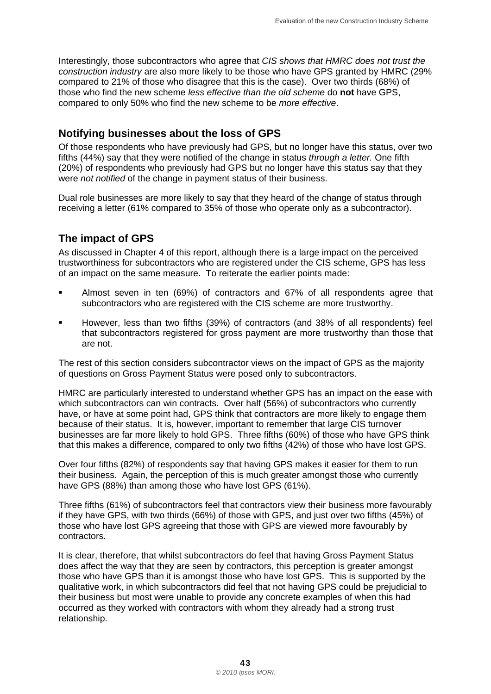Interestingly, those subcontractors who agree that *CIS shows that HMRC does not trust the construction industry* are also more likely to be those who have GPS granted by HMRC (29% compared to 21% of those who disagree that this is the case). Over two thirds (68%) of those who find the new scheme *less effective than the old scheme* do **not** have GPS, compared to only 50% who find the new scheme to be *more effective*.

#### **Notifying businesses about the loss of GPS**

Of those respondents who have previously had GPS, but no longer have this status, over two fifths (44%) say that they were notified of the change in status *through a letter.* One fifth (20%) of respondents who previously had GPS but no longer have this status say that they were *not notified* of the change in payment status of their business.

Dual role businesses are more likely to say that they heard of the change of status through receiving a letter (61% compared to 35% of those who operate only as a subcontractor).

#### **The impact of GPS**

As discussed in Chapter 4 of this report, although there is a large impact on the perceived trustworthiness for subcontractors who are registered under the CIS scheme, GPS has less of an impact on the same measure. To reiterate the earlier points made:

- Almost seven in ten (69%) of contractors and 67% of all respondents agree that subcontractors who are registered with the CIS scheme are more trustworthy.
- However, less than two fifths (39%) of contractors (and 38% of all respondents) feel that subcontractors registered for gross payment are more trustworthy than those that are not.

The rest of this section considers subcontractor views on the impact of GPS as the majority of questions on Gross Payment Status were posed only to subcontractors.

HMRC are particularly interested to understand whether GPS has an impact on the ease with which subcontractors can win contracts. Over half (56%) of subcontractors who currently have, or have at some point had, GPS think that contractors are more likely to engage them because of their status. It is, however, important to remember that large CIS turnover businesses are far more likely to hold GPS. Three fifths (60%) of those who have GPS think that this makes a difference, compared to only two fifths (42%) of those who have lost GPS.

Over four fifths (82%) of respondents say that having GPS makes it easier for them to run their business. Again, the perception of this is much greater amongst those who currently have GPS (88%) than among those who have lost GPS (61%).

Three fifths (61%) of subcontractors feel that contractors view their business more favourably if they have GPS, with two thirds (66%) of those with GPS, and just over two fifths (45%) of those who have lost GPS agreeing that those with GPS are viewed more favourably by contractors.

It is clear, therefore, that whilst subcontractors do feel that having Gross Payment Status does affect the way that they are seen by contractors, this perception is greater amongst those who have GPS than it is amongst those who have lost GPS. This is supported by the qualitative work, in which subcontractors did feel that not having GPS could be prejudicial to their business but most were unable to provide any concrete examples of when this had occurred as they worked with contractors with whom they already had a strong trust relationship.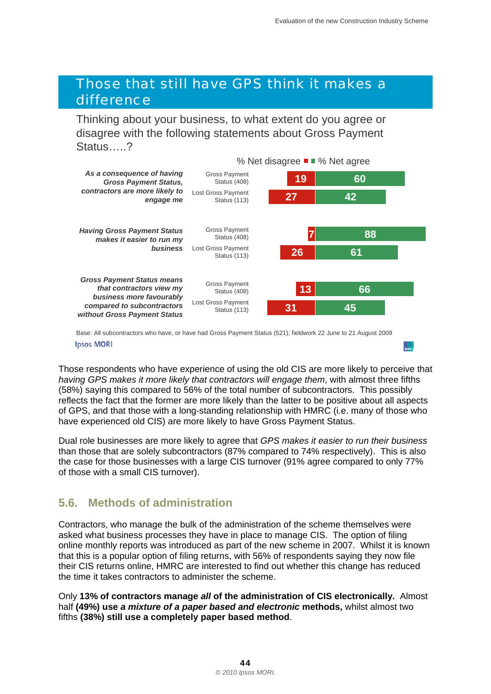### *Those that still have GPS think it makes a difference*

Thinking about your business, to what extent do you agree or disagree with the following statements about Gross Payment Status…..?



 Base: All subcontractors who have, or have had Gross Payment Status (521); fieldwork 22 June to 21 August 2009 **Ipsos MORI** 

Those respondents who have experience of using the old CIS are more likely to perceive that *having GPS makes it more likely that contractors will engage them*, with almost three fifths (58%) saying this compared to 56% of the total number of subcontractors. This possibly reflects the fact that the former are more likely than the latter to be positive about all aspects of GPS, and that those with a long-standing relationship with HMRC (i.e. many of those who have experienced old CIS) are more likely to have Gross Payment Status.

Dual role businesses are more likely to agree that *GPS makes it easier to run their business*  than those that are solely subcontractors (87% compared to 74% respectively). This is also the case for those businesses with a large CIS turnover (91% agree compared to only 77% of those with a small CIS turnover).

#### **5.6. Methods of administration**

Contractors, who manage the bulk of the administration of the scheme themselves were asked what business processes they have in place to manage CIS. The option of filing online monthly reports was introduced as part of the new scheme in 2007. Whilst it is known that this is a popular option of filing returns, with 56% of respondents saying they now file their CIS returns online, HMRC are interested to find out whether this change has reduced the time it takes contractors to administer the scheme.

Only **13% of contractors manage** *all* **of the administration of CIS electronically.** Almost half **(49%) use** *a mixture of a paper based and electronic* **methods,** whilst almost two fifths **(38%) still use a completely paper based method**.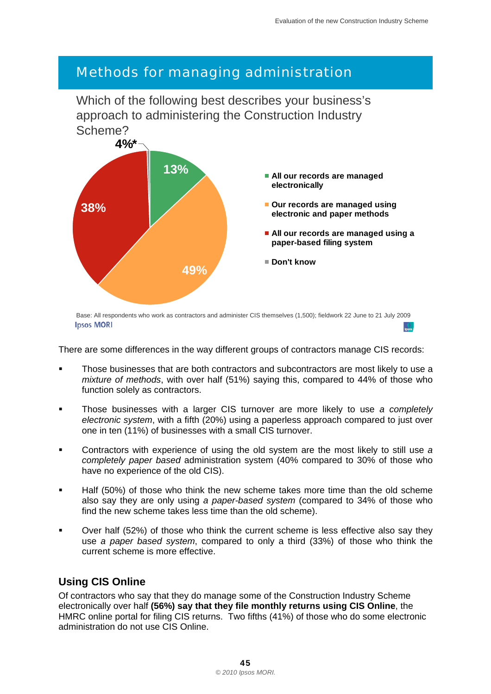## *Methods for managing administration*

Which of the following best describes your business's approach to administering the Construction Industry Scheme?



Base: All respondents who work as contractors and administer CIS themselves (1,500); fieldwork 22 June to 21 July 2009 **Ipsos MORI** 

There are some differences in the way different groups of contractors manage CIS records:

- Those businesses that are both contractors and subcontractors are most likely to use a *mixture of methods*, with over half (51%) saying this, compared to 44% of those who function solely as contractors.
- Those businesses with a larger CIS turnover are more likely to use *a completely electronic system*, with a fifth (20%) using a paperless approach compared to just over one in ten (11%) of businesses with a small CIS turnover.
- Contractors with experience of using the old system are the most likely to still use *a completely paper based* administration system (40% compared to 30% of those who have no experience of the old CIS).
- Half (50%) of those who think the new scheme takes more time than the old scheme also say they are only using *a paper-based system* (compared to 34% of those who find the new scheme takes less time than the old scheme).
- Over half (52%) of those who think the current scheme is less effective also say they use *a paper based system*, compared to only a third (33%) of those who think the current scheme is more effective.

#### **Using CIS Online**

Of contractors who say that they do manage some of the Construction Industry Scheme electronically over half **(56%) say that they file monthly returns using CIS Online**, the HMRC online portal for filing CIS returns. Two fifths (41%) of those who do some electronic administration do not use CIS Online.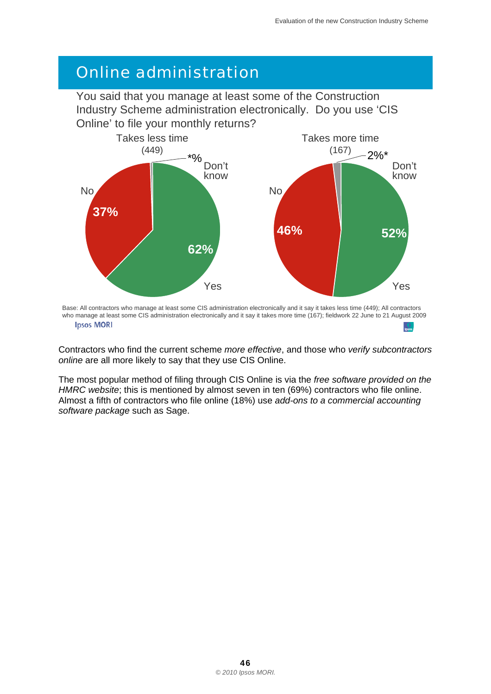# *Online administration*

You said that you manage at least some of the Construction Industry Scheme administration electronically. Do you use 'CIS Online' to file your monthly returns?



 Base: All contractors who manage at least some CIS administration electronically and it say it takes less time (449); All contractors who manage at least some CIS administration electronically and it say it takes more time (167); fieldwork 22 June to 21 August 2009 **Ipsos MORI** 

Contractors who find the current scheme *more effective*, and those who *verify subcontractors online* are all more likely to say that they use CIS Online.

The most popular method of filing through CIS Online is via the *free software provided on the HMRC website*; this is mentioned by almost seven in ten (69%) contractors who file online. Almost a fifth of contractors who file online (18%) use *add-ons to a commercial accounting software package* such as Sage.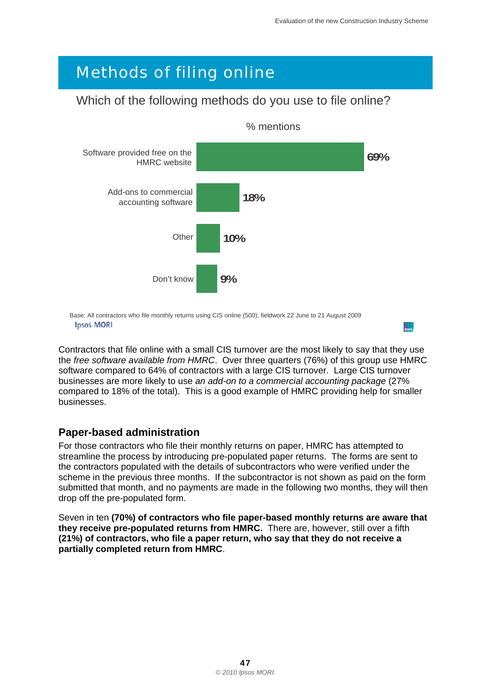# *Methods of filing online*

#### Which of the following methods do you use to file online?



 Base: All contractors who file monthly returns using CIS online (500); fieldwork 22 June to 21 August 2009 **Ipsos MORI** 

Contractors that file online with a small CIS turnover are the most likely to say that they use the *free software available from HMRC*. Over three quarters (76%) of this group use HMRC software compared to 64% of contractors with a large CIS turnover. Large CIS turnover businesses are more likely to use *an add-on to a commercial accounting package* (27% compared to 18% of the total). This is a good example of HMRC providing help for smaller businesses.

#### **Paper-based administration**

For those contractors who file their monthly returns on paper, HMRC has attempted to streamline the process by introducing pre-populated paper returns. The forms are sent to the contractors populated with the details of subcontractors who were verified under the scheme in the previous three months. If the subcontractor is not shown as paid on the form submitted that month, and no payments are made in the following two months, they will then drop off the pre-populated form.

Seven in ten **(70%) of contractors who file paper-based monthly returns are aware that they receive pre-populated returns from HMRC.** There are, however, still over a fifth **(21%) of contractors, who file a paper return, who say that they do not receive a partially completed return from HMRC**.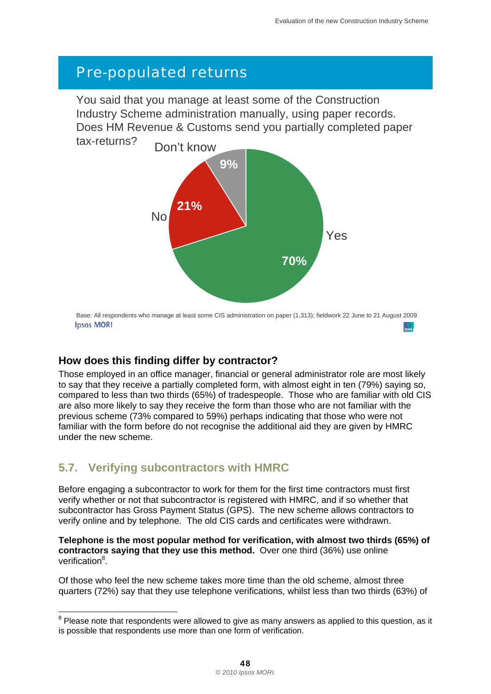# *Pre-populated returns*

You said that you manage at least some of the Construction Industry Scheme administration manually, using paper records. Does HM Revenue & Customs send you partially completed paper tax-returns?



 Base: All respondents who manage at least some CIS administration on paper (1,313); fieldwork 22 June to 21 August 2009 **Ipsos MORI** 

#### **How does this finding differ by contractor?**

Those employed in an office manager, financial or general administrator role are most likely to say that they receive a partially completed form, with almost eight in ten (79%) saying so, compared to less than two thirds (65%) of tradespeople. Those who are familiar with old CIS are also more likely to say they receive the form than those who are not familiar with the previous scheme (73% compared to 59%) perhaps indicating that those who were not familiar with the form before do not recognise the additional aid they are given by HMRC under the new scheme.

#### **5.7. Verifying subcontractors with HMRC**

Before engaging a subcontractor to work for them for the first time contractors must first verify whether or not that subcontractor is registered with HMRC, and if so whether that subcontractor has Gross Payment Status (GPS). The new scheme allows contractors to verify online and by telephone. The old CIS cards and certificates were withdrawn.

**Telephone is the most popular method for verification, with almost two thirds (65%) of contractors saying that they use this method.** Over one third (36%) use online verification<sup>8</sup>.

Of those who feel the new scheme takes more time than the old scheme, almost three quarters (72%) say that they use telephone verifications, whilst less than two thirds (63%) of

 8 Please note that respondents were allowed to give as many answers as applied to this question, as it is possible that respondents use more than one form of verification.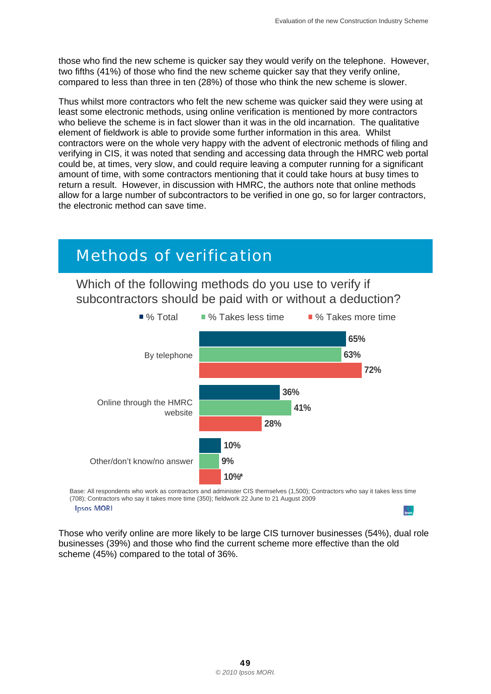those who find the new scheme is quicker say they would verify on the telephone. However, two fifths (41%) of those who find the new scheme quicker say that they verify online, compared to less than three in ten (28%) of those who think the new scheme is slower.

Thus whilst more contractors who felt the new scheme was quicker said they were using at least some electronic methods, using online verification is mentioned by more contractors who believe the scheme is in fact slower than it was in the old incarnation. The qualitative element of fieldwork is able to provide some further information in this area. Whilst contractors were on the whole very happy with the advent of electronic methods of filing and verifying in CIS, it was noted that sending and accessing data through the HMRC web portal could be, at times, very slow, and could require leaving a computer running for a significant amount of time, with some contractors mentioning that it could take hours at busy times to return a result. However, in discussion with HMRC, the authors note that online methods allow for a large number of subcontractors to be verified in one go, so for larger contractors, the electronic method can save time.

# *Methods of verification*

Which of the following methods do you use to verify if subcontractors should be paid with or without a deduction?



Base: All respondents who work as contractors and administer CIS themselves (1,500); Contractors who say it takes less time (708); Contractors who say it takes more time (350); fieldwork 22 June to 21 August 2009 **Ipsos MORI** 

Those who verify online are more likely to be large CIS turnover businesses (54%), dual role businesses (39%) and those who find the current scheme more effective than the old scheme (45%) compared to the total of 36%.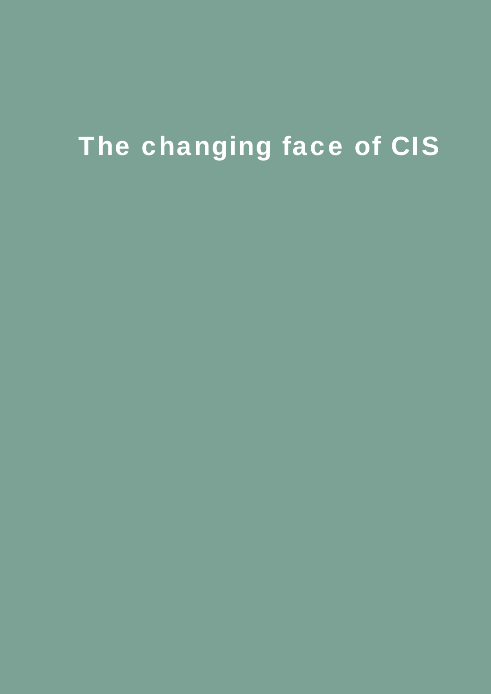# The changing face of CIS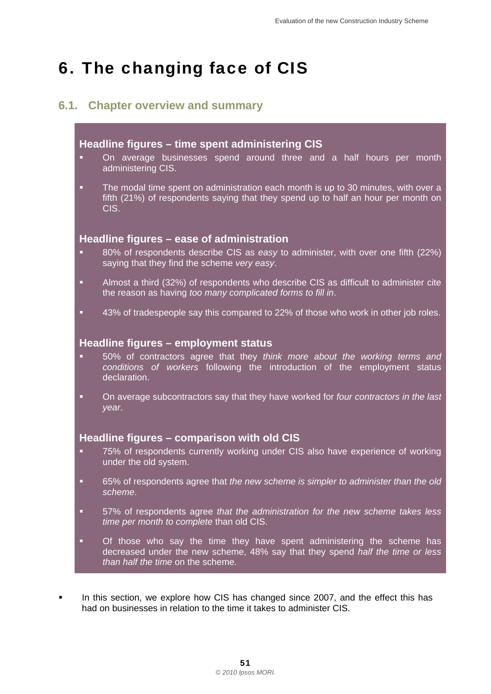# 6. The changing face of CIS

#### **6.1. Chapter overview and summary**

#### **Headline figures – time spent administering CIS**

- On average businesses spend around three and a half hours per month administering CIS.
- The modal time spent on administration each month is up to 30 minutes, with over a fifth (21%) of respondents saying that they spend up to half an hour per month on CIS.

#### **Headline figures – ease of administration**

- 80% of respondents describe CIS as *easy* to administer, with over one fifth (22%) saying that they find the scheme *very easy*.
- Almost a third (32%) of respondents who describe CIS as difficult to administer cite the reason as having *too many complicated forms to fill in*.
- 43% of tradespeople say this compared to 22% of those who work in other job roles.

#### **Headline figures – employment status**

- 50% of contractors agree that they *think more about the working terms and conditions of workers* following the introduction of the employment status declaration.
- On average subcontractors say that they have worked for *four contractors in the last year*.

#### **Headline figures – comparison with old CIS**

- 75% of respondents currently working under CIS also have experience of working under the old system.
- 65% of respondents agree that *the new scheme is simpler to administer than the old scheme*.
- 57% of respondents agree *that the administration for the new scheme takes less time per month to complete* than old CIS.
- **•** Of those who say the time they have spent administering the scheme has decreased under the new scheme, 48% say that they spend *half the time or less than half the time* on the scheme.
- In this section, we explore how CIS has changed since 2007, and the effect this has had on businesses in relation to the time it takes to administer CIS.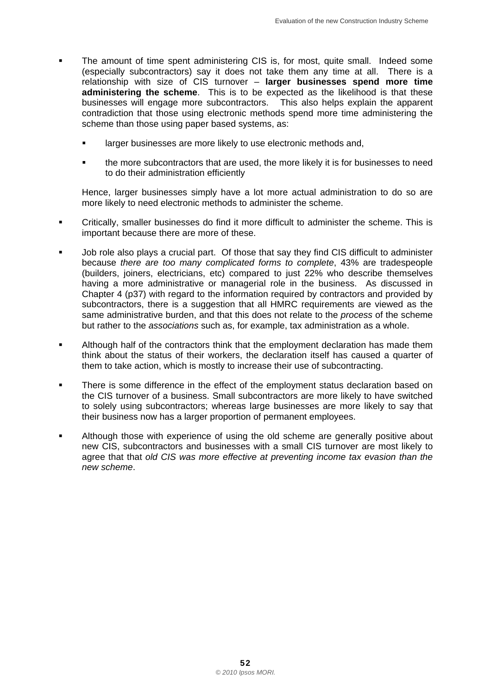- The amount of time spent administering CIS is, for most, quite small. Indeed some (especially subcontractors) say it does not take them any time at all. There is a relationship with size of CIS turnover – **larger businesses spend more time administering the scheme**. This is to be expected as the likelihood is that these businesses will engage more subcontractors. This also helps explain the apparent contradiction that those using electronic methods spend more time administering the scheme than those using paper based systems, as:
	- larger businesses are more likely to use electronic methods and,
	- the more subcontractors that are used, the more likely it is for businesses to need to do their administration efficiently

Hence, larger businesses simply have a lot more actual administration to do so are more likely to need electronic methods to administer the scheme.

- Critically, smaller businesses do find it more difficult to administer the scheme. This is important because there are more of these.
- Job role also plays a crucial part. Of those that say they find CIS difficult to administer because *there are too many complicated forms to complete*, 43% are tradespeople (builders, joiners, electricians, etc) compared to just 22% who describe themselves having a more administrative or managerial role in the business. As discussed in Chapter 4 (p37) with regard to the information required by contractors and provided by subcontractors, there is a suggestion that all HMRC requirements are viewed as the same administrative burden, and that this does not relate to the *process* of the scheme but rather to the *associations* such as, for example, tax administration as a whole.
- think about the status of their workers, the declaration itself has caused a quarter of Although half of the contractors think that the employment declaration has made them them to take action, which is mostly to increase their use of subcontracting.
- There is some difference in the effect of the employment status declaration based on the CIS turnover of a business. Small subcontractors are more likely to have switched to solely using subcontractors; whereas large businesses are more likely to say that their business now has a larger proportion of permanent employees.
- Although those with experience of using the old scheme are generally positive about new CIS, subcontractors and businesses with a small CIS turnover are most likely to agree that that *old CIS was more effective at preventing income tax evasion than the new scheme*.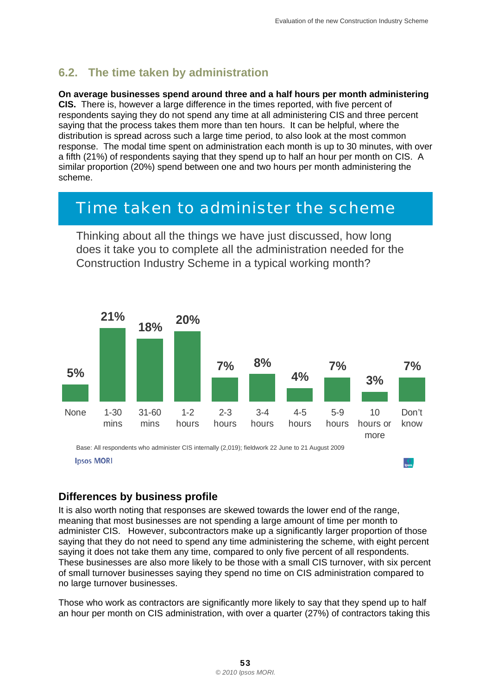#### **6.2. The time taken by administration**

#### **On average businesses spend around three and a half hours per month administering**

**CIS.** There is, however a large difference in the times reported, with five percent of respondents saying they do not spend any time at all administering CIS and three percent saying that the process takes them more than ten hours. It can be helpful, where the distribution is spread across such a large time period, to also look at the most common response. The modal time spent on administration each month is up to 30 minutes, with over a fifth (21%) of respondents saying that they spend up to half an hour per month on CIS. A similar proportion (20%) spend between one and two hours per month administering the scheme.

# *Time taken to administer the scheme*

Thinking about all the things we have just discussed, how long does it take you to complete all the administration needed for the Construction Industry Scheme in a typical working month?



#### **Differences by business profile**

It is also worth noting that responses are skewed towards the lower end of the range, meaning that most businesses are not spending a large amount of time per month to administer CIS. However, subcontractors make up a significantly larger proportion of those saying that they do not need to spend any time administering the scheme, with eight percent saying it does not take them any time, compared to only five percent of all respondents. These businesses are also more likely to be those with a small CIS turnover, with six percent of small turnover businesses saying they spend no time on CIS administration compared to no large turnover businesses.

Those who work as contractors are significantly more likely to say that they spend up to half an hour per month on CIS administration, with over a quarter (27%) of contractors taking this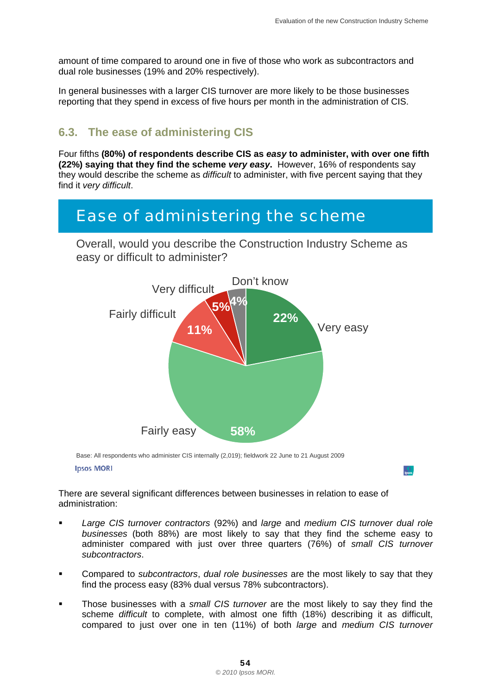D.

amount of time compared to around one in five of those who work as subcontractors and dual role businesses (19% and 20% respectively).

In general businesses with a larger CIS turnover are more likely to be those businesses reporting that they spend in excess of five hours per month in the administration of CIS.

#### **6.3. The ease of administering CIS**

Four fifths **(80%) of respondents describe CIS as** *easy* **to administer, with over one fifth (22%) saying that they find the scheme** *very easy***.** However, 16% of respondents say they would describe the scheme as *difficult* to administer, with five percent saying that they find it *very difficult*.

# *Ease of administering the scheme*

Overall, would you describe the Construction Industry Scheme as easy or difficult to administer?



 Base: All respondents who administer CIS internally (2,019); fieldwork 22 June to 21 August 2009 **Ipsos MORI** 

There are several significant differences between businesses in relation to ease of administration:

- *Large CIS turnover contractors* (92%) and *large* and *medium CIS turnover dual role businesses* (both 88%) are most likely to say that they find the scheme easy to administer compared with just over three quarters (76%) of *small CIS turnover subcontractors*.
- Compared to *subcontractors*, *dual role businesses* are the most likely to say that they find the process easy (83% dual versus 78% subcontractors).
- Those businesses with a *small CIS turnover* are the most likely to say they find the scheme *difficult* to complete, with almost one fifth (18%) describing it as difficult, compared to just over one in ten (11%) of both *large* and *medium CIS turnover*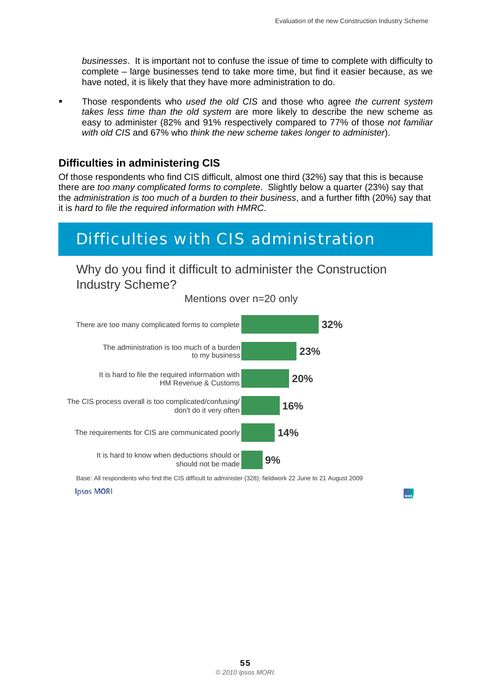*businesses*. It is important not to confuse the issue of time to complete with difficulty to complete – large businesses tend to take more time, but find it easier because, as we have noted, it is likely that they have more administration to do.

 Those respondents who *used the old CIS* and those who agree *the current system takes less time than the old system* are more likely to describe the new scheme as easy to administer (82% and 91% respectively compared to 77% of those *not familiar with old CIS* and 67% who *think the new scheme takes longer to administer*).

#### **Difficulties in administering CIS**

Of those respondents who find CIS difficult, almost one third (32%) say that this is because there are *too many complicated forms to complete*. Slightly below a quarter (23%) say that the *administration is too much of a burden to their business*, and a further fifth (20%) say that it is *hard to file the required information with HMRC*.

# *Difficulties with CIS administration*

Why do you find it difficult to administer the Construction Industry Scheme?



Mentions over n=20 only

Base: All respondents who find the CIS difficult to administer (328); fieldwork 22 June to 21 August 2009 **Ipsos MORI**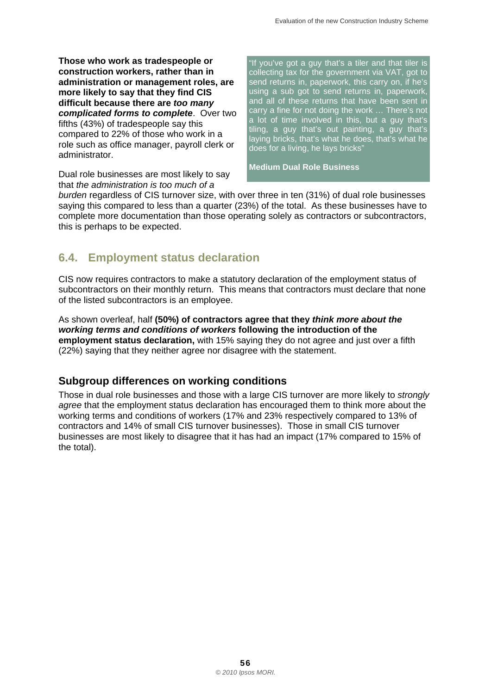**Those who work as tradespeople or construction workers, rather than in administration or management roles, are more likely to say that they find CIS difficult because there are** *too many complicated forms to complete*. Over two fifths (43%) of tradespeople say this compared to 22% of those who work in a role such as office manager, payroll clerk or administrator.

Dual role businesses are most likely to say that *the administration is too much of a* 

"If you've got a guy that's a tiler and that tiler is collecting tax for the government via VAT, got to send returns in, paperwork, this carry on, if he's using a sub got to send returns in, paperwork, and all of these returns that have been sent in carry a fine for not doing the work … There's not a lot of time involved in this, but a guy that's tiling, a guy that's out painting, a guy that's laying bricks, that's what he does, that's what he does for a living, he lays bricks"

**Medium Dual Role Business** 

*burden* regardless of CIS turnover size, with over three in ten (31%) of dual role businesses saying this compared to less than a quarter (23%) of the total. As these businesses have to complete more documentation than those operating solely as contractors or subcontractors, this is perhaps to be expected.

#### **6.4. Employment status declaration**

CIS now requires contractors to make a statutory declaration of the employment status of subcontractors on their monthly return. This means that contractors must declare that none of the listed subcontractors is an employee.

As shown overleaf, half **(50%) of contractors agree that they** *think more about the working terms and conditions of workers* **following the introduction of the employment status declaration,** with 15% saying they do not agree and just over a fifth (22%) saying that they neither agree nor disagree with the statement.

#### **Subgroup differences on working conditions**

Those in dual role businesses and those with a large CIS turnover are more likely to *strongly agree* that the employment status declaration has encouraged them to think more about the working terms and conditions of workers (17% and 23% respectively compared to 13% of contractors and 14% of small CIS turnover businesses). Those in small CIS turnover businesses are most likely to disagree that it has had an impact (17% compared to 15% of the total).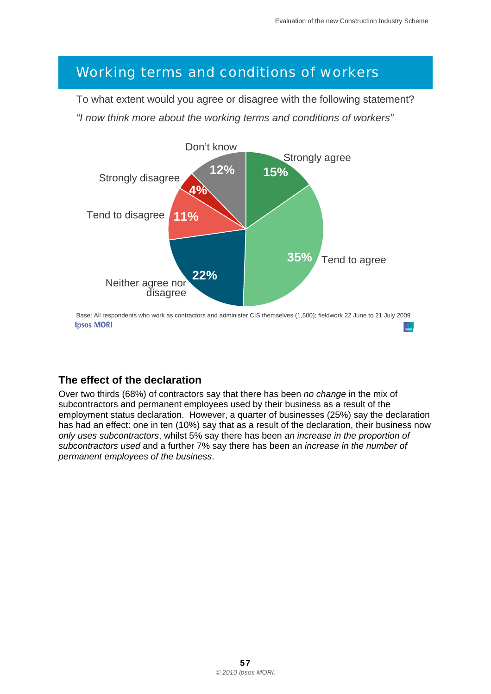## *Working terms and conditions of workers*

To what extent would you agree or disagree with the following statement? *"I now think more about the working terms and conditions of workers"* 



#### **The effect of the declaration**

Over two thirds (68%) of contractors say that there has been *no change* in the mix of subcontractors and permanent employees used by their business as a result of the employment status declaration. However, a quarter of businesses (25%) say the declaration has had an effect: one in ten (10%) say that as a result of the declaration, their business now *only uses subcontractors*, whilst 5% say there has been *an increase in the proportion of subcontractors used* and a further 7% say there has been an *increase in the number of permanent employees of the business*.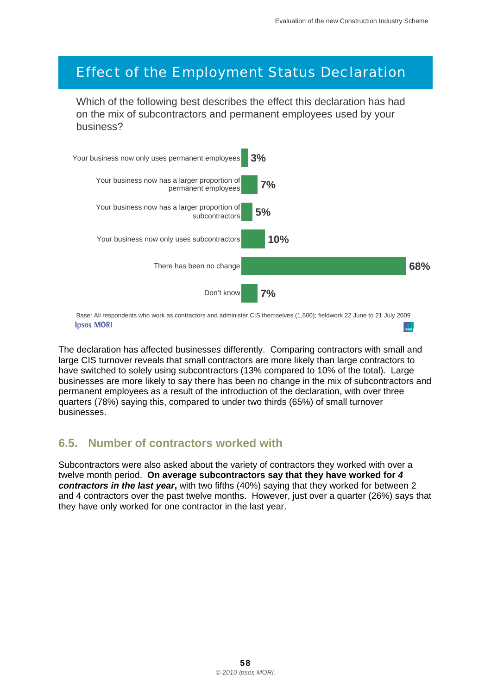## *Effect of the Employment Status Declaration*

 Which of the following best describes the effect this declaration has had on the mix of subcontractors and permanent employees used by your business?



**Ipsos MORI** 

The declaration has affected businesses differently. Comparing contractors with small and large CIS turnover reveals that small contractors are more likely than large contractors to have switched to solely using subcontractors (13% compared to 10% of the total). Large businesses are more likely to say there has been no change in the mix of subcontractors and permanent employees as a result of the introduction of the declaration, with over three quarters (78%) saying this, compared to under two thirds (65%) of small turnover businesses.

#### **6.5. Number of contractors worked with**

Subcontractors were also asked about the variety of contractors they worked with over a twelve month period. **On average subcontractors say that they have worked for** *4 contractors in the last year***,** with two fifths (40%) saying that they worked for between 2 and 4 contractors over the past twelve months. However, just over a quarter (26%) says that they have only worked for one contractor in the last year.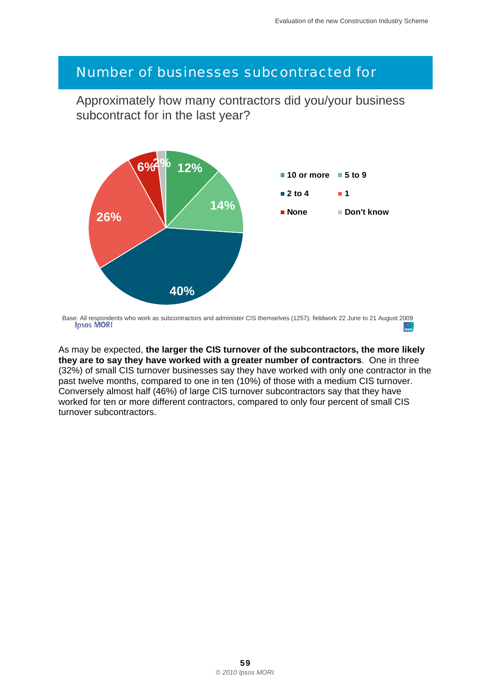#### *Number of businesses subcontracted for*

Approximately how many contractors did you/your business subcontract for in the last year?



Base: All respondents who work as subcontractors and administer CIS themselves (1257); fieldwork 22 June to 21 August 2009

As may be expected, **the larger the CIS turnover of the subcontractors, the more likely they are to say they have worked with a greater number of contractors**. One in three (32%) of small CIS turnover businesses say they have worked with only one contractor in the past twelve months, compared to one in ten (10%) of those with a medium CIS turnover. Conversely almost half (46%) of large CIS turnover subcontractors say that they have worked for ten or more different contractors, compared to only four percent of small CIS turnover subcontractors.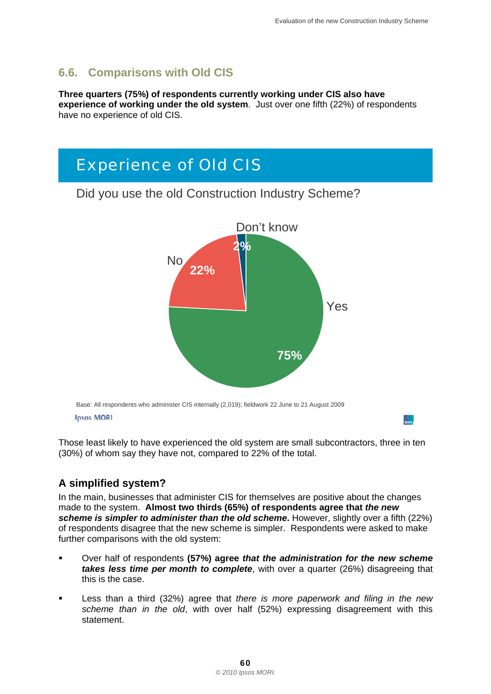#### **6.6. Comparisons with Old CIS**

**Three quarters (75%) of respondents currently working under CIS also have experience of working under the old system**. Just over one fifth (22%) of respondents have no experience of old CIS.



Those least likely to have experienced the old system are small subcontractors, three in ten (30%) of whom say they have not, compared to 22% of the total.

#### **A simplified system?**

In the main, businesses that administer CIS for themselves are positive about the changes made to the system. **Almost two thirds (65%) of respondents agree that** *the new scheme is simpler to administer than the old scheme***.** However, slightly over a fifth (22%) of respondents disagree that the new scheme is simpler. Respondents were asked to make further comparisons with the old system:

- Over half of respondents **(57%) agree** *that the administration for the new scheme takes less time per month to complete*, with over a quarter (26%) disagreeing that this is the case.
- Less than a third (32%) agree that *there is more paperwork and filing in the new scheme than in the old*, with over half (52%) expressing disagreement with this statement.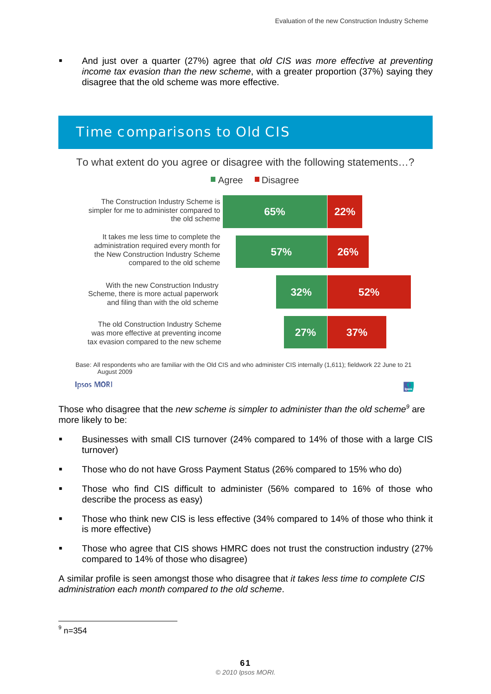And just over a quarter (27%) agree that *old CIS was more effective at preventing income tax evasion than the new scheme*, with a greater proportion (37%) saying they disagree that the old scheme was more effective.

# *Time comparisons to Old CIS*

To what extent do you agree or disagree with the following statements…?



Agree Disagree

 Base: All respondents who are familiar with the Old CIS and who administer CIS internally (1,611); fieldwork 22 June to 21 August 2009

**Ipsos MORI** 

Those who disagree that the *new scheme is simpler to administer than the old scheme<sup>9</sup> are* more likely to be:

- Businesses with small CIS turnover (24% compared to 14% of those with a large CIS turnover)
- **Those who do not have Gross Payment Status (26% compared to 15% who do)**
- Those who find CIS difficult to administer (56% compared to 16% of those who describe the process as easy)
- Those who think new CIS is less effective (34% compared to 14% of those who think it is more effective)
- Those who agree that CIS shows HMRC does not trust the construction industry (27% compared to 14% of those who disagree)

A similar profile is seen amongst those who disagree that *it takes less time to complete CIS administration each month compared to the old scheme*.

 $\frac{9}{9}$ n=354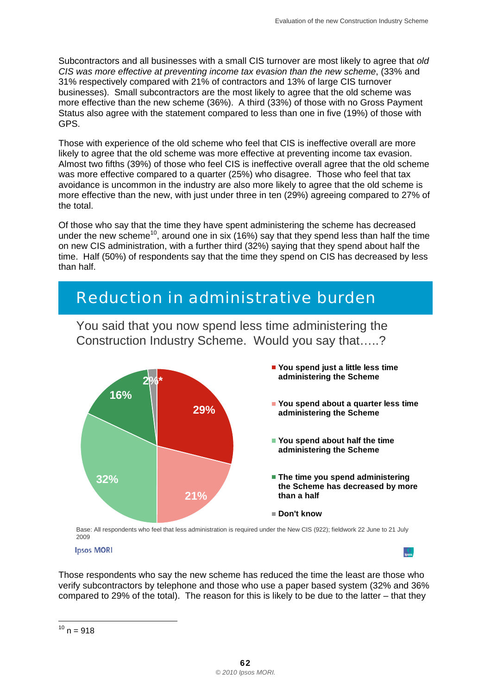Subcontractors and all businesses with a small CIS turnover are most likely to agree that *old CIS was more effective at preventing income tax evasion than the new scheme*, (33% and 31% respectively compared with 21% of contractors and 13% of large CIS turnover businesses). Small subcontractors are the most likely to agree that the old scheme was more effective than the new scheme (36%). A third (33%) of those with no Gross Payment Status also agree with the statement compared to less than one in five (19%) of those with GPS.

Those with experience of the old scheme who feel that CIS is ineffective overall are more likely to agree that the old scheme was more effective at preventing income tax evasion. Almost two fifths (39%) of those who feel CIS is ineffective overall agree that the old scheme was more effective compared to a quarter (25%) who disagree. Those who feel that tax avoidance is uncommon in the industry are also more likely to agree that the old scheme is more effective than the new, with just under three in ten (29%) agreeing compared to 27% of the total.

Of those who say that the time they have spent administering the scheme has decreased under the new scheme<sup>10</sup>, around one in six (16%) say that they spend less than half the time on new CIS administration, with a further third (32%) saying that they spend about half the time. Half (50%) of respondents say that the time they spend on CIS has decreased by less than half.

# *Reduction in administrative burden*



You said that you now spend less time administering the Construction Industry Scheme. Would you say that…..?

 Base: All respondents who feel that less administration is required under the New CIS (922); fieldwork 22 June to 21 July 2009

**Ipsos MORI** 

Those respondents who say the new scheme has reduced the time the least are those who verify subcontractors by telephone and those who use a paper based system (32% and 36% compared to 29% of the total). The reason for this is likely to be due to the latter – that they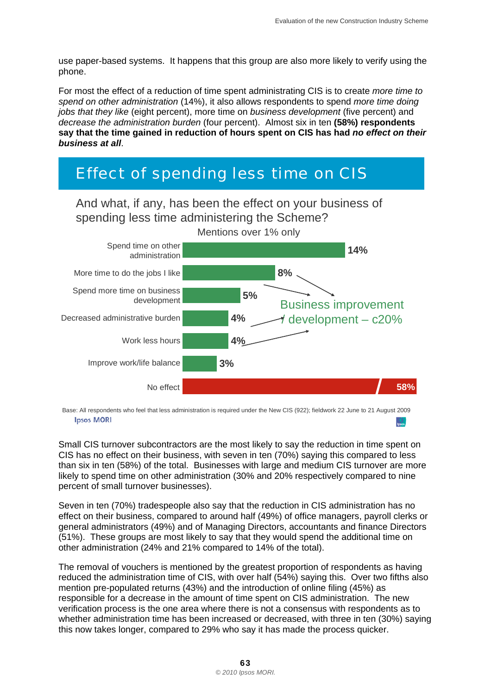use paper-based systems. It happens that this group are also more likely to verify using the phone.

For most the effect of a reduction of time spent administrating CIS is to create *more time to spend on other administration* (14%), it also allows respondents to spend *more time doing jobs that they like* (eight percent), more time on *business development* (five percent) and *decrease the administration burden* (four percent). Almost six in ten **(58%) respondents say that the time gained in reduction of hours spent on CIS has had** *no effect on their business at all*.

# *Effect of spending less time on CIS*



 Base: All respondents who feel that less administration is required under the New CIS (922); fieldwork 22 June to 21 August 2009 **Ipsos MORI** 

Small CIS turnover subcontractors are the most likely to say the reduction in time spent on CIS has no effect on their business, with seven in ten (70%) saying this compared to less than six in ten (58%) of the total. Businesses with large and medium CIS turnover are more likely to spend time on other administration (30% and 20% respectively compared to nine percent of small turnover businesses).

Seven in ten (70%) tradespeople also say that the reduction in CIS administration has no effect on their business, compared to around half (49%) of office managers, payroll clerks or general administrators (49%) and of Managing Directors, accountants and finance Directors (51%). These groups are most likely to say that they would spend the additional time on other administration (24% and 21% compared to 14% of the total).

The removal of vouchers is mentioned by the greatest proportion of respondents as having reduced the administration time of CIS, with over half (54%) saying this. Over two fifths also mention pre-populated returns (43%) and the introduction of online filing (45%) as responsible for a decrease in the amount of time spent on CIS administration. The new verification process is the one area where there is not a consensus with respondents as to whether administration time has been increased or decreased, with three in ten (30%) saying this now takes longer, compared to 29% who say it has made the process quicker.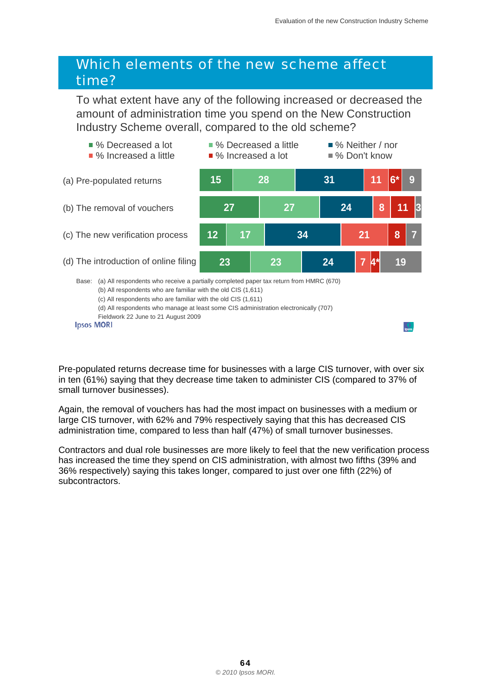### *Which elements of the new scheme affect time?*

To what extent have any of the following increased or decreased the amount of administration time you spend on the New Construction Industry Scheme overall, compared to the old scheme?



 Fieldwork 22 June to 21 August 2009 (d) All respondents who manage at least some CIS administration electronically (707)

Pre-populated returns decrease time for businesses with a large CIS turnover, with over six in ten (61%) saying that they decrease time taken to administer CIS (compared to 37% of small turnover businesses).

Again, the removal of vouchers has had the most impact on businesses with a medium or large CIS turnover, with 62% and 79% respectively saying that this has decreased CIS administration time, compared to less than half (47%) of small turnover businesses.

Contractors and dual role businesses are more likely to feel that the new verification process has increased the time they spend on CIS administration, with almost two fifths (39% and 36% respectively) saying this takes longer, compared to just over one fifth (22%) of subcontractors.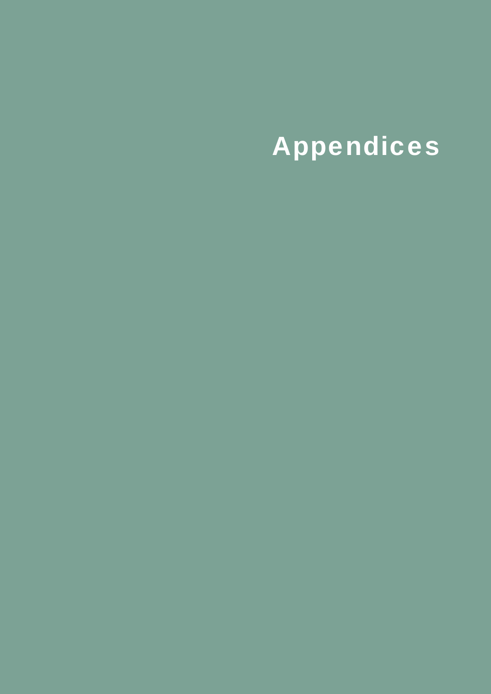# Appendices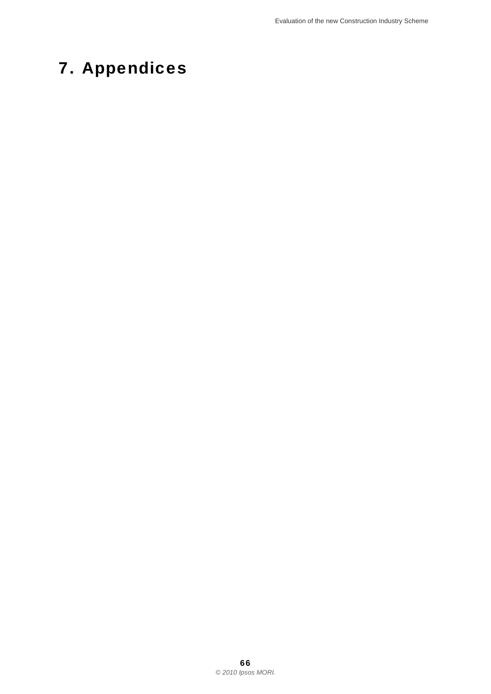# 7. Appendices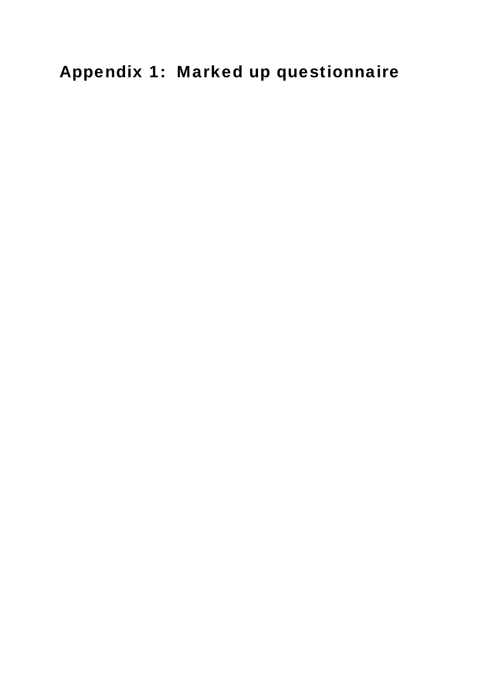Appendix 1: Marked up questionnaire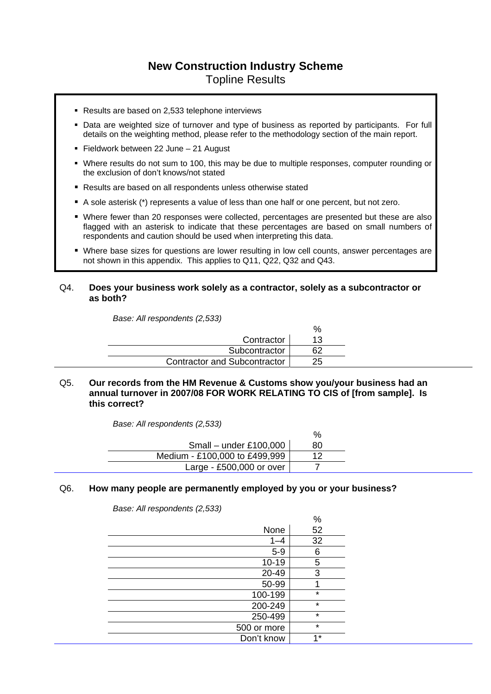#### **New Construction Industry Scheme**  Topline Results

- Results are based on 2,533 telephone interviews
- Data are weighted size of turnover and type of business as reported by participants. For full details on the weighting method, please refer to the methodology section of the main report.
- Fieldwork between 22 June 21 August
- Where results do not sum to 100, this may be due to multiple responses, computer rounding or the exclusion of don't knows/not stated
- Results are based on all respondents unless otherwise stated
- A sole asterisk (\*) represents a value of less than one half or one percent, but not zero.
- Where fewer than 20 responses were collected, percentages are presented but these are also flagged with an asterisk to indicate that these percentages are based on small numbers of respondents and caution should be used when interpreting this data.
- Where base sizes for questions are lower resulting in low cell counts, answer percentages are not shown in this appendix. This applies to Q11, Q22, Q32 and Q43.

#### Q4. **Does your business work solely as a contractor, solely as a subcontractor or as both?**

*Base: All respondents (2,533)* 

| Contractor                          | 13 |
|-------------------------------------|----|
| Subcontractor                       |    |
| <b>Contractor and Subcontractor</b> | 25 |

Q5. **Our records from the HM Revenue & Customs show you/your business had an annual turnover in 2007/08 FOR WORK RELATING TO CIS of [from sample]. Is this correct?** 

 $\mathbf{O}$ 

*Base: All respondents (2,533)* 

|                               | 70              |
|-------------------------------|-----------------|
| Small – under £100,000        | 80              |
| Medium - £100,000 to £499,999 | 12 <sup>°</sup> |
| Large - £500,000 or over $ $  |                 |

#### Q6. **How many people are permanently employed by you or your business?**

*Base: All respondents (2,533)* 

|             | %       |
|-------------|---------|
| None        | 52      |
| $1 - 4$     | 32      |
| $5-9$       | 6       |
| $10 - 19$   | 5       |
| 20-49       | 3       |
| 50-99       |         |
| 100-199     | $\star$ |
| 200-249     | $\star$ |
| 250-499     | $\star$ |
| 500 or more | $\star$ |
| Don't know  | $4*$    |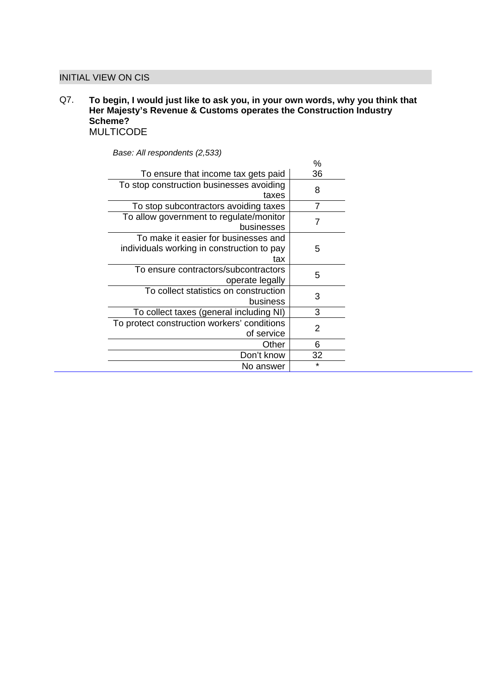#### INITIAL VIEW ON CIS

#### Q7. **To begin, I would just like to ask you, in your own words, why you think that Her Majesty's Revenue & Customs operates the Construction Industry Scheme?**  MULTICODE

|                                             | $\%$    |
|---------------------------------------------|---------|
| To ensure that income tax gets paid         | 36      |
| To stop construction businesses avoiding    | 8       |
| taxes                                       |         |
| To stop subcontractors avoiding taxes       | 7       |
| To allow government to regulate/monitor     |         |
| businesses                                  | 7       |
| To make it easier for businesses and        |         |
| individuals working in construction to pay  | 5       |
| tax                                         |         |
| To ensure contractors/subcontractors        | 5       |
| operate legally                             |         |
| To collect statistics on construction       |         |
| business                                    | 3       |
| To collect taxes (general including NI)     | 3       |
| To protect construction workers' conditions |         |
| of service                                  | 2       |
| Other                                       | 6       |
| Don't know                                  | 32      |
| No answer                                   | $\star$ |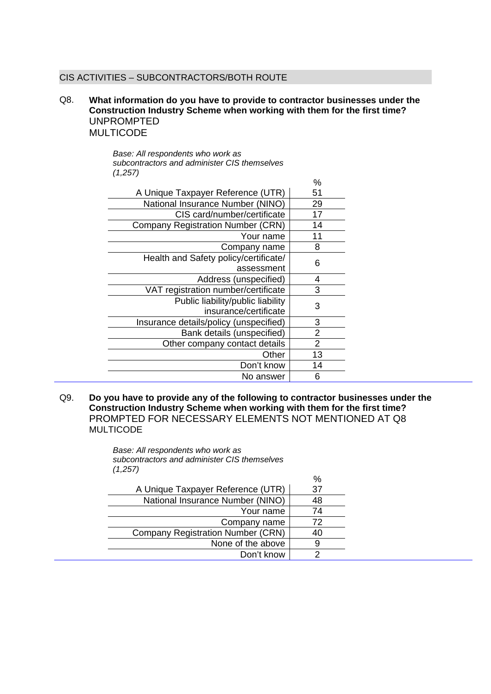#### CIS ACTIVITIES – SUBCONTRACTORS/BOTH ROUTE

#### Q8. **What information do you have to provide to contractor businesses under the Construction Industry Scheme when working with them for the first time?**  UNPROMPTED MULTICODE

*Base: All respondents who work as subcontractors and administer CIS themselves (1,257)* 

|                                          | %              |
|------------------------------------------|----------------|
| A Unique Taxpayer Reference (UTR)        | 51             |
| National Insurance Number (NINO)         | 29             |
| CIS card/number/certificate              | 17             |
| <b>Company Registration Number (CRN)</b> | 14             |
| Your name                                | 11             |
| Company name                             | 8              |
| Health and Safety policy/certificate/    | 6              |
| assessment                               |                |
| Address (unspecified)                    | 4              |
| VAT registration number/certificate      | 3              |
| Public liability/public liability        | 3              |
| insurance/certificate                    |                |
| Insurance details/policy (unspecified)   | 3              |
| Bank details (unspecified)               | 2              |
| Other company contact details            | $\overline{2}$ |
| Other                                    | 13             |
| Don't know                               | 14             |
| No answer                                | 6              |

Q9. **Do you have to provide any of the following to contractor businesses under the Construction Industry Scheme when working with them for the first time?**  PROMPTED FOR NECESSARY ELEMENTS NOT MENTIONED AT Q8 MULTICODE

> *Base: All respondents who work as subcontractors and administer CIS themselves (1,257)*

|                                          | $\frac{0}{0}$ |
|------------------------------------------|---------------|
| A Unique Taxpayer Reference (UTR)        | 37            |
| National Insurance Number (NINO)         | 48            |
| Your name                                | 74            |
| Company name                             | 72            |
| <b>Company Registration Number (CRN)</b> | 40            |
| None of the above                        |               |
| Don't know                               |               |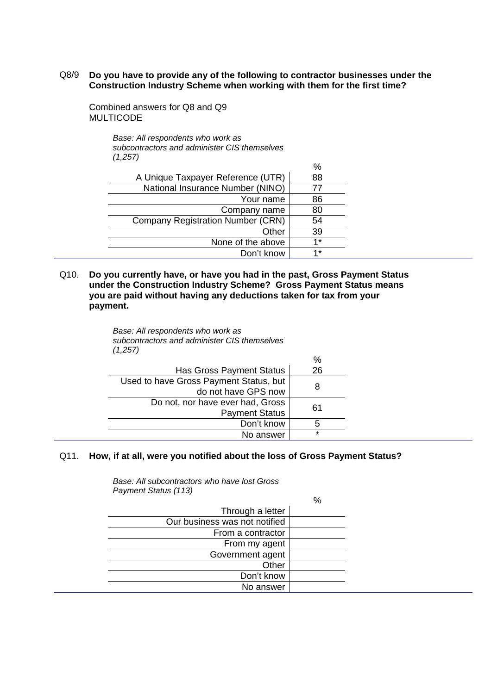#### Q8/9 **Do you have to provide any of the following to contractor businesses under the Construction Industry Scheme when working with them for the first time?**

 $\Omega'$ 

Combined answers for Q8 and Q9 MULTICODE

> *Base: All respondents who work as subcontractors and administer CIS themselves (1,257)*

|                                          | 70   |
|------------------------------------------|------|
| A Unique Taxpayer Reference (UTR)        | 88   |
| National Insurance Number (NINO)         | 77   |
| Your name                                | 86   |
| Company name                             | 80   |
| <b>Company Registration Number (CRN)</b> | 54   |
| Other                                    | 39   |
| None of the above                        | $4*$ |
| Don't know                               | $4*$ |

Q10. **Do you currently have, or have you had in the past, Gross Payment Status under the Construction Industry Scheme? Gross Payment Status means you are paid without having any deductions taken for tax from your payment.** 

> *Base: All respondents who work as subcontractors and administer CIS themselves (1,257)*

|                                        | $\%$    |
|----------------------------------------|---------|
| <b>Has Gross Payment Status</b>        | 26      |
| Used to have Gross Payment Status, but | 8       |
| do not have GPS now                    |         |
| Do not, nor have ever had, Gross       | 61      |
| <b>Payment Status</b>                  |         |
| Don't know                             | 5       |
| No answer                              | $\star$ |
|                                        |         |

#### Q11. **How, if at all, were you notified about the loss of Gross Payment Status?**

*Base: All subcontractors who have lost Gross Payment Status (113)* 

|                               | % |
|-------------------------------|---|
| Through a letter              |   |
| Our business was not notified |   |
| From a contractor             |   |
| From my agent                 |   |
| Government agent              |   |
| Other                         |   |
| Don't know                    |   |
| No answer                     |   |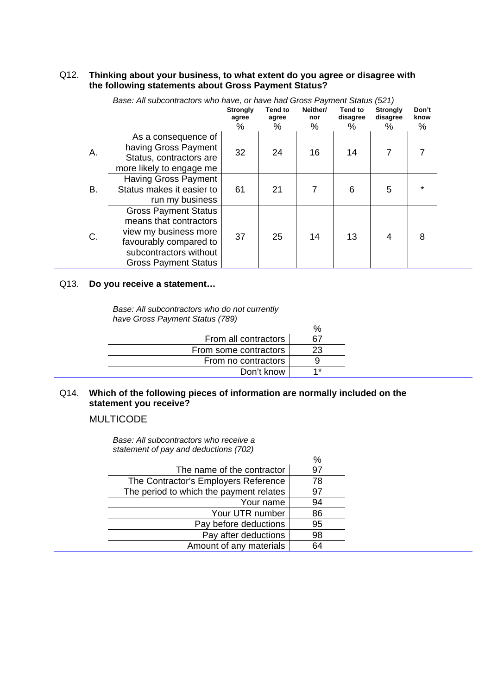#### Q12. **Thinking about your business, to what extent do you agree or disagree with the following statements about Gross Payment Status?**

| Base: All subcontractors who have, or have had Gross Payment Status (521) |                                                                                                                                                                   |                          |                  |                 |                     |                             |               |  |
|---------------------------------------------------------------------------|-------------------------------------------------------------------------------------------------------------------------------------------------------------------|--------------------------|------------------|-----------------|---------------------|-----------------------------|---------------|--|
|                                                                           |                                                                                                                                                                   | <b>Strongly</b><br>agree | Tend to<br>agree | Neither/<br>nor | Tend to<br>disagree | <b>Strongly</b><br>disagree | Don't<br>know |  |
|                                                                           |                                                                                                                                                                   | %                        | %                | %               | $\%$                | $\%$                        | %             |  |
| A.                                                                        | As a consequence of<br>having Gross Payment<br>Status, contractors are<br>more likely to engage me                                                                | 32                       | 24               | 16              | 14                  | 7                           |               |  |
| В.                                                                        | <b>Having Gross Payment</b><br>Status makes it easier to<br>run my business                                                                                       | 61                       | 21               |                 | 6                   | 5                           | $\star$       |  |
| C.                                                                        | <b>Gross Payment Status</b><br>means that contractors<br>view my business more<br>favourably compared to<br>subcontractors without<br><b>Gross Payment Status</b> | 37                       | 25               | 14              | 13                  | 4                           | 8             |  |

# *Base: All subcontractors who have, or have had Gross Payment Status (521)*

#### Q13. **Do you receive a statement…**

*Base: All subcontractors who do not currently have Gross Payment Status (789)* 

|                       | $\%$ |
|-----------------------|------|
| From all contractors  | 67   |
| From some contractors | 23   |
| From no contractors   |      |
| Don't know            | 4*   |

#### Q14. **Which of the following pieces of information are normally included on the statement you receive?**

 $\Omega'$ 

**MULTICODE** 

*Base: All subcontractors who receive a statement of pay and deductions (702)* 

|                                         | 70 |
|-----------------------------------------|----|
| The name of the contractor              | 97 |
| The Contractor's Employers Reference    | 78 |
| The period to which the payment relates | 97 |
| Your name                               | 94 |
| Your UTR number                         | 86 |
| Pay before deductions                   | 95 |
| Pay after deductions                    | 98 |
| Amount of any materials                 | 64 |
|                                         |    |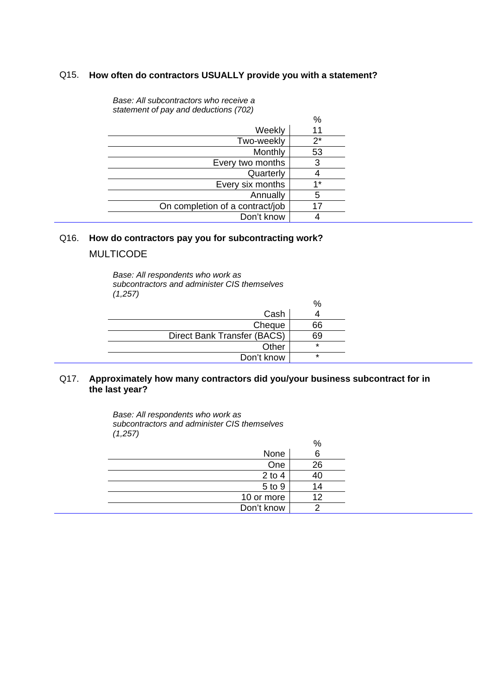#### Q15. **How often do contractors USUALLY provide you with a statement?**

|                                 | %     |
|---------------------------------|-------|
| Weekly                          | 11    |
| Two-weekly                      | $2^*$ |
| Monthly                         | 53    |
| Every two months                | 3     |
| Quarterly                       |       |
| Every six months                | 1*    |
| Annually                        | 5     |
| On completion of a contract/job |       |
| Don't know                      |       |

*Base: All subcontractors who receive a statement of pay and deductions (702)* 

#### Q16. **How do contractors pay you for subcontracting work?**

#### MULTICODE

*Base: All respondents who work as subcontractors and administer CIS themselves (1,257)* 

|                             | %       |
|-----------------------------|---------|
| Cash                        |         |
| Cheque                      | 66      |
| Direct Bank Transfer (BACS) | 69      |
| Other                       | $\star$ |
| Don't know                  | $\star$ |

#### Q17. **Approximately how many contractors did you/your business subcontract for in the last year?**

*Base: All respondents who work as subcontractors and administer CIS themselves (1,257)* 

|            | %  |
|------------|----|
| None       | 6  |
| One        | 26 |
| $2$ to $4$ |    |
| 5 to 9     | 14 |
| 10 or more | 12 |
| Don't know |    |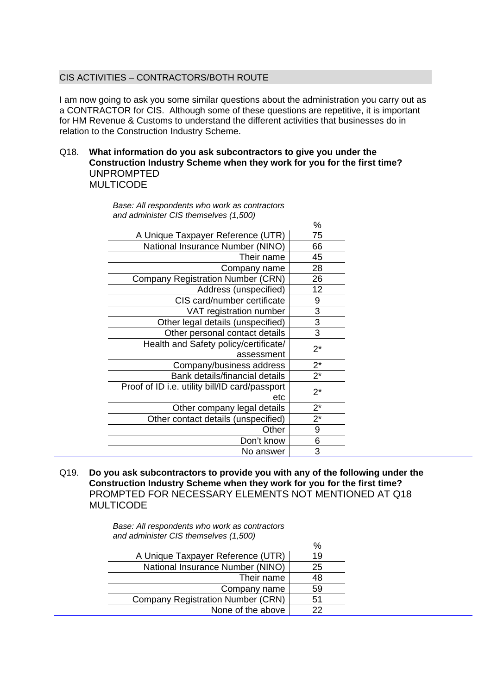#### CIS ACTIVITIES – CONTRACTORS/BOTH ROUTE

I am now going to ask you some similar questions about the administration you carry out as a CONTRACTOR for CIS. Although some of these questions are repetitive, it is important for HM Revenue & Customs to understand the different activities that businesses do in relation to the Construction Industry Scheme.

 $\alpha$ 

#### Q18. **What information do you ask subcontractors to give you under the Construction Industry Scheme when they work for you for the first time?**  UNPROMPTED MULTICODE

*Base: All respondents who work as contractors and administer CIS themselves (1,500)* 

| 70    |
|-------|
| 75    |
| 66    |
| 45    |
| 28    |
| 26    |
| 12    |
| 9     |
| 3     |
| 3     |
| 3     |
| $2^*$ |
|       |
| $2^*$ |
| $2^*$ |
| $2^*$ |
|       |
| $2^*$ |
| 9     |
| 6     |
| 3     |
|       |

Q19. **Do you ask subcontractors to provide you with any of the following under the Construction Industry Scheme when they work for you for the first time?**  PROMPTED FOR NECESSARY ELEMENTS NOT MENTIONED AT Q18 MULTICODE

> *Base: All respondents who work as contractors and administer CIS themselves (1,500)*

|                                          | %  |
|------------------------------------------|----|
| A Unique Taxpayer Reference (UTR)        | 19 |
| National Insurance Number (NINO)         | 25 |
| Their name                               | 48 |
| Company name                             | 59 |
| <b>Company Registration Number (CRN)</b> | 51 |
| None of the above                        | 22 |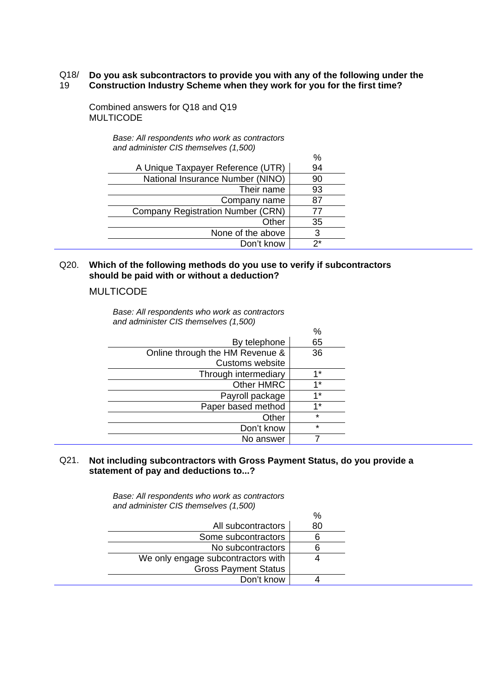#### Q18/ 19 **Do you ask subcontractors to provide you with any of the following under the Construction Industry Scheme when they work for you for the first time?**

Combined answers for Q18 and Q19 MULTICODE

|                                          | %  |
|------------------------------------------|----|
| A Unique Taxpayer Reference (UTR)        | 94 |
| National Insurance Number (NINO)         | 90 |
| Their name                               | 93 |
| Company name                             | 87 |
| <b>Company Registration Number (CRN)</b> | 77 |
| Other                                    | 35 |
| None of the above                        | З  |
| Don't know                               | つ* |

*Base: All respondents who work as contractors and administer CIS themselves (1,500)* 

#### Q20. **Which of the following methods do you use to verify if subcontractors should be paid with or without a deduction?**

MULTICODE

*Base: All respondents who work as contractors and administer CIS themselves (1,500)* 

|                                 | $\%$        |
|---------------------------------|-------------|
| By telephone                    | 65          |
| Online through the HM Revenue & | 36          |
| Customs website                 |             |
| Through intermediary            | $1*$        |
| <b>Other HMRC</b>               | $1^{\star}$ |
| Payroll package                 | $1*$        |
| Paper based method              | $1*$        |
| Other                           | $\star$     |
| Don't know                      | $\star$     |
| No answer                       |             |

#### Q21. **Not including subcontractors with Gross Payment Status, do you provide a statement of pay and deductions to...?**

 $\sim$ 

*Base: All respondents who work as contractors and administer CIS themselves (1,500)* 

|                                    | "∕o |
|------------------------------------|-----|
| All subcontractors                 | 80  |
| Some subcontractors                |     |
| No subcontractors                  |     |
| We only engage subcontractors with |     |
| <b>Gross Payment Status</b>        |     |
| Don't know                         |     |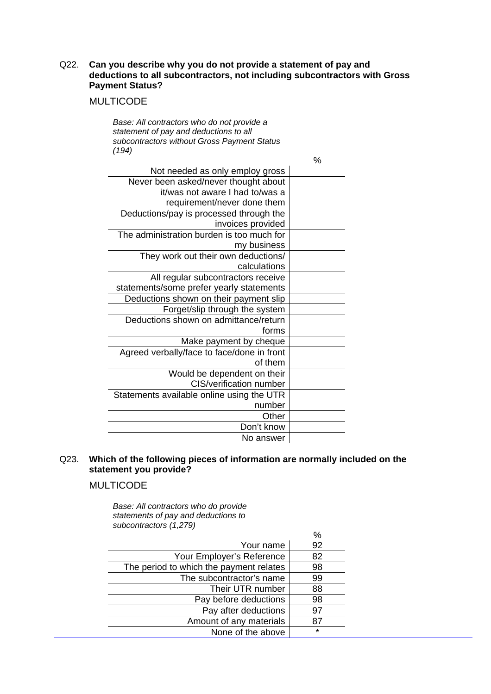#### Q22. **Can you describe why you do not provide a statement of pay and deductions to all subcontractors, not including subcontractors with Gross Payment Status?**

#### MULTICODE

*Base: All contractors who do not provide a statement of pay and deductions to all subcontractors without Gross Payment Status (194)* 

|                                            | $\%$ |
|--------------------------------------------|------|
| Not needed as only employ gross            |      |
| Never been asked/never thought about       |      |
| it/was not aware I had to/was a            |      |
| requirement/never done them                |      |
| Deductions/pay is processed through the    |      |
| invoices provided                          |      |
| The administration burden is too much for  |      |
| my business                                |      |
| They work out their own deductions/        |      |
| calculations                               |      |
| All regular subcontractors receive         |      |
| statements/some prefer yearly statements   |      |
| Deductions shown on their payment slip     |      |
| Forget/slip through the system             |      |
| Deductions shown on admittance/return      |      |
| forms                                      |      |
| Make payment by cheque                     |      |
| Agreed verbally/face to face/done in front |      |
| of them                                    |      |
| Would be dependent on their                |      |
| CIS/verification number                    |      |
| Statements available online using the UTR  |      |
| number                                     |      |
| Other                                      |      |
| Don't know                                 |      |
| No answer                                  |      |

#### Q23. **Which of the following pieces of information are normally included on the statement you provide?**

#### MULTICODE

*Base: All contractors who do provide statements of pay and deductions to subcontractors (1,279)*

|                                         | $\frac{0}{0}$ |
|-----------------------------------------|---------------|
| Your name                               | 92            |
| Your Employer's Reference               | 82            |
| The period to which the payment relates | 98            |
| The subcontractor's name                | 99            |
| Their UTR number                        | 88            |
| Pay before deductions                   | 98            |
| Pay after deductions                    | 97            |
| Amount of any materials                 | 87            |
| None of the above                       | $\star$       |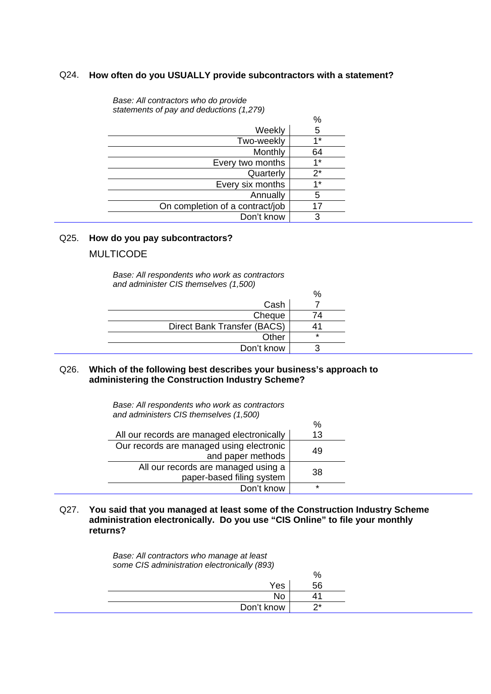#### Q24. **How often do you USUALLY provide subcontractors with a statement?**

*Base: All contractors who do provide statements of pay and deductions (1,279)* 

|                                 | $\%$  |
|---------------------------------|-------|
| Weekly                          | 5     |
| Two-weekly                      | $4*$  |
| Monthly                         | 64    |
| Every two months                | 1*    |
| Quarterly                       | $2^*$ |
| Every six months                | $1*$  |
| Annually                        | 5     |
| On completion of a contract/job | 17    |
| Don't know                      | 3     |

#### Q25. **How do you pay subcontractors?**

#### MULTICODE

*Base: All respondents who work as contractors and administer CIS themselves (1,500)* 

|                             | %       |
|-----------------------------|---------|
| Cash                        |         |
| Cheque                      | 74      |
| Direct Bank Transfer (BACS) |         |
| Other                       | $\star$ |
| Don't know                  |         |

#### Q26. **Which of the following best describes your business's approach to administering the Construction Industry Scheme?**

*Base: All respondents who work as contractors and administers CIS themselves (1,500)* 

|                                            | %  |
|--------------------------------------------|----|
| All our records are managed electronically | 13 |
| Our records are managed using electronic   | 49 |
| and paper methods                          |    |
| All our records are managed using a        | 38 |
| paper-based filing system                  |    |
| Don't know                                 | ÷  |

Q27. **You said that you managed at least some of the Construction Industry Scheme administration electronically. Do you use "CIS Online" to file your monthly returns?** 

> *Base: All contractors who manage at least some CIS administration electronically (893)*

| . .        | %   |
|------------|-----|
| Yes        | 56  |
| No         |     |
| Don't know | ่า∗ |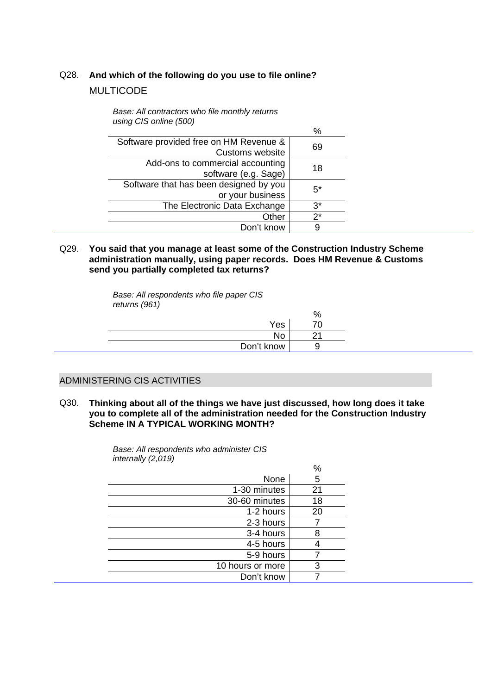### Q28. **And which of the following do you use to file online?**  MULTICODE

*Base: All contractors who file monthly returns* 

| using CIS online (500)                                     |       |
|------------------------------------------------------------|-------|
|                                                            | %     |
| Software provided free on HM Revenue &<br>Customs website  | 69    |
| Add-ons to commercial accounting<br>software (e.g. Sage)   | 18    |
| Software that has been designed by you<br>or your business | $5^*$ |
| The Electronic Data Exchange                               | $3^*$ |
| Other                                                      | $2^*$ |
| Don't know                                                 | 9     |

## Q29. **You said that you manage at least some of the Construction Industry Scheme administration manually, using paper records. Does HM Revenue & Customs send you partially completed tax returns?**

*Base: All respondents who file paper CIS returns (961)* 

|            | ⁄٥ |
|------------|----|
| Yes        |    |
| No         |    |
| Don't know |    |
|            |    |

#### ADMINISTERING CIS ACTIVITIES

Q30. **Thinking about all of the things we have just discussed, how long does it take you to complete all of the administration needed for the Construction Industry Scheme IN A TYPICAL WORKING MONTH?** 

> % None 5 1-30 minutes 21 30-60 minutes 18  $1-2$  hours  $20$ 2-3 hours 7  $3-4$  hours  $8$  $\frac{4-5 \text{ hours}}{5-9 \text{ hours}}$   $\frac{4}{7}$ 5-9 hours 10 hours or more | 3 Don't know 7

*Base: All respondents who administer CIS internally (2,019)*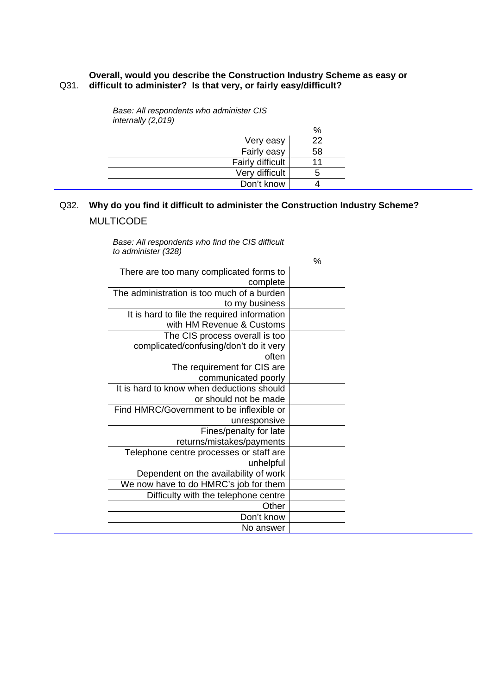#### **Overall, would you describe the Construction Industry Scheme as easy or**  Q31. **difficult to administer? Is that very, or fairly easy/difficult?**

|                  | %  |
|------------------|----|
| Very easy        | 22 |
| Fairly easy      | 58 |
| Fairly difficult |    |
| Very difficult   | n  |
| Don't know       |    |

*Base: All respondents who administer CIS internally (2,019)* 

### Q32. **Why do you find it difficult to administer the Construction Industry Scheme?**  MULTICODE

*Base: All respondents who find the CIS difficult to administer (328)* 

|                                             | $\%$ |
|---------------------------------------------|------|
| There are too many complicated forms to     |      |
| complete                                    |      |
| The administration is too much of a burden  |      |
| to my business                              |      |
| It is hard to file the required information |      |
| with HM Revenue & Customs                   |      |
| The CIS process overall is too              |      |
| complicated/confusing/don't do it very      |      |
| often                                       |      |
| The requirement for CIS are                 |      |
| communicated poorly                         |      |
| It is hard to know when deductions should   |      |
| or should not be made                       |      |
| Find HMRC/Government to be inflexible or    |      |
| unresponsive                                |      |
| Fines/penalty for late                      |      |
| returns/mistakes/payments                   |      |
| Telephone centre processes or staff are     |      |
| unhelpful                                   |      |
| Dependent on the availability of work       |      |
| We now have to do HMRC's job for them       |      |
| Difficulty with the telephone centre        |      |
| Other                                       |      |
| Don't know                                  |      |
| No answer                                   |      |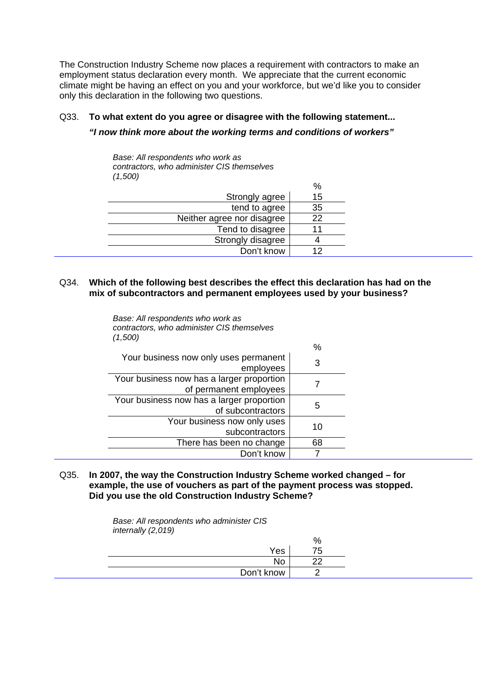The Construction Industry Scheme now places a requirement with contractors to make an employment status declaration every month. We appreciate that the current economic climate might be having an effect on you and your workforce, but we'd like you to consider only this declaration in the following two questions.

#### Q33. **To what extent do you agree or disagree with the following statement...**

#### *"I now think more about the working terms and conditions of workers"*

*Base: All respondents who work as contractors, who administer CIS themselves (1,500)* 

*Base: All respondents who work as*

*contractors, who administer CIS themselves*

|                            | %  |
|----------------------------|----|
| Strongly agree             | 15 |
| tend to agree              | 35 |
| Neither agree nor disagree | 22 |
| Tend to disagree           |    |
| Strongly disagree          |    |
| Don't know                 | 12 |

#### Q34. **Which of the following best describes the effect this declaration has had on the mix of subcontractors and permanent employees used by your business?**

| (1.500)                                                             |    |
|---------------------------------------------------------------------|----|
|                                                                     | %  |
| Your business now only uses permanent<br>employees                  | 3  |
| Your business now has a larger proportion<br>of permanent employees |    |
| Your business now has a larger proportion<br>of subcontractors      | 5  |
| Your business now only uses<br>subcontractors                       | 10 |
| There has been no change                                            | 68 |
| Don't know                                                          |    |

Q35. **In 2007, the way the Construction Industry Scheme worked changed – for example, the use of vouchers as part of the payment process was stopped. Did you use the old Construction Industry Scheme?** 

> *Base: All respondents who administer CIS internally (2,019)*

|  |            | %  |
|--|------------|----|
|  | Yes        | 75 |
|  | <b>No</b>  | ົ  |
|  | Don't know |    |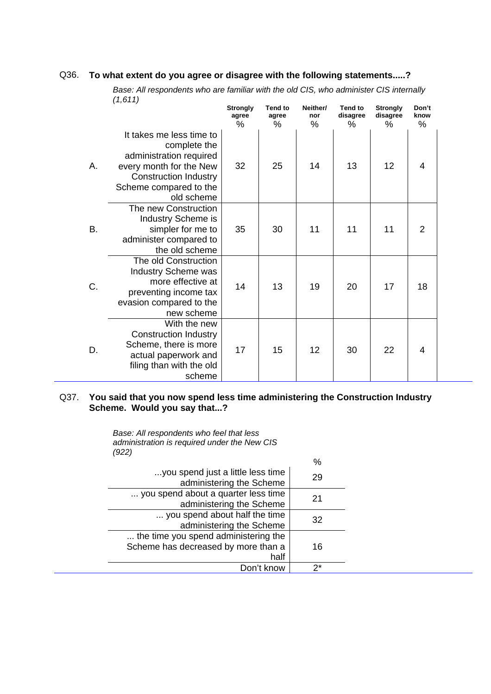#### Q36. **To what extent do you agree or disagree with the following statements.....?**

*Base: All respondents who are familiar with the old CIS, who administer CIS internally (1,611)* 

|    |                                                                                                                                                                        | <b>Strongly</b><br>agree<br>% | <b>Tend to</b><br>agree<br>% | Neither/<br>nor<br>% | <b>Tend to</b><br>disagree<br>% | <b>Strongly</b><br>disagree<br>℅ | Don't<br>know<br>% |  |
|----|------------------------------------------------------------------------------------------------------------------------------------------------------------------------|-------------------------------|------------------------------|----------------------|---------------------------------|----------------------------------|--------------------|--|
| Α. | It takes me less time to<br>complete the<br>administration required<br>every month for the New<br><b>Construction Industry</b><br>Scheme compared to the<br>old scheme | 32                            | 25                           | 14                   | 13                              | 12                               | 4                  |  |
| В. | The new Construction<br><b>Industry Scheme is</b><br>simpler for me to<br>administer compared to<br>the old scheme                                                     | 35                            | 30                           | 11                   | 11                              | 11                               | $\overline{2}$     |  |
| C. | The old Construction<br><b>Industry Scheme was</b><br>more effective at<br>preventing income tax<br>evasion compared to the<br>new scheme                              | 14                            | 13                           | 19                   | 20                              | 17                               | 18                 |  |
| D. | With the new<br><b>Construction Industry</b><br>Scheme, there is more<br>actual paperwork and<br>filing than with the old<br>scheme                                    | 17                            | 15                           | 12                   | 30                              | 22                               | 4                  |  |

#### Q37. **You said that you now spend less time administering the Construction Industry Scheme. Would you say that...?**

*Base: All respondents who feel that less administration is required under the New CIS (922)* 

|                                                                                     | %           |
|-------------------------------------------------------------------------------------|-------------|
| you spend just a little less time<br>administering the Scheme                       | 29          |
| you spend about a quarter less time<br>administering the Scheme                     | 21          |
| you spend about half the time<br>administering the Scheme                           | 32          |
| the time you spend administering the<br>Scheme has decreased by more than a<br>half | 16          |
| Don't know                                                                          | $2^{\star}$ |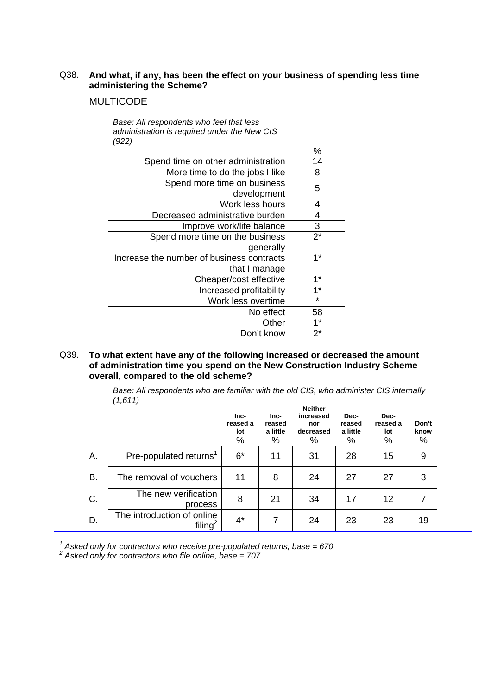#### Q38. **And what, if any, has been the effect on your business of spending less time administering the Scheme?**

#### MULTICODE

*Base: All respondents who feel that less administration is required under the New CIS (922)* 

|                                           | %           |
|-------------------------------------------|-------------|
| Spend time on other administration        | 14          |
| More time to do the jobs I like           | 8           |
| Spend more time on business               | 5           |
| development                               |             |
| Work less hours                           | 4           |
| Decreased administrative burden           | 4           |
| Improve work/life balance                 | 3           |
| Spend more time on the business           | $2^{\star}$ |
| generally                                 |             |
| Increase the number of business contracts | 1*          |
| that I manage                             |             |
| Cheaper/cost effective                    | $1*$        |
| Increased profitability                   | $1*$        |
| Work less overtime                        | $\star$     |
| No effect                                 | 58          |
| Other                                     | $1^*$       |
| Don't know                                | $2^{\star}$ |

#### Q39. **To what extent have any of the following increased or decreased the amount of administration time you spend on the New Construction Industry Scheme overall, compared to the old scheme?**

*Base: All respondents who are familiar with the old CIS, who administer CIS internally (1,611)* 

|    |                                                   | Inc-<br>reased a<br>lot<br>% | Inc-<br>reased<br>a little<br>% | <b>Neither</b><br>increased<br>nor<br>decreased<br>% | Dec-<br>reased<br>a little<br>$\%$ | Dec-<br>reased a<br>lot<br>$\%$ | Don't<br>know<br>% |  |
|----|---------------------------------------------------|------------------------------|---------------------------------|------------------------------------------------------|------------------------------------|---------------------------------|--------------------|--|
| А. | Pre-populated returns <sup>1</sup>                | $6*$                         | 11                              | 31                                                   | 28                                 | 15                              | 9                  |  |
| В. | The removal of vouchers                           | 11                           | 8                               | 24                                                   | 27                                 | 27                              | 3                  |  |
| C. | The new verification<br>process                   | 8                            | 21                              | 34                                                   | 17                                 | 12                              | 7                  |  |
| D. | The introduction of online<br>filing <sup>2</sup> | $4^*$                        | 7                               | 24                                                   | 23                                 | 23                              | 19                 |  |

<sup>1</sup> Asked only for contractors who receive pre-populated returns, base = 670 *<sup>2</sup> Asked only for contractors who file online, base = 707*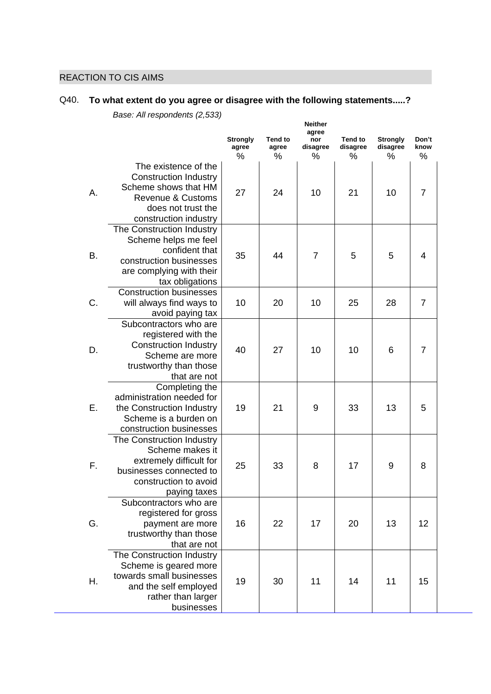### REACTION TO CIS AIMS

## Q40. **To what extent do you agree or disagree with the following statements.....?**

|    |                                          |                                  |                              | <b>Neither</b>           |                            |                             |                    |  |
|----|------------------------------------------|----------------------------------|------------------------------|--------------------------|----------------------------|-----------------------------|--------------------|--|
|    |                                          | <b>Strongly</b><br>agree<br>$\%$ | <b>Tend to</b><br>agree<br>% | agree<br>nor<br>disagree | <b>Tend to</b><br>disagree | <b>Strongly</b><br>disagree | Don't<br>know<br>% |  |
|    | The existence of the                     |                                  |                              | %                        | %                          | $\%$                        |                    |  |
|    | <b>Construction Industry</b>             |                                  |                              |                          |                            |                             |                    |  |
|    | Scheme shows that HM                     |                                  |                              |                          |                            |                             |                    |  |
| А. | <b>Revenue &amp; Customs</b>             | 27                               | 24                           | 10                       | 21                         | 10                          | $\overline{7}$     |  |
|    | does not trust the                       |                                  |                              |                          |                            |                             |                    |  |
|    | construction industry                    |                                  |                              |                          |                            |                             |                    |  |
|    | The Construction Industry                |                                  |                              |                          |                            |                             |                    |  |
|    | Scheme helps me feel                     |                                  |                              |                          |                            |                             |                    |  |
|    | confident that                           |                                  |                              |                          |                            |                             |                    |  |
| В. | construction businesses                  | 35                               | 44                           | $\overline{7}$           | 5                          | 5                           | 4                  |  |
|    | are complying with their                 |                                  |                              |                          |                            |                             |                    |  |
|    | tax obligations                          |                                  |                              |                          |                            |                             |                    |  |
|    | <b>Construction businesses</b>           |                                  |                              |                          |                            |                             |                    |  |
| C. | will always find ways to                 | 10                               | 20                           | 10                       | 25                         | 28                          | $\overline{7}$     |  |
|    | avoid paying tax                         |                                  |                              |                          |                            |                             |                    |  |
|    | Subcontractors who are                   |                                  |                              |                          |                            |                             |                    |  |
|    | registered with the                      |                                  |                              |                          |                            |                             |                    |  |
| D. | <b>Construction Industry</b>             | 40                               | 27                           | 10                       | 10                         | 6                           | $\overline{7}$     |  |
|    | Scheme are more                          |                                  |                              |                          |                            |                             |                    |  |
|    | trustworthy than those                   |                                  |                              |                          |                            |                             |                    |  |
|    | that are not                             |                                  |                              |                          |                            |                             |                    |  |
|    | Completing the                           |                                  |                              |                          |                            |                             |                    |  |
|    | administration needed for                |                                  |                              |                          |                            |                             |                    |  |
| Е. | the Construction Industry                | 19                               | 21                           | 9                        | 33                         | 13                          | 5                  |  |
|    | Scheme is a burden on                    |                                  |                              |                          |                            |                             |                    |  |
|    | construction businesses                  |                                  |                              |                          |                            |                             |                    |  |
|    | The Construction Industry                |                                  |                              |                          |                            |                             |                    |  |
|    | Scheme makes it                          |                                  |                              |                          |                            |                             |                    |  |
| F. | extremely difficult for                  | 25                               | 33                           | 8                        | 17                         | 9                           | 8                  |  |
|    | businesses connected to                  |                                  |                              |                          |                            |                             |                    |  |
|    | construction to avoid                    |                                  |                              |                          |                            |                             |                    |  |
|    | paying taxes                             |                                  |                              |                          |                            |                             |                    |  |
|    | Subcontractors who are                   |                                  |                              |                          |                            |                             |                    |  |
| G. | registered for gross<br>payment are more | 16                               | 22                           | 17                       | 20                         | 13                          | 12                 |  |
|    | trustworthy than those                   |                                  |                              |                          |                            |                             |                    |  |
|    | that are not                             |                                  |                              |                          |                            |                             |                    |  |
|    | The Construction Industry                |                                  |                              |                          |                            |                             |                    |  |
|    | Scheme is geared more                    |                                  |                              |                          |                            |                             |                    |  |
|    | towards small businesses                 | 19                               |                              |                          |                            |                             |                    |  |
| Η. | and the self employed                    |                                  | 30                           | 11                       | 14                         | 11                          | 15                 |  |
|    | rather than larger                       |                                  |                              |                          |                            |                             |                    |  |
|    | businesses                               |                                  |                              |                          |                            |                             |                    |  |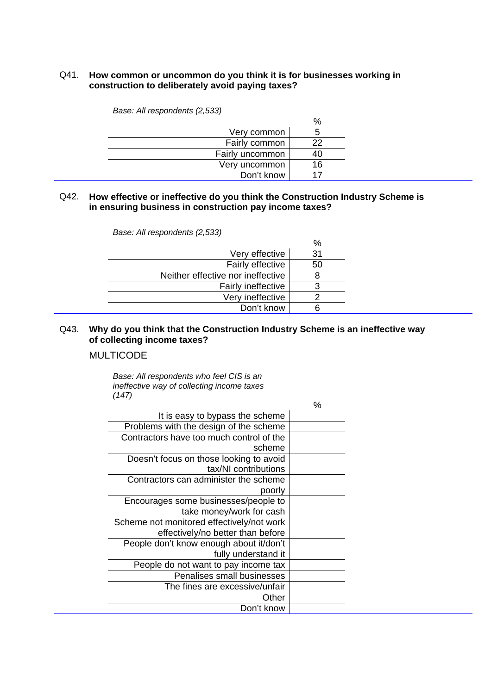#### Q41. **How common or uncommon do you think it is for businesses working in construction to deliberately avoid paying taxes?**

|                 | %  |
|-----------------|----|
| Very common     | 5  |
| Fairly common   | 22 |
| Fairly uncommon | 40 |
| Very uncommon   | 16 |
| Don't know      | 17 |

*Base: All respondents (2,533)* 

#### Q42. **How effective or ineffective do you think the Construction Industry Scheme is in ensuring business in construction pay income taxes?**

|                                   | %  |
|-----------------------------------|----|
| Very effective                    | 31 |
| Fairly effective                  | 50 |
| Neither effective nor ineffective | 8  |
| Fairly ineffective                | 3  |
| Very ineffective                  |    |
| Don't know                        | 6  |

#### *Base: All respondents (2,533)*

#### Q43. **Why do you think that the Construction Industry Scheme is an ineffective way of collecting income taxes?**

#### MULTICODE

*Base: All respondents who feel CIS is an ineffective way of collecting income taxes (147)* 

|                                           | $\%$ |
|-------------------------------------------|------|
| It is easy to bypass the scheme           |      |
| Problems with the design of the scheme    |      |
| Contractors have too much control of the  |      |
| scheme                                    |      |
| Doesn't focus on those looking to avoid   |      |
| tax/NI contributions                      |      |
| Contractors can administer the scheme     |      |
| poorly                                    |      |
| Encourages some businesses/people to      |      |
| take money/work for cash                  |      |
| Scheme not monitored effectively/not work |      |
| effectively/no better than before         |      |
| People don't know enough about it/don't   |      |
| fully understand it                       |      |
| People do not want to pay income tax      |      |
| <b>Penalises small businesses</b>         |      |
| The fines are excessive/unfair            |      |
| Other                                     |      |
| Don't know                                |      |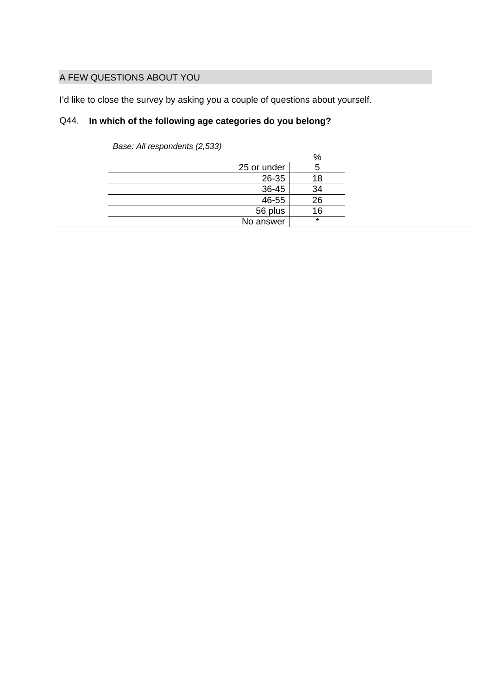#### A FEW QUESTIONS ABOUT YOU

I'd like to close the survey by asking you a couple of questions about yourself.

### Q44. **In which of the following age categories do you belong?**

| $\sim$<br>$\sim$ |             |         |
|------------------|-------------|---------|
|                  |             | $\%$    |
|                  | 25 or under | 5       |
|                  | 26-35       | 18      |
|                  | 36-45       | 34      |
|                  | 46-55       | 26      |
|                  | 56 plus     | 16      |
|                  | No answer   | $\star$ |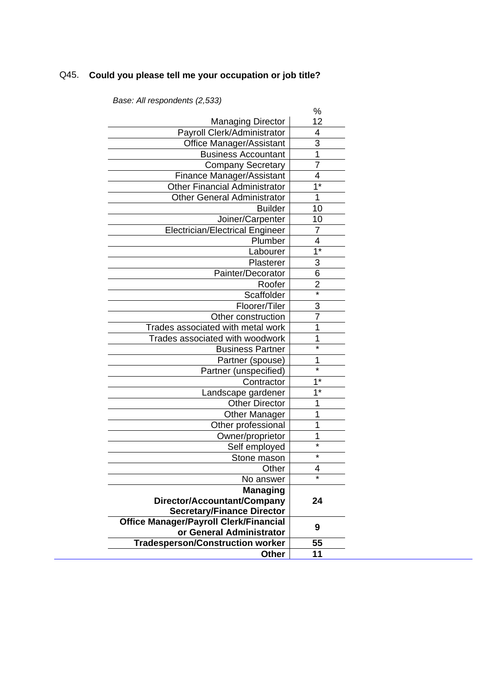## Q45. **Could you please tell me your occupation or job title?**

|                                               | %                         |
|-----------------------------------------------|---------------------------|
| <b>Managing Director</b>                      | 12                        |
| Payroll Clerk/Administrator                   | 4                         |
| <b>Office Manager/Assistant</b>               | $\overline{3}$            |
| <b>Business Accountant</b>                    | $\overline{1}$            |
| <b>Company Secretary</b>                      | 7                         |
| Finance Manager/Assistant                     | 4                         |
| <b>Other Financial Administrator</b>          | $\overline{1^*}$          |
| <b>Other General Administrator</b>            | 1                         |
| <b>Builder</b>                                | 10                        |
| Joiner/Carpenter                              | 10                        |
| <b>Electrician/Electrical Engineer</b>        | 7                         |
| Plumber                                       | $\overline{4}$            |
| Labourer                                      | $\overline{\mathbb{1}^*}$ |
| Plasterer                                     | $\frac{3}{6}$             |
| Painter/Decorator                             |                           |
| Roofer                                        | $\overline{2}$            |
| Scaffolder                                    | $\overline{\ast}$         |
| Floorer/Tiler                                 | 3                         |
| Other construction                            | 7                         |
| Trades associated with metal work             | 1                         |
| Trades associated with woodwork               | 1                         |
| <b>Business Partner</b>                       | $\star$                   |
| Partner (spouse)                              | 1                         |
| Partner (unspecified)                         | $\star$                   |
| Contractor                                    | $1*$                      |
| Landscape gardener                            | $1^*$                     |
| <b>Other Director</b>                         | 1                         |
| <b>Other Manager</b>                          | 1                         |
| Other professional                            | 1                         |
| Owner/proprietor                              | 1                         |
| Self employed                                 | $\star$                   |
| Stone mason                                   | $\star$                   |
| Other                                         | 4                         |
| No answer                                     |                           |
| <b>Managing</b>                               |                           |
| Director/Accountant/Company                   | 24                        |
| <b>Secretary/Finance Director</b>             |                           |
| <b>Office Manager/Payroll Clerk/Financial</b> | 9                         |
| or General Administrator                      |                           |
| <b>Tradesperson/Construction worker</b>       | 55                        |
| <b>Other</b>                                  | 11                        |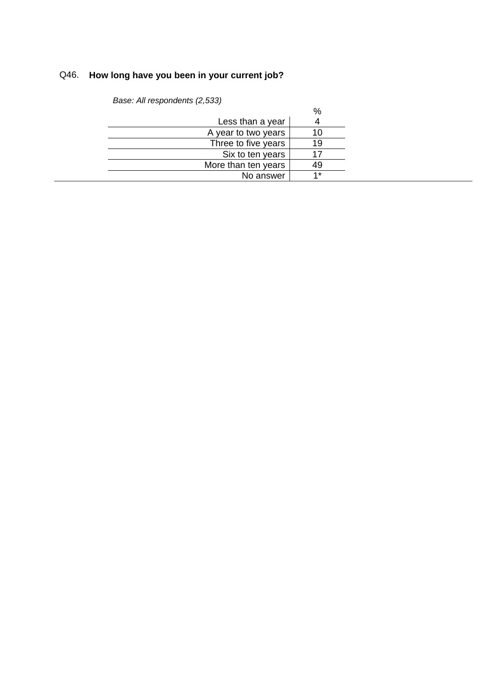## Q46. **How long have you been in your current job?**

|                     | %   |
|---------------------|-----|
| Less than a year    |     |
| A year to two years |     |
| Three to five years | 19  |
| Six to ten years    |     |
| More than ten years | 49  |
| No answer           | 4 * |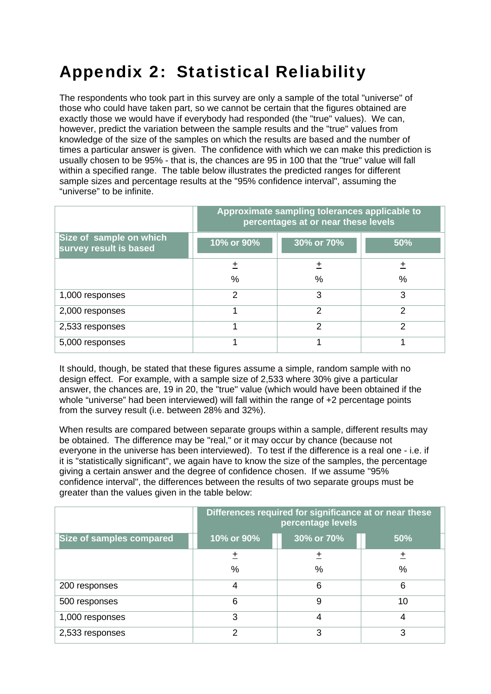## Appendix 2: Statistical Reliability

The respondents who took part in this survey are only a sample of the total "universe" of those who could have taken part, so we cannot be certain that the figures obtained are exactly those we would have if everybody had responded (the "true" values). We can, however, predict the variation between the sample results and the "true" values from knowledge of the size of the samples on which the results are based and the number of times a particular answer is given. The confidence with which we can make this prediction is usually chosen to be 95% - that is, the chances are 95 in 100 that the "true" value will fall within a specified range. The table below illustrates the predicted ranges for different sample sizes and percentage results at the "95% confidence interval", assuming the "universe" to be infinite.

|                                                   | Approximate sampling tolerances applicable to<br>percentages at or near these levels |               |               |  |
|---------------------------------------------------|--------------------------------------------------------------------------------------|---------------|---------------|--|
| Size of sample on which<br>survey result is based | 10% or 90%                                                                           | 30% or 70%    | 50%           |  |
|                                                   | +                                                                                    | 土             | $\ddot{}$     |  |
|                                                   | %                                                                                    | %             | $\frac{0}{0}$ |  |
| 1,000 responses                                   | 2                                                                                    | 3             | 3             |  |
| 2,000 responses                                   |                                                                                      | $\mathcal{P}$ | $\mathcal{P}$ |  |
| 2,533 responses                                   |                                                                                      | $\mathcal{P}$ | っ             |  |
| 5,000 responses                                   |                                                                                      | 4             |               |  |

It should, though, be stated that these figures assume a simple, random sample with no design effect. For example, with a sample size of 2,533 where 30% give a particular answer, the chances are, 19 in 20, the "true" value (which would have been obtained if the whole "universe" had been interviewed) will fall within the range of +2 percentage points from the survey result (i.e. between 28% and 32%).

When results are compared between separate groups within a sample, different results may be obtained. The difference may be "real," or it may occur by chance (because not everyone in the universe has been interviewed). To test if the difference is a real one - i.e. if it is "statistically significant", we again have to know the size of the samples, the percentage giving a certain answer and the degree of confidence chosen. If we assume "95% confidence interval", the differences between the results of two separate groups must be greater than the values given in the table below:

|                          | Differences required for significance at or near these<br>percentage levels |   |    |  |  |
|--------------------------|-----------------------------------------------------------------------------|---|----|--|--|
| Size of samples compared | 30% or 70%<br>10% or 90%<br>50%                                             |   |    |  |  |
|                          | ±                                                                           |   |    |  |  |
|                          | %                                                                           | % | %  |  |  |
| 200 responses            | 4                                                                           | 6 | 6  |  |  |
| 500 responses            | 6                                                                           | 9 | 10 |  |  |
| 1,000 responses          | 3                                                                           | 4 | 4  |  |  |
| 2,533 responses          | っ                                                                           | 3 | 3  |  |  |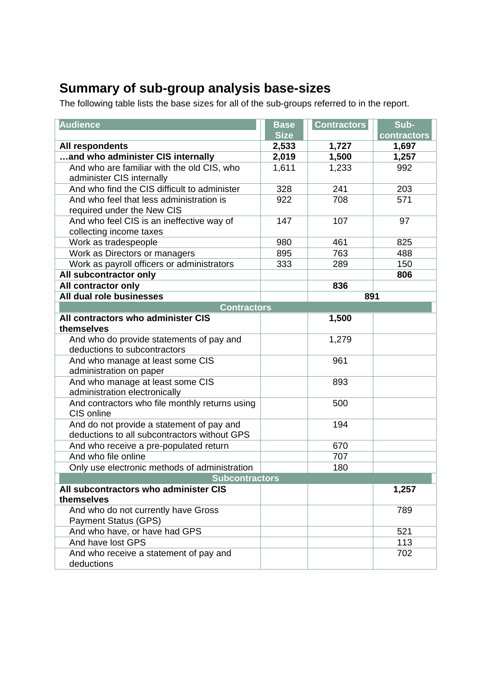## **Summary of sub-group analysis base-sizes**

The following table lists the base sizes for all of the sub-groups referred to in the report.

| <b>Audience</b>                                | <b>Base</b> | <b>Contractors</b> | Sub-        |  |
|------------------------------------------------|-------------|--------------------|-------------|--|
|                                                | <b>Size</b> |                    | contractors |  |
| All respondents                                | 2,533       | 1,727              | 1,697       |  |
| and who administer CIS internally              | 2,019       | 1,500              | 1,257       |  |
| And who are familiar with the old CIS, who     | 1,611       | 1,233              | 992         |  |
| administer CIS internally                      |             |                    |             |  |
| And who find the CIS difficult to administer   | 328         | 241                | 203         |  |
| And who feel that less administration is       | 922         | 708                | 571         |  |
| required under the New CIS                     |             |                    |             |  |
| And who feel CIS is an ineffective way of      | 147         | 107                | 97          |  |
| collecting income taxes                        |             |                    |             |  |
| Work as tradespeople                           | 980         | 461                | 825         |  |
| Work as Directors or managers                  | 895         | 763                | 488         |  |
| Work as payroll officers or administrators     | 333         | 289                | 150         |  |
| All subcontractor only                         |             |                    | 806         |  |
| All contractor only                            |             | 836                |             |  |
| All dual role businesses                       |             | 891                |             |  |
| <b>Contractors</b>                             |             |                    |             |  |
| All contractors who administer CIS             |             | 1,500              |             |  |
| themselves                                     |             |                    |             |  |
| And who do provide statements of pay and       |             | 1,279              |             |  |
| deductions to subcontractors                   |             |                    |             |  |
| And who manage at least some CIS               |             | 961                |             |  |
| administration on paper                        |             |                    |             |  |
| And who manage at least some CIS               |             | 893                |             |  |
| administration electronically                  |             |                    |             |  |
| And contractors who file monthly returns using |             | 500                |             |  |
| CIS online                                     |             |                    |             |  |
| And do not provide a statement of pay and      |             | 194                |             |  |
| deductions to all subcontractors without GPS   |             |                    |             |  |
| And who receive a pre-populated return         |             | 670                |             |  |
| And who file online                            |             | 707                |             |  |
| Only use electronic methods of administration  |             | 180                |             |  |
| <b>Subcontractors</b>                          |             |                    |             |  |
| All subcontractors who administer CIS          |             |                    | 1,257       |  |
| themselves                                     |             |                    |             |  |
| And who do not currently have Gross            |             |                    | 789         |  |
| <b>Payment Status (GPS)</b>                    |             |                    |             |  |
| And who have, or have had GPS                  |             |                    | 521         |  |
| And have lost GPS                              |             |                    | 113         |  |
| And who receive a statement of pay and         |             |                    | 702         |  |
| deductions                                     |             |                    |             |  |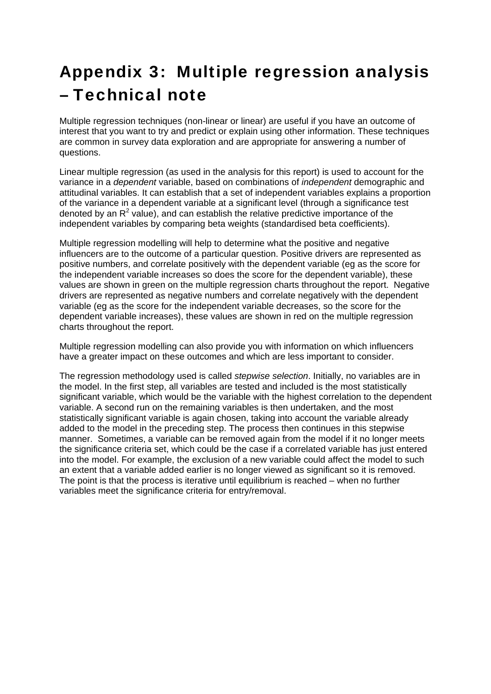## Appendix 3: Multiple regression analysis – Technical note

Multiple regression techniques (non-linear or linear) are useful if you have an outcome of interest that you want to try and predict or explain using other information. These techniques are common in survey data exploration and are appropriate for answering a number of questions.

Linear multiple regression (as used in the analysis for this report) is used to account for the variance in a *dependent* variable, based on combinations of *independent* demographic and attitudinal variables. It can establish that a set of independent variables explains a proportion of the variance in a dependent variable at a significant level (through a significance test denoted by an  $R^2$  value), and can establish the relative predictive importance of the independent variables by comparing beta weights (standardised beta coefficients).

Multiple regression modelling will help to determine what the positive and negative influencers are to the outcome of a particular question. Positive drivers are represented as positive numbers, and correlate positively with the dependent variable (eg as the score for the independent variable increases so does the score for the dependent variable), these values are shown in green on the multiple regression charts throughout the report. Negative drivers are represented as negative numbers and correlate negatively with the dependent variable (eg as the score for the independent variable decreases, so the score for the dependent variable increases), these values are shown in red on the multiple regression charts throughout the report.

Multiple regression modelling can also provide you with information on which influencers have a greater impact on these outcomes and which are less important to consider.

The regression methodology used is called *stepwise selection*. Initially, no variables are in the model. In the first step, all variables are tested and included is the most statistically significant variable, which would be the variable with the highest correlation to the dependent variable. A second run on the remaining variables is then undertaken, and the most statistically significant variable is again chosen, taking into account the variable already added to the model in the preceding step. The process then continues in this stepwise manner. Sometimes, a variable can be removed again from the model if it no longer meets the significance criteria set, which could be the case if a correlated variable has just entered into the model. For example, the exclusion of a new variable could affect the model to such an extent that a variable added earlier is no longer viewed as significant so it is removed. The point is that the process is iterative until equilibrium is reached – when no further variables meet the significance criteria for entry/removal.